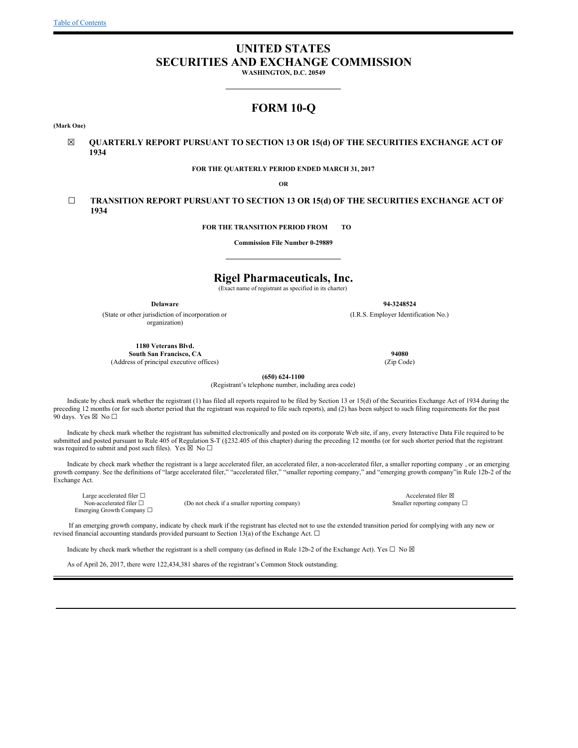# **UNITED STATES SECURITIES AND EXCHANGE COMMISSION**

**WASHINGTON, D.C. 20549**

# **FORM 10-Q**

**(Mark One)**

# **☒ QUARTERLY REPORT PURSUANT TO SECTION 13 OR 15(d) OF THE SECURITIES EXCHANGE ACT OF 1934**

#### **FOR THE QUARTERLY PERIOD ENDED MARCH 31, 2017**

**OR**

# **☐ TRANSITION REPORT PURSUANT TO SECTION 13 OR 15(d) OF THE SECURITIES EXCHANGE ACT OF 1934**

**FOR THE TRANSITION PERIOD FROM TO**

**Commission File Number 0-29889**

# **Rigel Pharmaceuticals, Inc.**

(Exact name of registrant as specified in its charter)

**Delaware 94-3248524**

(State or other jurisdiction of incorporation or (I.R.S. Employer Identification No.)

organization)

**1180 Veterans Blvd.**

**South San Francisco, CA 94080**<br> **South San Francisco, CA 94080**<br> **(Zip Code)** (Zip Code) (Address of principal executive offices)

**(650) 624-1100**

(Registrant's telephone number, including area code)

Indicate by check mark whether the registrant (1) has filed all reports required to be filed by Section 13 or 15(d) of the Securities Exchange Act of 1934 during the preceding 12 months (or for such shorter period that the registrant was required to file such reports), and (2) has been subject to such filing requirements for the past 90 days. Yes  $\boxtimes$  No  $\Box$ 

Indicate by check mark whether the registrant has submitted electronically and posted on its corporate Web site, if any, every Interactive Data File required to be submitted and posted pursuant to Rule 405 of Regulation S-T (§232.405 of this chapter) during the preceding 12 months (or for such shorter period that the registrant was required to submit and post such files). Yes  $\boxtimes$  No  $\Box$ 

Indicate by check mark whether the registrant is a large accelerated filer, an accelerated filer, a non-accelerated filer, a smaller reporting company , or an emerging growth company. See the definitions of "large accelerated filer," "accelerated filer," "smaller reporting company," and "emerging growth company"in Rule 12b-2 of the Exchange Act.

Large accelerated filer □<br>
Non-accelerated filer □<br>
(Do not check if a smaller reporting company) Banaller reporting company □ Emerging Growth Company ☐

(Do not check if a smaller reporting company)

If an emerging growth company, indicate by check mark if the registrant has elected not to use the extended transition period for complying with any new or revised financial accounting standards provided pursuant to Section 13(a) of the Exchange Act.  $\Box$ 

Indicate by check mark whether the registrant is a shell company (as defined in Rule 12b-2 of the Exchange Act). Yes  $\Box$  No  $\boxtimes$ 

As of April 26, 2017, there were 122,434,381 shares of the registrant's Common Stock outstanding.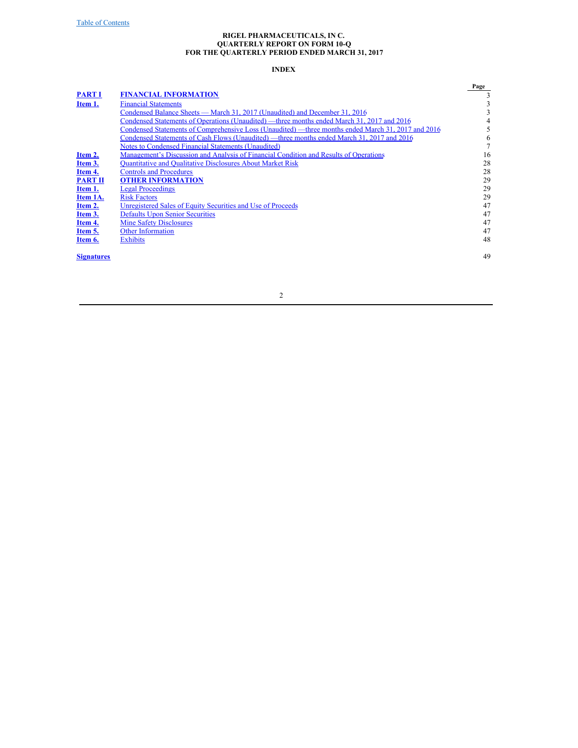### **RIGEL PHARMACEUTICALS, IN C. QUARTERLY REPORT ON FORM 10-Q FOR THE QUARTERLY PERIOD ENDED MARCH 31, 2017**

# **INDEX**

|                   |                                                                                                    | Page |
|-------------------|----------------------------------------------------------------------------------------------------|------|
| <b>PART I</b>     | <b>FINANCIAL INFORMATION</b>                                                                       | 3    |
| Item 1.           | <b>Financial Statements</b>                                                                        | 3    |
|                   | Condensed Balance Sheets — March 31, 2017 (Unaudited) and December 31, 2016                        | 3    |
|                   | Condensed Statements of Operations (Unaudited) —three months ended March 31, 2017 and 2016         | 4    |
|                   | Condensed Statements of Comprehensive Loss (Unaudited) —three months ended March 31, 2017 and 2016 | 5    |
|                   | Condensed Statements of Cash Flows (Unaudited) —three months ended March 31, 2017 and 2016         | 6    |
|                   | Notes to Condensed Financial Statements (Unaudited)                                                | 7    |
| Item 2.           | Management's Discussion and Analysis of Financial Condition and Results of Operations              | 16   |
| Item 3.           | <b>Quantitative and Qualitative Disclosures About Market Risk</b>                                  | 28   |
| Item 4.           | <b>Controls and Procedures</b>                                                                     | 28   |
| <b>PART II</b>    | <b>OTHER INFORMATION</b>                                                                           | 29   |
| Item 1.           | <b>Legal Proceedings</b>                                                                           | 29   |
| Item 1A.          | <b>Risk Factors</b>                                                                                | 29   |
| Item 2.           | Unregistered Sales of Equity Securities and Use of Proceeds                                        | 47   |
| Item 3.           | <b>Defaults Upon Senior Securities</b>                                                             | 47   |
| Item 4.           | <b>Mine Safety Disclosures</b>                                                                     | 47   |
| Item 5.           | <b>Other Information</b>                                                                           | 47   |
| Item 6.           | <b>Exhibits</b>                                                                                    | 48   |
| <b>Signatures</b> |                                                                                                    | 49   |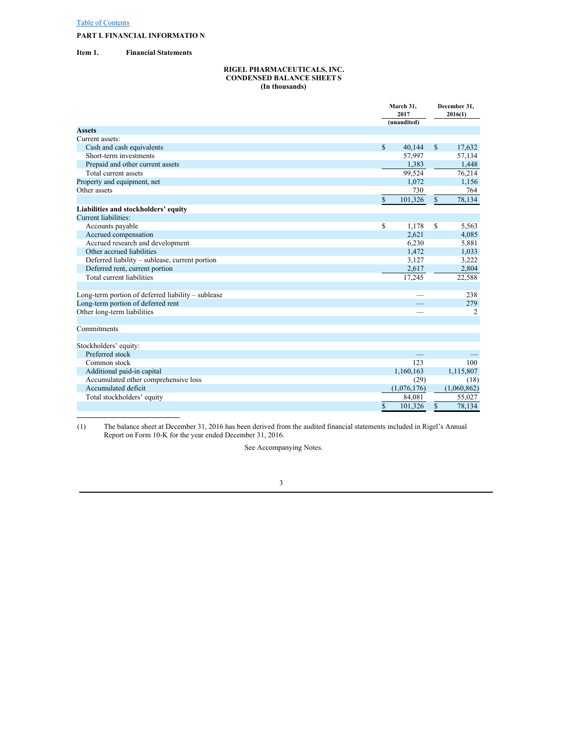# **PART I. FINANCIAL INFORMATIO N**

# **Item 1. Financial Statements**

# <span id="page-2-2"></span><span id="page-2-1"></span><span id="page-2-0"></span>**RIGEL PHARMACEUTICALS, INC. CONDENSED BALANCE SHEET S (In thousands)**

|                                                    | March 31,<br>2017      | December 31,<br>2016(1) |
|----------------------------------------------------|------------------------|-------------------------|
|                                                    | (unaudited)            |                         |
| Assets                                             |                        |                         |
| Current assets:                                    |                        |                         |
| Cash and cash equivalents                          | S<br>40,144            | \$<br>17,632            |
| Short-term investments                             | 57,997                 | 57,134                  |
| Prepaid and other current assets                   | 1,383                  | 1,448                   |
| Total current assets                               | 99,524                 | 76,214                  |
| Property and equipment, net                        | 1,072                  | 1,156                   |
| Other assets                                       | 730                    | 764                     |
|                                                    | $\mathbf S$<br>101,326 | $\mathbb{S}$<br>78,134  |
| Liabilities and stockholders' equity               |                        |                         |
| Current liabilities:                               |                        |                         |
| Accounts payable                                   | \$<br>1,178            | \$<br>5,563             |
| Accrued compensation                               | 2.621                  | 4,085                   |
| Accrued research and development                   | 6,230                  | 5,881                   |
| Other accrued liabilities                          | 1,472                  | 1,033                   |
| Deferred liability - sublease, current portion     | 3,127                  | 3,222                   |
| Deferred rent, current portion                     | 2,617                  | 2,804                   |
| Total current liabilities                          | 17,245                 | 22,588                  |
|                                                    |                        |                         |
| Long-term portion of deferred liability – sublease |                        | 238                     |
| Long-term portion of deferred rent                 |                        | 279                     |
| Other long-term liabilities                        |                        | 2                       |
|                                                    |                        |                         |
| Commitments                                        |                        |                         |
|                                                    |                        |                         |
| Stockholders' equity:                              |                        |                         |
| Preferred stock                                    |                        |                         |
| Common stock                                       | 123                    | 100                     |
| Additional paid-in capital                         | 1,160,163              | 1,115,807               |
| Accumulated other comprehensive loss               | (29)                   | (18)                    |
| Accumulated deficit                                | (1,076,176)            | (1,060,862)             |
| Total stockholders' equity                         | 84,081                 | 55,027                  |
|                                                    | \$<br>101.326          | \$<br>78,134            |

(1) The balance sheet at December 31, 2016 has been derived from the audited financial statements included in Rigel's Annual Report on Form 10-K for the year ended December 31, 2016.

See Accompanying Notes.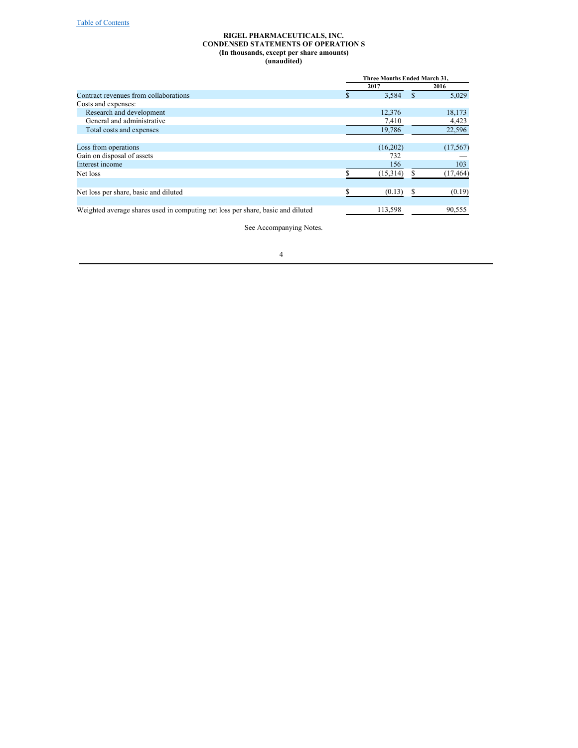# <span id="page-3-0"></span>**RIGEL PHARMACEUTICALS, INC. CONDENSED STATEMENTS OF OPERATION S (In thousands, except per share amounts) (unaudited)**

|                                                                                 | Three Months Ended March 31. |          |               |           |  |
|---------------------------------------------------------------------------------|------------------------------|----------|---------------|-----------|--|
|                                                                                 |                              | 2017     |               | 2016      |  |
| Contract revenues from collaborations                                           | S                            | 3,584    | $\mathcal{S}$ | 5,029     |  |
| Costs and expenses:                                                             |                              |          |               |           |  |
| Research and development                                                        |                              | 12,376   |               | 18,173    |  |
| General and administrative                                                      |                              | 7,410    |               | 4,423     |  |
| Total costs and expenses                                                        |                              | 19.786   |               | 22,596    |  |
|                                                                                 |                              |          |               |           |  |
| Loss from operations                                                            |                              | (16,202) |               | (17, 567) |  |
| Gain on disposal of assets                                                      |                              | 732      |               |           |  |
| Interest income                                                                 |                              | 156      |               | 103       |  |
| Net loss                                                                        |                              | (15,314) |               | (17, 464) |  |
|                                                                                 |                              |          |               |           |  |
| Net loss per share, basic and diluted                                           |                              | (0.13)   |               | (0.19)    |  |
|                                                                                 |                              |          |               |           |  |
| Weighted average shares used in computing net loss per share, basic and diluted |                              | 113,598  |               | 90,555    |  |

See Accompanying Notes.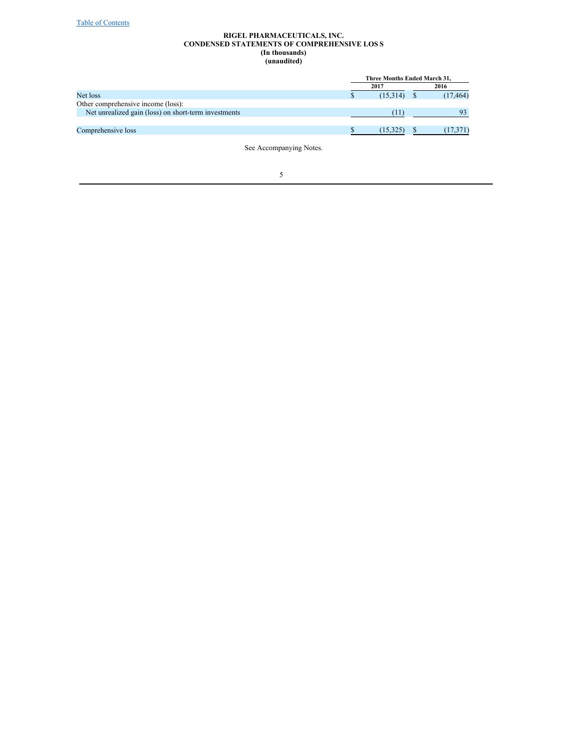# **RIGEL PHARMACEUTICALS, INC. CONDENSED STATEMENTS OF COMPREHENSIVE LOS S (In thousands) (unaudited)**

|                                                      |   | Three Months Ended March 31, |  |           |  |  |  |  |  |
|------------------------------------------------------|---|------------------------------|--|-----------|--|--|--|--|--|
|                                                      |   | 2017                         |  | 2016      |  |  |  |  |  |
| Net loss                                             | ъ | (15.314)                     |  | (17, 464) |  |  |  |  |  |
| Other comprehensive income (loss):                   |   |                              |  |           |  |  |  |  |  |
| Net unrealized gain (loss) on short-term investments |   | a n                          |  |           |  |  |  |  |  |
|                                                      |   |                              |  |           |  |  |  |  |  |
| Comprehensive loss                                   |   | (15.325)                     |  | (17,371   |  |  |  |  |  |
|                                                      |   |                              |  |           |  |  |  |  |  |

<span id="page-4-0"></span>See Accompanying Notes.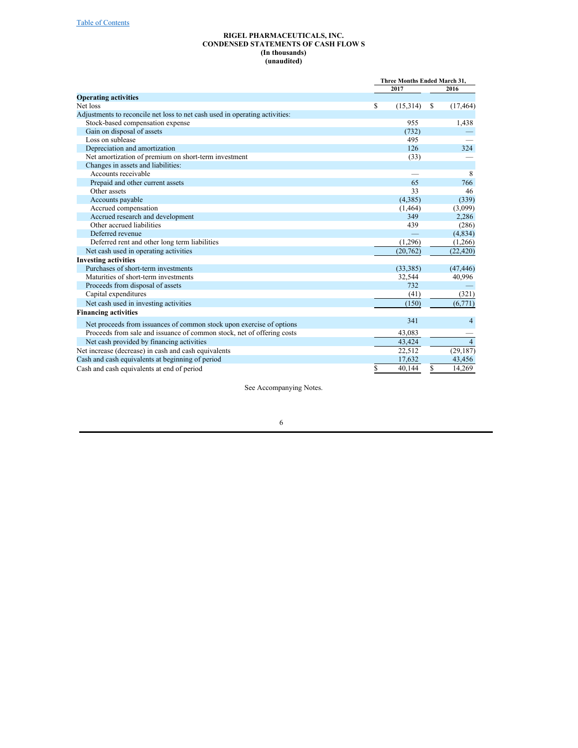# <span id="page-5-0"></span>**RIGEL PHARMACEUTICALS, INC. CONDENSED STATEMENTS OF CASH FLOW S (In thousands) (unaudited)**

|                                                                             | Three Months Ended March 31, |           |   |                |  |
|-----------------------------------------------------------------------------|------------------------------|-----------|---|----------------|--|
|                                                                             |                              | 2017      |   | 2016           |  |
| <b>Operating activities</b>                                                 |                              |           |   |                |  |
| Net loss                                                                    | S                            | (15,314)  | S | (17, 464)      |  |
| Adjustments to reconcile net loss to net cash used in operating activities: |                              |           |   |                |  |
| Stock-based compensation expense                                            |                              | 955       |   | 1,438          |  |
| Gain on disposal of assets                                                  |                              | (732)     |   |                |  |
| Loss on sublease                                                            |                              | 495       |   |                |  |
| Depreciation and amortization                                               |                              | 126       |   | 324            |  |
| Net amortization of premium on short-term investment                        |                              | (33)      |   |                |  |
| Changes in assets and liabilities:                                          |                              |           |   |                |  |
| Accounts receivable                                                         |                              |           |   | 8              |  |
| Prepaid and other current assets                                            |                              | 65        |   | 766            |  |
| Other assets                                                                |                              | 33        |   | 46             |  |
| Accounts payable                                                            |                              | (4,385)   |   | (339)          |  |
| Accrued compensation                                                        |                              | (1,464)   |   | (3,099)        |  |
| Accrued research and development                                            |                              | 349       |   | 2,286          |  |
| Other accrued liabilities                                                   |                              | 439       |   | (286)          |  |
| Deferred revenue                                                            |                              |           |   | (4,834)        |  |
| Deferred rent and other long term liabilities                               |                              | (1,296)   |   | (1,266)        |  |
| Net cash used in operating activities                                       |                              | (20, 762) |   | (22, 420)      |  |
| <b>Investing activities</b>                                                 |                              |           |   |                |  |
| Purchases of short-term investments                                         |                              | (33, 385) |   | (47, 446)      |  |
| Maturities of short-term investments                                        |                              | 32,544    |   | 40,996         |  |
| Proceeds from disposal of assets                                            |                              | 732       |   |                |  |
| Capital expenditures                                                        |                              | (41)      |   | (321)          |  |
| Net cash used in investing activities                                       |                              | (150)     |   | (6,771)        |  |
| <b>Financing activities</b>                                                 |                              |           |   |                |  |
| Net proceeds from issuances of common stock upon exercise of options        |                              | 341       |   | 4              |  |
| Proceeds from sale and issuance of common stock, net of offering costs      |                              | 43.083    |   |                |  |
| Net cash provided by financing activities                                   |                              | 43,424    |   | $\overline{4}$ |  |
| Net increase (decrease) in cash and cash equivalents                        |                              | 22,512    |   | (29, 187)      |  |
| Cash and cash equivalents at beginning of period                            |                              | 17,632    |   | 43,456         |  |
| Cash and cash equivalents at end of period                                  | \$                           | 40,144    | S | 14,269         |  |

See Accompanying Notes.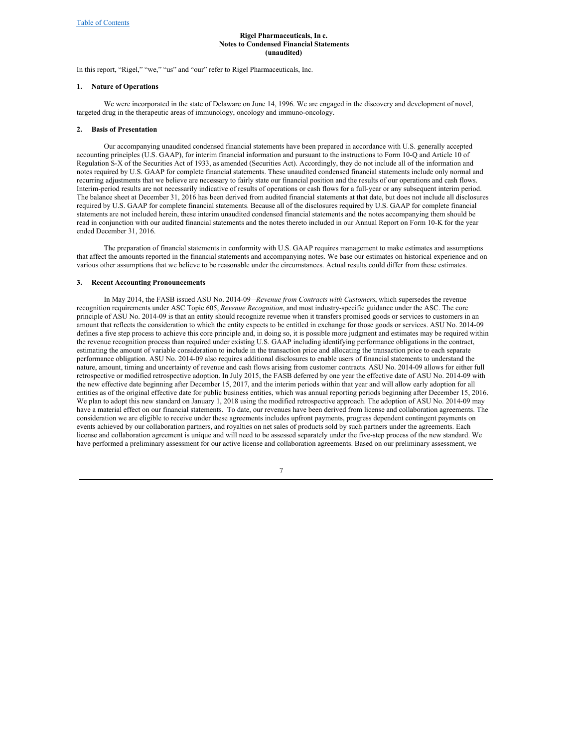# <span id="page-6-0"></span>**Rigel Pharmaceuticals, In c. Notes to Condensed Financial Statements (unaudited)**

In this report, "Rigel," "we," "us" and "our" refer to Rigel Pharmaceuticals, Inc.

# **1. Nature of Operations**

We were incorporated in the state of Delaware on June 14, 1996. We are engaged in the discovery and development of novel, targeted drug in the therapeutic areas of immunology, oncology and immuno-oncology.

# **2. Basis of Presentation**

Our accompanying unaudited condensed financial statements have been prepared in accordance with U.S. generally accepted accounting principles (U.S. GAAP), for interim financial information and pursuant to the instructions to Form 10-Q and Article 10 of Regulation S-X of the Securities Act of 1933, as amended (Securities Act). Accordingly, they do not include all of the information and notes required by U.S. GAAP for complete financial statements. These unaudited condensed financial statements include only normal and recurring adjustments that we believe are necessary to fairly state our financial position and the results of our operations and cash flows. Interim-period results are not necessarily indicative of results of operations or cash flows for a full-year or any subsequent interim period. The balance sheet at December 31, 2016 has been derived from audited financial statements at that date, but does not include all disclosures required by U.S. GAAP for complete financial statements. Because all of the disclosures required by U.S. GAAP for complete financial statements are not included herein, these interim unaudited condensed financial statements and the notes accompanying them should be read in conjunction with our audited financial statements and the notes thereto included in our Annual Report on Form 10-K for the year ended December 31, 2016.

The preparation of financial statements in conformity with U.S. GAAP requires management to make estimates and assumptions that affect the amounts reported in the financial statements and accompanying notes. We base our estimates on historical experience and on various other assumptions that we believe to be reasonable under the circumstances. Actual results could differ from these estimates.

# **3. Recent Accounting Pronouncements**

In May 2014, the FASB issued ASU No. 2014-09—*Revenue from Contracts with Customers*, which supersedes the revenue recognition requirements under ASC Topic 605, *Revenue Recognition*, and most industry-specific guidance under the ASC. The core principle of ASU No. 2014-09 is that an entity should recognize revenue when it transfers promised goods or services to customers in an amount that reflects the consideration to which the entity expects to be entitled in exchange for those goods or services. ASU No. 2014-09 defines a five step process to achieve this core principle and, in doing so, it is possible more judgment and estimates may be required within the revenue recognition process than required under existing U.S. GAAP including identifying performance obligations in the contract, estimating the amount of variable consideration to include in the transaction price and allocating the transaction price to each separate performance obligation. ASU No. 2014-09 also requires additional disclosures to enable users of financial statements to understand the nature, amount, timing and uncertainty of revenue and cash flows arising from customer contracts. ASU No. 2014-09 allows for either full retrospective or modified retrospective adoption. In July 2015, the FASB deferred by one year the effective date of ASU No. 2014-09 with the new effective date beginning after December 15, 2017, and the interim periods within that year and will allow early adoption for all entities as of the original effective date for public business entities, which was annual reporting periods beginning after December 15, 2016. We plan to adopt this new standard on January 1, 2018 using the modified retrospective approach. The adoption of ASU No. 2014-09 may have a material effect on our financial statements. To date, our revenues have been derived from license and collaboration agreements. The consideration we are eligible to receive under these agreements includes upfront payments, progress dependent contingent payments on events achieved by our collaboration partners, and royalties on net sales of products sold by such partners under the agreements. Each license and collaboration agreement is unique and will need to be assessed separately under the five-step process of the new standard. We have performed a preliminary assessment for our active license and collaboration agreements. Based on our preliminary assessment, we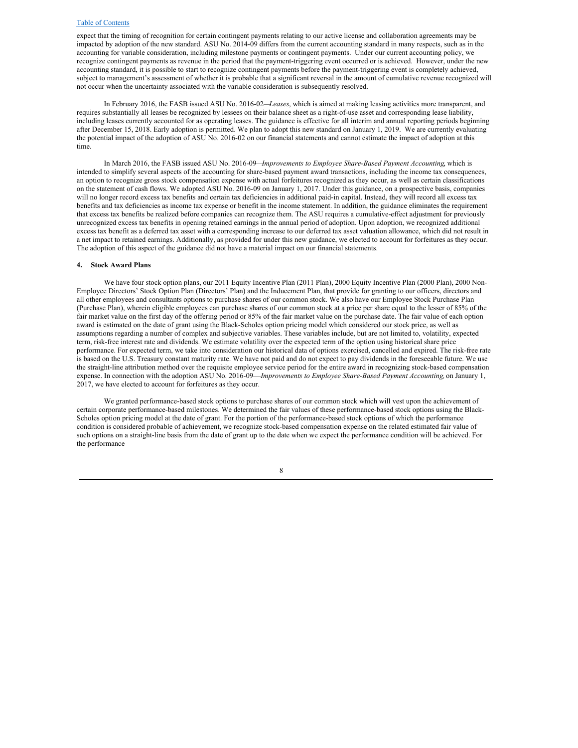expect that the timing of recognition for certain contingent payments relating to our active license and collaboration agreements may be impacted by adoption of the new standard. ASU No. 2014-09 differs from the current accounting standard in many respects, such as in the accounting for variable consideration, including milestone payments or contingent payments. Under our current accounting policy, we recognize contingent payments as revenue in the period that the payment-triggering event occurred or is achieved. However, under the new accounting standard, it is possible to start to recognize contingent payments before the payment-triggering event is completely achieved, subject to management's assessment of whether it is probable that a significant reversal in the amount of cumulative revenue recognized will not occur when the uncertainty associated with the variable consideration is subsequently resolved.

In February 2016, the FASB issued ASU No. 2016-02—*Leases*, which is aimed at making leasing activities more transparent, and requires substantially all leases be recognized by lessees on their balance sheet as a right-of-use asset and corresponding lease liability, including leases currently accounted for as operating leases. The guidance is effective for all interim and annual reporting periods beginning after December 15, 2018. Early adoption is permitted. We plan to adopt this new standard on January 1, 2019. We are currently evaluating the potential impact of the adoption of ASU No. 2016-02 on our financial statements and cannot estimate the impact of adoption at this time.

In March 2016, the FASB issued ASU No. 2016-09—*Improvements to Employee Share-Based Payment Accounting*, which is intended to simplify several aspects of the accounting for share-based payment award transactions, including the income tax consequences, an option to recognize gross stock compensation expense with actual forfeitures recognized as they occur, as well as certain classifications on the statement of cash flows. We adopted ASU No. 2016-09 on January 1, 2017. Under this guidance, on a prospective basis, companies will no longer record excess tax benefits and certain tax deficiencies in additional paid-in capital. Instead, they will record all excess tax benefits and tax deficiencies as income tax expense or benefit in the income statement. In addition, the guidance eliminates the requirement that excess tax benefits be realized before companies can recognize them. The ASU requires a cumulative-effect adjustment for previously unrecognized excess tax benefits in opening retained earnings in the annual period of adoption. Upon adoption, we recognized additional excess tax benefit as a deferred tax asset with a corresponding increase to our deferred tax asset valuation allowance, which did not result in a net impact to retained earnings. Additionally, as provided for under this new guidance, we elected to account for forfeitures as they occur. The adoption of this aspect of the guidance did not have a material impact on our financial statements.

# **4. Stock Award Plans**

We have four stock option plans, our 2011 Equity Incentive Plan (2011 Plan), 2000 Equity Incentive Plan (2000 Plan), 2000 Non-Employee Directors' Stock Option Plan (Directors' Plan) and the Inducement Plan, that provide for granting to our officers, directors and all other employees and consultants options to purchase shares of our common stock. We also have our Employee Stock Purchase Plan (Purchase Plan), wherein eligible employees can purchase shares of our common stock at a price per share equal to the lesser of 85% of the fair market value on the first day of the offering period or 85% of the fair market value on the purchase date. The fair value of each option award is estimated on the date of grant using the Black-Scholes option pricing model which considered our stock price, as well as assumptions regarding a number of complex and subjective variables. These variables include, but are not limited to, volatility, expected term, risk-free interest rate and dividends. We estimate volatility over the expected term of the option using historical share price performance. For expected term, we take into consideration our historical data of options exercised, cancelled and expired. The risk-free rate is based on the U.S. Treasury constant maturity rate. We have not paid and do not expect to pay dividends in the foreseeable future. We use the straight-line attribution method over the requisite employee service period for the entire award in recognizing stock-based compensation expense. In connection with the adoption ASU No. 2016-09—*Improvements to Employee Share-Based Payment Accounting,* on January 1, 2017, we have elected to account for forfeitures as they occur.

We granted performance-based stock options to purchase shares of our common stock which will vest upon the achievement of certain corporate performance-based milestones. We determined the fair values of these performance-based stock options using the Black-Scholes option pricing model at the date of grant. For the portion of the performance-based stock options of which the performance condition is considered probable of achievement, we recognize stock-based compensation expense on the related estimated fair value of such options on a straight-line basis from the date of grant up to the date when we expect the performance condition will be achieved. For the performance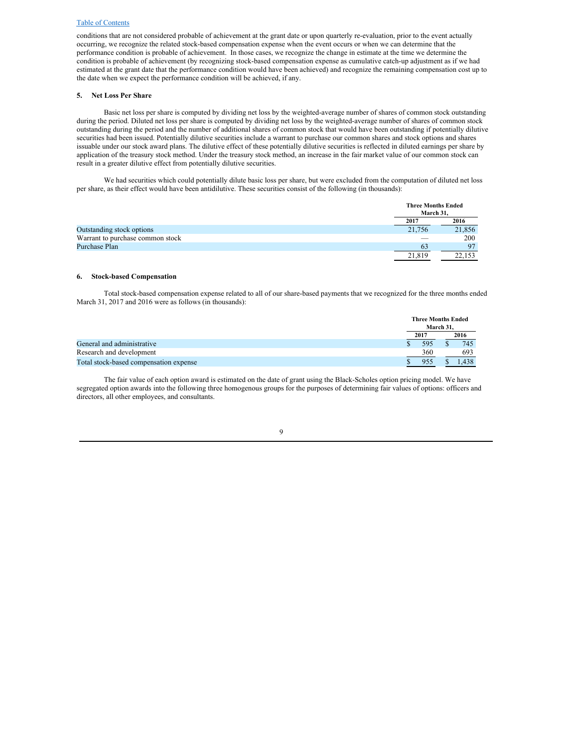conditions that are not considered probable of achievement at the grant date or upon quarterly re-evaluation, prior to the event actually occurring, we recognize the related stock-based compensation expense when the event occurs or when we can determine that the performance condition is probable of achievement. In those cases, we recognize the change in estimate at the time we determine the condition is probable of achievement (by recognizing stock-based compensation expense as cumulative catch-up adjustment as if we had estimated at the grant date that the performance condition would have been achieved) and recognize the remaining compensation cost up to the date when we expect the performance condition will be achieved, if any.

# **5. Net Loss Per Share**

Basic net loss per share is computed by dividing net loss by the weighted-average number of shares of common stock outstanding during the period. Diluted net loss per share is computed by dividing net loss by the weighted-average number of shares of common stock outstanding during the period and the number of additional shares of common stock that would have been outstanding if potentially dilutive securities had been issued. Potentially dilutive securities include a warrant to purchase our common shares and stock options and shares issuable under our stock award plans. The dilutive effect of these potentially dilutive securities is reflected in diluted earnings per share by application of the treasury stock method. Under the treasury stock method, an increase in the fair market value of our common stock can result in a greater dilutive effect from potentially dilutive securities.

We had securities which could potentially dilute basic loss per share, but were excluded from the computation of diluted net loss per share, as their effect would have been antidilutive. These securities consist of the following (in thousands):

|                                  | <b>Three Months Ended</b><br>March 31. |        |
|----------------------------------|----------------------------------------|--------|
|                                  | 2017                                   | 2016   |
| Outstanding stock options        | 21.756                                 | 21,856 |
| Warrant to purchase common stock | $\overline{\phantom{a}}$               | 200    |
| Purchase Plan                    | 63                                     | 97     |
|                                  | 21.819                                 | 22.153 |

# **6. Stock-based Compensation**

Total stock-based compensation expense related to all of our share-based payments that we recognized for the three months ended March 31, 2017 and 2016 were as follows (in thousands):

|                                        | <b>Three Months Ended</b> | March 31. |      |  |
|----------------------------------------|---------------------------|-----------|------|--|
|                                        | 2017                      |           | 2016 |  |
| General and administrative             | 595                       |           | 745  |  |
| Research and development               | 360                       |           | 693  |  |
| Total stock-based compensation expense | 955                       |           | .438 |  |

The fair value of each option award is estimated on the date of grant using the Black-Scholes option pricing model. We have segregated option awards into the following three homogenous groups for the purposes of determining fair values of options: officers and directors, all other employees, and consultants.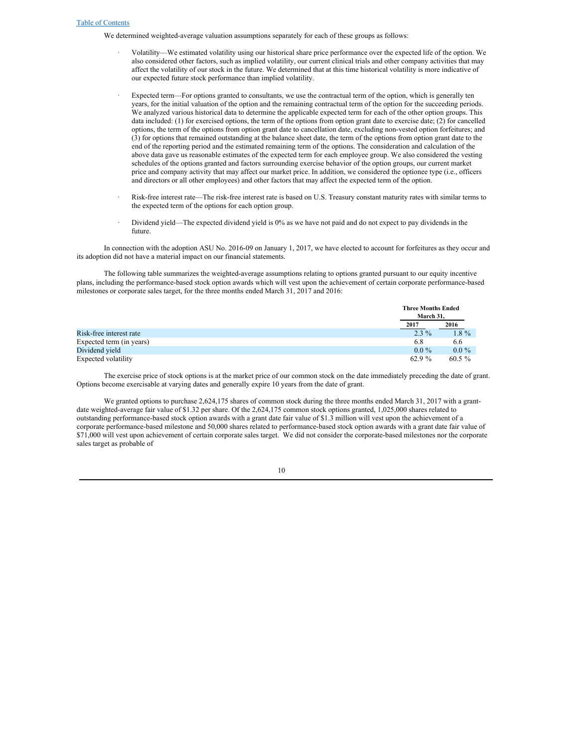We determined weighted-average valuation assumptions separately for each of these groups as follows:

- · Volatility—We estimated volatility using our historical share price performance over the expected life of the option. We also considered other factors, such as implied volatility, our current clinical trials and other company activities that may affect the volatility of our stock in the future. We determined that at this time historical volatility is more indicative of our expected future stock performance than implied volatility.
- Expected term—For options granted to consultants, we use the contractual term of the option, which is generally ten years, for the initial valuation of the option and the remaining contractual term of the option for the succeeding periods. We analyzed various historical data to determine the applicable expected term for each of the other option groups. This data included: (1) for exercised options, the term of the options from option grant date to exercise date; (2) for cancelled options, the term of the options from option grant date to cancellation date, excluding non-vested option forfeitures; and (3) for options that remained outstanding at the balance sheet date, the term of the options from option grant date to the end of the reporting period and the estimated remaining term of the options. The consideration and calculation of the above data gave us reasonable estimates of the expected term for each employee group. We also considered the vesting schedules of the options granted and factors surrounding exercise behavior of the option groups, our current market price and company activity that may affect our market price. In addition, we considered the optionee type (i.e., officers and directors or all other employees) and other factors that may affect the expected term of the option.
- Risk-free interest rate—The risk-free interest rate is based on U.S. Treasury constant maturity rates with similar terms to the expected term of the options for each option group.
- Dividend yield—The expected dividend yield is 0% as we have not paid and do not expect to pay dividends in the future.

In connection with the adoption ASU No. 2016-09 on January 1, 2017, we have elected to account for forfeitures as they occur and its adoption did not have a material impact on our financial statements.

The following table summarizes the weighted-average assumptions relating to options granted pursuant to our equity incentive plans, including the performance-based stock option awards which will vest upon the achievement of certain corporate performance-based milestones or corporate sales target, for the three months ended March 31, 2017 and 2016:

|                          | <b>Three Months Ended</b><br>March 31. |           |
|--------------------------|----------------------------------------|-----------|
|                          | 2017                                   | 2016      |
| Risk-free interest rate  | $2.3\%$                                | $1.8\%$   |
| Expected term (in years) | 6.8                                    | 6.6       |
| Dividend yield           | $0.0\%$                                | $0.0\%$   |
| Expected volatility      | 62.9 %                                 | $60.5 \%$ |

The exercise price of stock options is at the market price of our common stock on the date immediately preceding the date of grant. Options become exercisable at varying dates and generally expire 10 years from the date of grant.

We granted options to purchase 2,624,175 shares of common stock during the three months ended March 31, 2017 with a grantdate weighted-average fair value of \$1.32 per share. Of the 2,624,175 common stock options granted, 1,025,000 shares related to outstanding performance-based stock option awards with a grant date fair value of \$1.3 million will vest upon the achievement of a corporate performance-based milestone and 50,000 shares related to performance-based stock option awards with a grant date fair value of \$71,000 will vest upon achievement of certain corporate sales target. We did not consider the corporate-based milestones nor the corporate sales target as probable of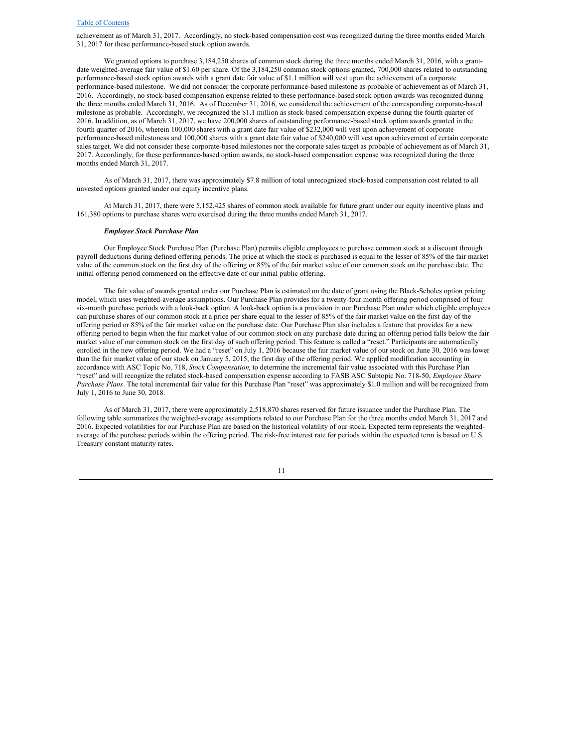achievement as of March 31, 2017. Accordingly, no stock-based compensation cost was recognized during the three months ended March 31, 2017 for these performance-based stock option awards.

We granted options to purchase 3,184,250 shares of common stock during the three months ended March 31, 2016, with a grantdate weighted-average fair value of \$1.60 per share. Of the 3,184,250 common stock options granted, 700,000 shares related to outstanding performance-based stock option awards with a grant date fair value of \$1.1 million will vest upon the achievement of a corporate performance-based milestone. We did not consider the corporate performance-based milestone as probable of achievement as of March 31, 2016. Accordingly, no stock-based compensation expense related to these performance-based stock option awards was recognized during the three months ended March 31, 2016. As of December 31, 2016, we considered the achievement of the corresponding corporate-based milestone as probable. Accordingly, we recognized the \$1.1 million as stock-based compensation expense during the fourth quarter of 2016. In addition, as of March 31, 2017, we have 200,000 shares of outstanding performance-based stock option awards granted in the fourth quarter of 2016, wherein 100,000 shares with a grant date fair value of \$232,000 will vest upon achievement of corporate performance-based milestoness and 100,000 shares with a grant date fair value of \$240,000 will vest upon achievement of certain corporate sales target. We did not consider these corporate-based milestones nor the corporate sales target as probable of achievement as of March 31, 2017. Accordingly, for these performance-based option awards, no stock-based compensation expense was recognized during the three months ended March 31, 2017.

As of March 31, 2017, there was approximately \$7.8 million of total unrecognized stock-based compensation cost related to all unvested options granted under our equity incentive plans.

At March 31, 2017, there were 5,152,425 shares of common stock available for future grant under our equity incentive plans and 161,380 options to purchase shares were exercised during the three months ended March 31, 2017.

#### *Employee Stock Purchase Plan*

Our Employee Stock Purchase Plan (Purchase Plan) permits eligible employees to purchase common stock at a discount through payroll deductions during defined offering periods. The price at which the stock is purchased is equal to the lesser of 85% of the fair market value of the common stock on the first day of the offering or 85% of the fair market value of our common stock on the purchase date. The initial offering period commenced on the effective date of our initial public offering.

The fair value of awards granted under our Purchase Plan is estimated on the date of grant using the Black-Scholes option pricing model, which uses weighted-average assumptions. Our Purchase Plan provides for a twenty-four month offering period comprised of four six-month purchase periods with a look-back option. A look-back option is a provision in our Purchase Plan under which eligible employees can purchase shares of our common stock at a price per share equal to the lesser of 85% of the fair market value on the first day of the offering period or 85% of the fair market value on the purchase date. Our Purchase Plan also includes a feature that provides for a new offering period to begin when the fair market value of our common stock on any purchase date during an offering period falls below the fair market value of our common stock on the first day of such offering period. This feature is called a "reset." Participants are automatically enrolled in the new offering period. We had a "reset" on July 1, 2016 because the fair market value of our stock on June 30, 2016 was lower than the fair market value of our stock on January 5, 2015, the first day of the offering period. We applied modification accounting in accordance with ASC Topic No. 718, *Stock Compensation,* to determine the incremental fair value associated with this Purchase Plan "reset" and will recognize the related stock-based compensation expense according to FASB ASC Subtopic No. 718-50, *Employee Share Purchase Plans*. The total incremental fair value for this Purchase Plan "reset" was approximately \$1.0 million and will be recognized from July 1, 2016 to June 30, 2018.

As of March 31, 2017, there were approximately 2,518,870 shares reserved for future issuance under the Purchase Plan. The following table summarizes the weighted-average assumptions related to our Purchase Plan for the three months ended March 31, 2017 and 2016. Expected volatilities for our Purchase Plan are based on the historical volatility of our stock. Expected term represents the weightedaverage of the purchase periods within the offering period. The risk-free interest rate for periods within the expected term is based on U.S. Treasury constant maturity rates.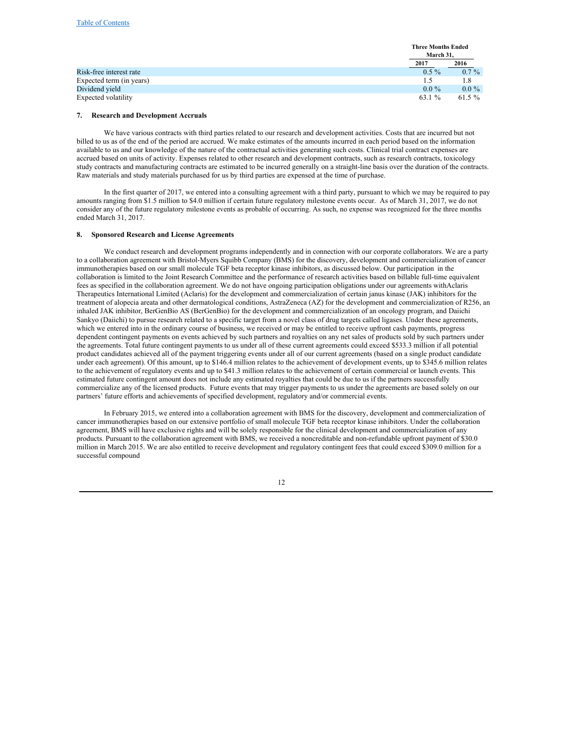|                          | <b>Three Months Ended</b> |         |
|--------------------------|---------------------------|---------|
|                          | March 31.                 |         |
|                          | 2017                      | 2016    |
| Risk-free interest rate  | $0.5\%$                   | $0.7\%$ |
| Expected term (in years) | 1.5                       | 1.8     |
| Dividend yield           | $0.0\%$                   | $0.0\%$ |
| Expected volatility      | 63.1 %                    | 61.5 %  |

# **7. Research and Development Accruals**

We have various contracts with third parties related to our research and development activities. Costs that are incurred but not billed to us as of the end of the period are accrued. We make estimates of the amounts incurred in each period based on the information available to us and our knowledge of the nature of the contractual activities generating such costs. Clinical trial contract expenses are accrued based on units of activity. Expenses related to other research and development contracts, such as research contracts, toxicology study contracts and manufacturing contracts are estimated to be incurred generally on a straight-line basis over the duration of the contracts. Raw materials and study materials purchased for us by third parties are expensed at the time of purchase.

In the first quarter of 2017, we entered into a consulting agreement with a third party, pursuant to which we may be required to pay amounts ranging from \$1.5 million to \$4.0 million if certain future regulatory milestone events occur. As of March 31, 2017, we do not consider any of the future regulatory milestone events as probable of occurring. As such, no expense was recognized for the three months ended March 31, 2017.

# **8. Sponsored Research and License Agreements**

We conduct research and development programs independently and in connection with our corporate collaborators. We are a party to a collaboration agreement with Bristol-Myers Squibb Company (BMS) for the discovery, development and commercialization of cancer immunotherapies based on our small molecule TGF beta receptor kinase inhibitors, as discussed below. Our participation in the collaboration is limited to the Joint Research Committee and the performance of research activities based on billable full-time equivalent fees as specified in the collaboration agreement. We do not have ongoing participation obligations under our agreements withAclaris Therapeutics International Limited (Aclaris) for the development and commercialization of certain janus kinase (JAK) inhibitors for the treatment of alopecia areata and other dermatological conditions, AstraZeneca (AZ) for the development and commercialization of R256, an inhaled JAK inhibitor, BerGenBio AS (BerGenBio) for the development and commercialization of an oncology program, and Daiichi Sankyo (Daiichi) to pursue research related to a specific target from a novel class of drug targets called ligases. Under these agreements, which we entered into in the ordinary course of business, we received or may be entitled to receive upfront cash payments, progress dependent contingent payments on events achieved by such partners and royalties on any net sales of products sold by such partners under the agreements. Total future contingent payments to us under all of these current agreements could exceed \$533.3 million if all potential product candidates achieved all of the payment triggering events under all of our current agreements (based on a single product candidate under each agreement). Of this amount, up to \$146.4 million relates to the achievement of development events, up to \$345.6 million relates to the achievement of regulatory events and up to \$41.3 million relates to the achievement of certain commercial or launch events. This estimated future contingent amount does not include any estimated royalties that could be due to us if the partners successfully commercialize any of the licensed products. Future events that may trigger payments to us under the agreements are based solely on our partners' future efforts and achievements of specified development, regulatory and/or commercial events.

In February 2015, we entered into a collaboration agreement with BMS for the discovery, development and commercialization of cancer immunotherapies based on our extensive portfolio of small molecule TGF beta receptor kinase inhibitors. Under the collaboration agreement, BMS will have exclusive rights and will be solely responsible for the clinical development and commercialization of any products. Pursuant to the collaboration agreement with BMS, we received a noncreditable and non-refundable upfront payment of \$30.0 million in March 2015. We are also entitled to receive development and regulatory contingent fees that could exceed \$309.0 million for a successful compound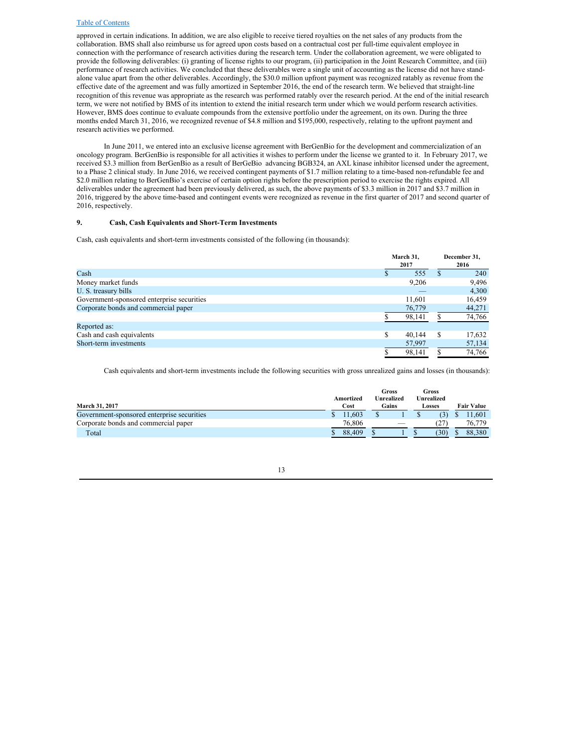approved in certain indications. In addition, we are also eligible to receive tiered royalties on the net sales of any products from the collaboration. BMS shall also reimburse us for agreed upon costs based on a contractual cost per full-time equivalent employee in connection with the performance of research activities during the research term. Under the collaboration agreement, we were obligated to provide the following deliverables: (i) granting of license rights to our program, (ii) participation in the Joint Research Committee, and (iii) performance of research activities. We concluded that these deliverables were a single unit of accounting as the license did not have standalone value apart from the other deliverables. Accordingly, the \$30.0 million upfront payment was recognized ratably as revenue from the effective date of the agreement and was fully amortized in September 2016, the end of the research term. We believed that straight-line recognition of this revenue was appropriate as the research was performed ratably over the research period. At the end of the initial research term, we were not notified by BMS of its intention to extend the initial research term under which we would perform research activities. However, BMS does continue to evaluate compounds from the extensive portfolio under the agreement, on its own. During the three months ended March 31, 2016, we recognized revenue of \$4.8 million and \$195,000, respectively, relating to the upfront payment and research activities we performed.

In June 2011, we entered into an exclusive license agreement with BerGenBio for the development and commercialization of an oncology program. BerGenBio is responsible for all activities it wishes to perform under the license we granted to it. In February 2017, we received \$3.3 million from BerGenBio as a result of BerGeBio advancing BGB324, an AXL kinase inhibitor licensed under the agreement, to a Phase 2 clinical study. In June 2016, we received contingent payments of \$1.7 million relating to a time-based non-refundable fee and \$2.0 million relating to BerGenBio's exercise of certain option rights before the prescription period to exercise the rights expired. All deliverables under the agreement had been previously delivered, as such, the above payments of \$3.3 million in 2017 and \$3.7 million in 2016, triggered by the above time-based and contingent events were recognized as revenue in the first quarter of 2017 and second quarter of 2016, respectively.

# **9. Cash, Cash Equivalents and Short-Term Investments**

Cash, cash equivalents and short-term investments consisted of the following (in thousands):

|                                            |   | March 31,<br>2017 |   | December 31,<br>2016 |  |  |
|--------------------------------------------|---|-------------------|---|----------------------|--|--|
| Cash                                       |   | 555               | S | 240                  |  |  |
| Money market funds                         |   | 9,206             |   | 9,496                |  |  |
| U. S. treasury bills                       |   |                   |   | 4,300                |  |  |
| Government-sponsored enterprise securities |   | 11,601            |   | 16,459               |  |  |
| Corporate bonds and commercial paper       |   | 76,779            |   | 44,271               |  |  |
|                                            |   | 98,141            |   | 74,766               |  |  |
| Reported as:                               |   |                   |   |                      |  |  |
| Cash and cash equivalents                  | S | 40,144            | S | 17,632               |  |  |
| Short-term investments                     |   | 57,997            |   | 57,134               |  |  |
|                                            |   | 98.141            | S | 74.766               |  |  |

Cash equivalents and short-term investments include the following securities with gross unrealized gains and losses (in thousands):

|                                            |   |           | Gross                    |        | Gross      |                   |
|--------------------------------------------|---|-----------|--------------------------|--------|------------|-------------------|
|                                            |   | Amortized | Unrealized               |        | Unrealized |                   |
| <b>March 31, 2017</b>                      |   | Cost      | Gains                    | Losses |            | <b>Fair Value</b> |
| Government-sponsored enterprise securities | S | 1.603     |                          |        | ا فا       | 1.601             |
| Corporate bonds and commercial paper       |   | 76,806    | $\overline{\phantom{a}}$ |        | 27         | 76.779            |
| Total                                      |   | 88,409    |                          |        | (30)       | 88,380            |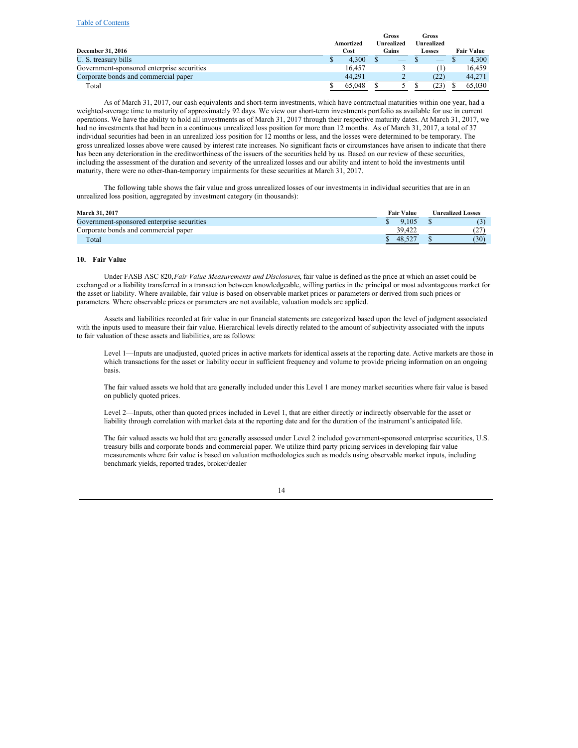|                                            |           |  | Gross      |        | Gross      |                   |
|--------------------------------------------|-----------|--|------------|--------|------------|-------------------|
|                                            | Amortized |  | Unrealized |        | Unrealized |                   |
| December 31, 2016                          | Cost      |  | Gains      | Losses |            | <b>Fair Value</b> |
| U. S. treasury bills                       | 4.300     |  |            |        |            | 4.300             |
| Government-sponsored enterprise securities | 16.457    |  |            |        |            | 16.459            |
| Corporate bonds and commercial paper       | 44.291    |  |            |        | $^{(22)}$  | 44,271            |
| Total                                      | 65,048    |  |            |        | 23)        | 65,030            |

As of March 31, 2017, our cash equivalents and short-term investments, which have contractual maturities within one year, had a weighted-average time to maturity of approximately 92 days. We view our short-term investments portfolio as available for use in current operations. We have the ability to hold all investments as of March 31, 2017 through their respective maturity dates. At March 31, 2017, we had no investments that had been in a continuous unrealized loss position for more than 12 months. As of March 31, 2017, a total of 37 individual securities had been in an unrealized loss position for 12 months or less, and the losses were determined to be temporary. The gross unrealized losses above were caused by interest rate increases. No significant facts or circumstances have arisen to indicate that there has been any deterioration in the creditworthiness of the issuers of the securities held by us. Based on our review of these securities, including the assessment of the duration and severity of the unrealized losses and our ability and intent to hold the investments until maturity, there were no other-than-temporary impairments for these securities at March 31, 2017.

The following table shows the fair value and gross unrealized losses of our investments in individual securities that are in an unrealized loss position, aggregated by investment category (in thousands):

| <b>March 31, 2017</b>                      | <b>Fair Value</b> | <b>Unrealized Losses</b> |      |
|--------------------------------------------|-------------------|--------------------------|------|
| Government-sponsored enterprise securities | 9.105             |                          |      |
| Corporate bonds and commercial paper       | 39.422            |                          | (27) |
| Total                                      | 48.527            |                          | (30) |

# **10. Fair Value**

Under FASB ASC 820,*Fair Value Measurements and Disclosures*, fair value is defined as the price at which an asset could be exchanged or a liability transferred in a transaction between knowledgeable, willing parties in the principal or most advantageous market for the asset or liability. Where available, fair value is based on observable market prices or parameters or derived from such prices or parameters. Where observable prices or parameters are not available, valuation models are applied.

Assets and liabilities recorded at fair value in our financial statements are categorized based upon the level of judgment associated with the inputs used to measure their fair value. Hierarchical levels directly related to the amount of subjectivity associated with the inputs to fair valuation of these assets and liabilities, are as follows:

Level 1—Inputs are unadjusted, quoted prices in active markets for identical assets at the reporting date. Active markets are those in which transactions for the asset or liability occur in sufficient frequency and volume to provide pricing information on an ongoing basis.

The fair valued assets we hold that are generally included under this Level 1 are money market securities where fair value is based on publicly quoted prices.

Level 2—Inputs, other than quoted prices included in Level 1, that are either directly or indirectly observable for the asset or liability through correlation with market data at the reporting date and for the duration of the instrument's anticipated life.

The fair valued assets we hold that are generally assessed under Level 2 included government-sponsored enterprise securities, U.S. treasury bills and corporate bonds and commercial paper. We utilize third party pricing services in developing fair value measurements where fair value is based on valuation methodologies such as models using observable market inputs, including benchmark yields, reported trades, broker/dealer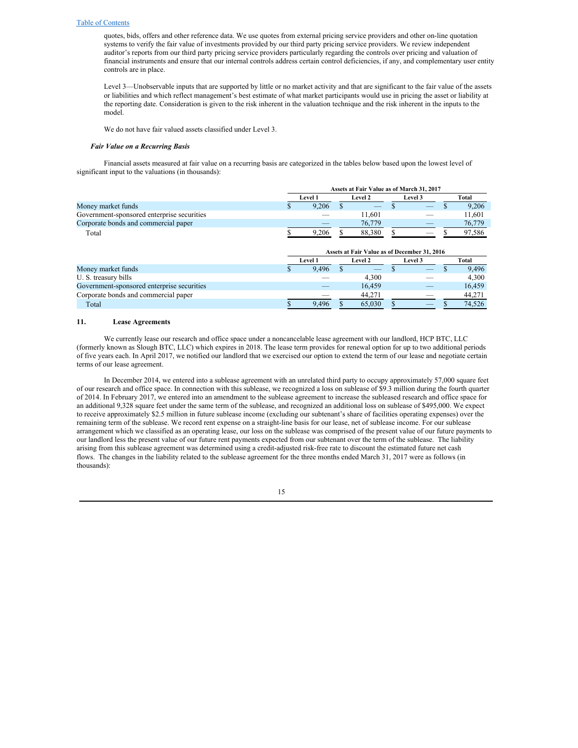quotes, bids, offers and other reference data. We use quotes from external pricing service providers and other on-line quotation systems to verify the fair value of investments provided by our third party pricing service providers. We review independent auditor's reports from our third party pricing service providers particularly regarding the controls over pricing and valuation of financial instruments and ensure that our internal controls address certain control deficiencies, if any, and complementary user entity controls are in place.

Level 3—Unobservable inputs that are supported by little or no market activity and that are significant to the fair value of the assets or liabilities and which reflect management's best estimate of what market participants would use in pricing the asset or liability at the reporting date. Consideration is given to the risk inherent in the valuation technique and the risk inherent in the inputs to the model.

We do not have fair valued assets classified under Level 3.

### *Fair Value on a Recurring Basis*

Financial assets measured at fair value on a recurring basis are categorized in the tables below based upon the lowest level of significant input to the valuations (in thousands):

|                                            | Assets at Fair Value as of March 31, 2017 |       |                |                          |                |   |  |        |       |  |
|--------------------------------------------|-------------------------------------------|-------|----------------|--------------------------|----------------|---|--|--------|-------|--|
|                                            | Level 1                                   |       | <b>Level 2</b> |                          | <b>Level 3</b> |   |  |        | Total |  |
| Money market funds                         |                                           | 9.206 |                | $\overline{\phantom{a}}$ |                | _ |  | 9,206  |       |  |
| Government-sponsored enterprise securities |                                           |       |                | 11.601                   |                | - |  | 11.601 |       |  |
| Corporate bonds and commercial paper       |                                           |       |                | 76.779                   |                |   |  | 76,779 |       |  |
| Total                                      |                                           | 9.206 |                | 88.380                   |                |   |  | 97.586 |       |  |

|                                            | Assets at Fair Value as of December 31, 2016 |         |  |                          |  |         |  |        |  |  |
|--------------------------------------------|----------------------------------------------|---------|--|--------------------------|--|---------|--|--------|--|--|
|                                            |                                              | Level 1 |  | Level 2                  |  | Level 3 |  | Total  |  |  |
| Money market funds                         |                                              | 9.496   |  | $\overline{\phantom{a}}$ |  | $-$     |  | 9.496  |  |  |
| U. S. treasury bills                       |                                              |         |  | 4.300                    |  |         |  | 4,300  |  |  |
| Government-sponsored enterprise securities |                                              |         |  | 16.459                   |  |         |  | 16.459 |  |  |
| Corporate bonds and commercial paper       |                                              |         |  | 44.271                   |  | ___     |  | 44.271 |  |  |
| Total                                      |                                              | 9.496   |  | 65,030                   |  | $-$     |  | 74.526 |  |  |

# **11. Lease Agreements**

We currently lease our research and office space under a noncancelable lease agreement with our landlord, HCP BTC, LLC (formerly known as Slough BTC, LLC) which expires in 2018. The lease term provides for renewal option for up to two additional periods of five years each. In April 2017, we notified our landlord that we exercised our option to extend the term of our lease and negotiate certain terms of our lease agreement.

In December 2014, we entered into a sublease agreement with an unrelated third party to occupy approximately 57,000 square feet of our research and office space. In connection with this sublease, we recognized a loss on sublease of \$9.3 million during the fourth quarter of 2014. In February 2017, we entered into an amendment to the sublease agreement to increase the subleased research and office space for an additional 9,328 square feet under the same term of the sublease, and recognized an additional loss on sublease of \$495,000. We expect to receive approximately \$2.5 million in future sublease income (excluding our subtenant's share of facilities operating expenses) over the remaining term of the sublease. We record rent expense on a straight-line basis for our lease, net of sublease income. For our sublease arrangement which we classified as an operating lease, our loss on the sublease was comprised of the present value of our future payments to our landlord less the present value of our future rent payments expected from our subtenant over the term of the sublease. The liability arising from this sublease agreement was determined using a credit-adjusted risk-free rate to discount the estimated future net cash flows. The changes in the liability related to the sublease agreement for the three months ended March 31, 2017 were as follows (in thousands):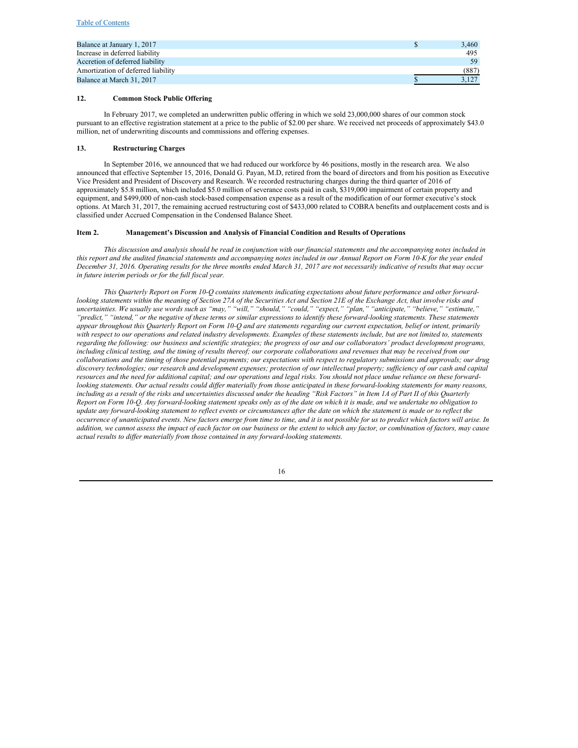| Balance at January 1, 2017         | 3.460 |
|------------------------------------|-------|
| Increase in deferred liability     | 495   |
| Accretion of deferred liability    | 59    |
| Amortization of deferred liability | (887) |
| Balance at March 31, 2017          | 3.127 |

# **12. Common Stock Public Offering**

In February 2017, we completed an underwritten public offering in which we sold 23,000,000 shares of our common stock pursuant to an effective registration statement at a price to the public of \$2.00 per share. We received net proceeds of approximately \$43.0 million, net of underwriting discounts and commissions and offering expenses.

# **13. Restructuring Charges**

In September 2016, we announced that we had reduced our workforce by 46 positions, mostly in the research area. We also announced that effective September 15, 2016, Donald G. Payan, M.D, retired from the board of directors and from his position as Executive Vice President and President of Discovery and Research. We recorded restructuring charges during the third quarter of 2016 of approximately \$5.8 million, which included \$5.0 million of severance costs paid in cash, \$319,000 impairment of certain property and equipment, and \$499,000 of non-cash stock-based compensation expense as a result of the modification of our former executive's stock options. At March 31, 2017, the remaining accrued restructuring cost of \$433,000 related to COBRA benefits and outplacement costs and is classified under Accrued Compensation in the Condensed Balance Sheet.

# <span id="page-15-0"></span>**Item 2. Management's Discussion and Analysis of Financial Condition and Results of Operations**

This discussion and analysis should be read in conjunction with our financial statements and the accompanying notes included in this report and the audited financial statements and accompanying notes included in our Annual Report on Form 10-K for the year ended December 31, 2016. Operating results for the three months ended March 31, 2017 are not necessarily indicative of results that may occur *in future interim periods or for the full fiscal year.*

This Quarterly Report on Form 10-Q contains statements indicating expectations about future performance and other forwardlooking statements within the meaning of Section 27A of the Securities Act and Section 21E of the Exchange Act, that involve risks and uncertainties. We usually use words such as "may," "will," "should," "could," "expect," "plan," "anticipate," "believe," "estimate, "predict," "intend," or the negative of these terms or similar expressions to identify these forward-looking statements. These statements appear throughout this Quarterly Report on Form 10-Q and are statements regarding our current expectation, belief or intent, primarily with respect to our operations and related industry developments. Examples of these statements include, but are not limited to, statements regarding the following: our business and scientific strategies; the progress of our and our collaborators' product development programs, including clinical testing, and the timing of results thereof; our corporate collaborations and revenues that may be received from our collaborations and the timing of those potential payments; our expectations with respect to regulatory submissions and approvals; our drug discovery technologies; our research and development expenses; protection of our intellectual property; sufficiency of our cash and capital resources and the need for additional capital; and our operations and legal risks. You should not place undue reliance on these forwardlooking statements. Our actual results could differ materially from those anticipated in these forward-looking statements for many reasons, including as a result of the risks and uncertainties discussed under the heading "Risk Factors" in Item 1A of Part II of this Quarterly Report on Form 10-Q. Any forward-looking statement speaks only as of the date on which it is made, and we undertake no obligation to update any forward-looking statement to reflect events or circumstances after the date on which the statement is made or to reflect the occurrence of unanticipated events. New factors emerge from time to time, and it is not possible for us to predict which factors will arise. In addition, we cannot assess the impact of each factor on our business or the extent to which any factor, or combination of factors, may cause *actual results to dif er materially from those contained in any forward-looking statements.*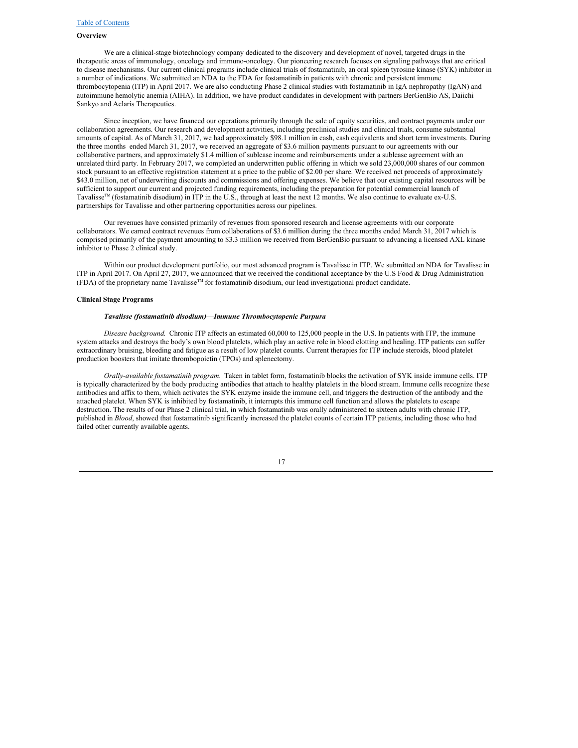# **Overview**

We are a clinical-stage biotechnology company dedicated to the discovery and development of novel, targeted drugs in the therapeutic areas of immunology, oncology and immuno-oncology. Our pioneering research focuses on signaling pathways that are critical to disease mechanisms. Our current clinical programs include clinical trials of fostamatinib, an oral spleen tyrosine kinase (SYK) inhibitor in a number of indications. We submitted an NDA to the FDA for fostamatinib in patients with chronic and persistent immune thrombocytopenia (ITP) in April 2017. We are also conducting Phase 2 clinical studies with fostamatinib in IgA nephropathy (IgAN) and autoimmune hemolytic anemia (AIHA). In addition, we have product candidates in development with partners BerGenBio AS, Daiichi Sankyo and Aclaris Therapeutics.

Since inception, we have financed our operations primarily through the sale of equity securities, and contract payments under our collaboration agreements. Our research and development activities, including preclinical studies and clinical trials, consume substantial amounts of capital. As of March 31, 2017, we had approximately \$98.1 million in cash, cash equivalents and short term investments. During the three months ended March 31, 2017, we received an aggregate of \$3.6 million payments pursuant to our agreements with our collaborative partners, and approximately \$1.4 million of sublease income and reimbursements under a sublease agreement with an unrelated third party. In February 2017, we completed an underwritten public offering in which we sold 23,000,000 shares of our common stock pursuant to an effective registration statement at a price to the public of \$2.00 per share. We received net proceeds of approximately \$43.0 million, net of underwriting discounts and commissions and offering expenses. We believe that our existing capital resources will be sufficient to support our current and projected funding requirements, including the preparation for potential commercial launch of Tavalisse<sup>™</sup> (fostamatinib disodium) in ITP in the U.S., through at least the next 12 months. We also continue to evaluate ex-U.S. partnerships for Tavalisse and other partnering opportunities across our pipelines.

Our revenues have consisted primarily of revenues from sponsored research and license agreements with our corporate collaborators. We earned contract revenues from collaborations of \$3.6 million during the three months ended March 31, 2017 which is comprised primarily of the payment amounting to \$3.3 million we received from BerGenBio pursuant to advancing a licensed AXL kinase inhibitor to Phase 2 clinical study.

Within our product development portfolio, our most advanced program is Tavalisse in ITP. We submitted an NDA for Tavalisse in ITP in April 2017. On April 27, 2017, we announced that we received the conditional acceptance by the U.S Food & Drug Administration  $(FDA)$  of the proprietary name Tavalisse<sup>™</sup> for fostamatinib disodium, our lead investigational product candidate.

### **Clinical Stage Programs**

# *Tavalisse (fostamatinib disodium)—Immune Thrombocytopenic Purpura*

*Disease background.* Chronic ITP affects an estimated 60,000 to 125,000 people in the U.S. In patients with ITP, the immune system attacks and destroys the body's own blood platelets, which play an active role in blood clotting and healing. ITP patients can suffer extraordinary bruising, bleeding and fatigue as a result of low platelet counts. Current therapies for ITP include steroids, blood platelet production boosters that imitate thrombopoietin (TPOs) and splenectomy.

*Orally-available fostamatinib program.* Taken in tablet form, fostamatinib blocks the activation of SYK inside immune cells. ITP is typically characterized by the body producing antibodies that attach to healthy platelets in the blood stream. Immune cells recognize these antibodies and affix to them, which activates the SYK enzyme inside the immune cell, and triggers the destruction of the antibody and the attached platelet. When SYK is inhibited by fostamatinib, it interrupts this immune cell function and allows the platelets to escape destruction. The results of our Phase 2 clinical trial, in which fostamatinib was orally administered to sixteen adults with chronic ITP, published in *Blood*, showed that fostamatinib significantly increased the platelet counts of certain ITP patients, including those who had failed other currently available agents.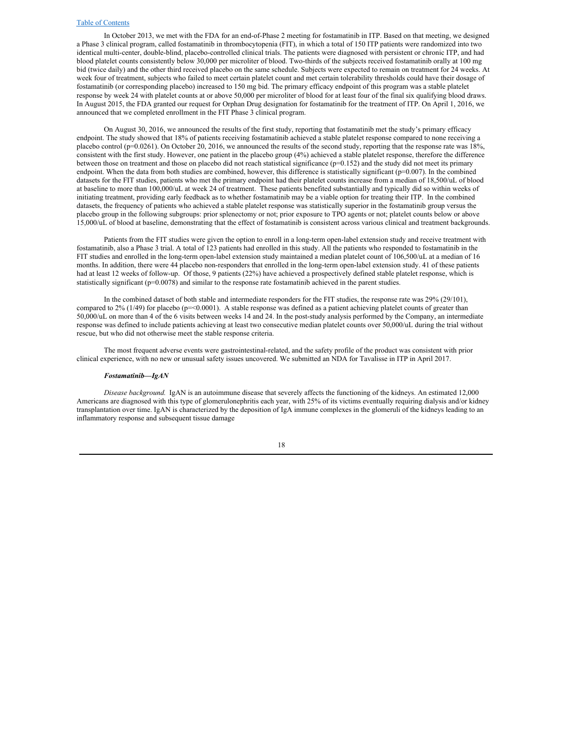In October 2013, we met with the FDA for an end-of-Phase 2 meeting for fostamatinib in ITP. Based on that meeting, we designed a Phase 3 clinical program, called fostamatinib in thrombocytopenia (FIT), in which a total of 150 ITP patients were randomized into two identical multi-center, double-blind, placebo-controlled clinical trials. The patients were diagnosed with persistent or chronic ITP, and had blood platelet counts consistently below 30,000 per microliter of blood. Two-thirds of the subjects received fostamatinib orally at 100 mg bid (twice daily) and the other third received placebo on the same schedule. Subjects were expected to remain on treatment for 24 weeks. At week four of treatment, subjects who failed to meet certain platelet count and met certain tolerability thresholds could have their dosage of fostamatinib (or corresponding placebo) increased to 150 mg bid. The primary efficacy endpoint of this program was a stable platelet response by week 24 with platelet counts at or above 50,000 per microliter of blood for at least four of the final six qualifying blood draws. In August 2015, the FDA granted our request for Orphan Drug designation for fostamatinib for the treatment of ITP. On April 1, 2016, we announced that we completed enrollment in the FIT Phase 3 clinical program.

On August 30, 2016, we announced the results of the first study, reporting that fostamatinib met the study's primary efficacy endpoint. The study showed that 18% of patients receiving fostamatinib achieved a stable platelet response compared to none receiving a placebo control (p=0.0261). On October 20, 2016, we announced the results of the second study, reporting that the response rate was 18%, consistent with the first study. However, one patient in the placebo group (4%) achieved a stable platelet response, therefore the difference between those on treatment and those on placebo did not reach statistical significance (p=0.152) and the study did not meet its primary endpoint. When the data from both studies are combined, however, this difference is statistically significant (p=0.007). In the combined datasets for the FIT studies, patients who met the primary endpoint had their platelet counts increase from a median of 18,500/uL of blood at baseline to more than 100,000/uL at week 24 of treatment. These patients benefited substantially and typically did so within weeks of initiating treatment, providing early feedback as to whether fostamatinib may be a viable option for treating their ITP. In the combined datasets, the frequency of patients who achieved a stable platelet response was statistically superior in the fostamatinib group versus the placebo group in the following subgroups: prior splenectomy or not; prior exposure to TPO agents or not; platelet counts below or above 15,000/uL of blood at baseline, demonstrating that the effect of fostamatinib is consistent across various clinical and treatment backgrounds.

Patients from the FIT studies were given the option to enroll in a long-term open-label extension study and receive treatment with fostamatinib, also a Phase 3 trial. A total of 123 patients had enrolled in this study. All the patients who responded to fostamatinib in the FIT studies and enrolled in the long-term open-label extension study maintained a median platelet count of 106,500/uL at a median of 16 months. In addition, there were 44 placebo non-responders that enrolled in the long-term open-label extension study. 41 of these patients had at least 12 weeks of follow-up. Of those, 9 patients (22%) have achieved a prospectively defined stable platelet response, which is statistically significant  $(p=0.0078)$  and similar to the response rate fostamatinib achieved in the parent studies.

In the combined dataset of both stable and intermediate responders for the FIT studies, the response rate was 29% (29/101), compared to  $2\%$  (1/49) for placebo (p=<0.0001). A stable response was defined as a patient achieving platelet counts of greater than 50,000/uL on more than 4 of the 6 visits between weeks 14 and 24. In the post-study analysis performed by the Company, an intermediate response was defined to include patients achieving at least two consecutive median platelet counts over 50,000/uL during the trial without rescue, but who did not otherwise meet the stable response criteria.

The most frequent adverse events were gastrointestinal-related, and the safety profile of the product was consistent with prior clinical experience, with no new or unusual safety issues uncovered. We submitted an NDA for Tavalisse in ITP in April 2017.

## *Fostamatinib—IgAN*

*Disease background.* IgAN is an autoimmune disease that severely affects the functioning of the kidneys. An estimated 12,000 Americans are diagnosed with this type of glomerulonephritis each year, with 25% of its victims eventually requiring dialysis and/or kidney transplantation over time. IgAN is characterized by the deposition of IgA immune complexes in the glomeruli of the kidneys leading to an inflammatory response and subsequent tissue damage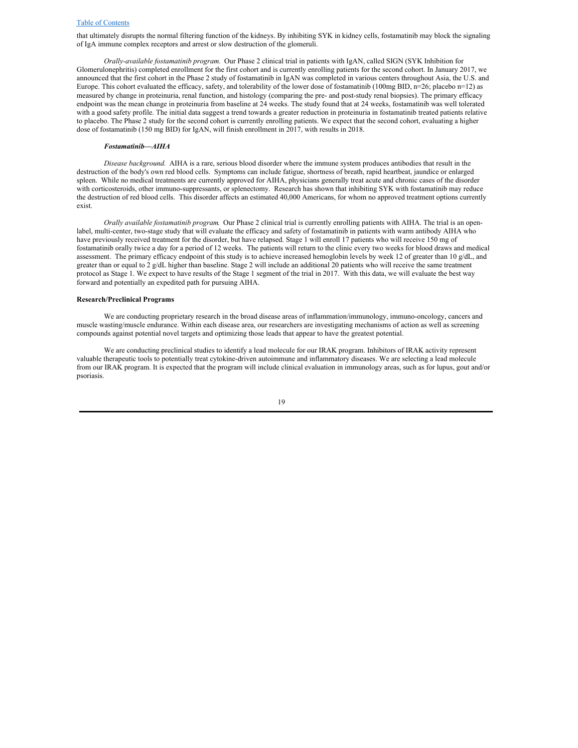that ultimately disrupts the normal filtering function of the kidneys. By inhibiting SYK in kidney cells, fostamatinib may block the signaling of IgA immune complex receptors and arrest or slow destruction of the glomeruli.

*Orally-available fostamatinib program.* Our Phase 2 clinical trial in patients with IgAN, called SIGN (SYK Inhibition for Glomerulonephritis) completed enrollment for the first cohort and is currently enrolling patients for the second cohort. In January 2017, we announced that the first cohort in the Phase 2 study of fostamatinib in IgAN was completed in various centers throughout Asia, the U.S. and Europe. This cohort evaluated the efficacy, safety, and tolerability of the lower dose of fostamatinib (100mg BID, n=26; placebo n=12) as measured by change in proteinuria, renal function, and histology (comparing the pre- and post-study renal biopsies). The primary efficacy endpoint was the mean change in proteinuria from baseline at 24 weeks. The study found that at 24 weeks, fostamatinib was well tolerated with a good safety profile. The initial data suggest a trend towards a greater reduction in proteinuria in fostamatinib treated patients relative to placebo. The Phase 2 study for the second cohort is currently enrolling patients. We expect that the second cohort, evaluating a higher dose of fostamatinib (150 mg BID) for IgAN, will finish enrollment in 2017, with results in 2018.

#### *Fostamatinib—AIHA*

*Disease background*. AIHA is a rare, serious blood disorder where the immune system produces antibodies that result in the destruction of the body's own red blood cells. Symptoms can include fatigue, shortness of breath, rapid heartbeat, jaundice or enlarged spleen. While no medical treatments are currently approved for AIHA, physicians generally treat acute and chronic cases of the disorder with corticosteroids, other immuno-suppressants, or splenectomy. Research has shown that inhibiting SYK with fostamatinib may reduce the destruction of red blood cells. This disorder affects an estimated 40,000 Americans, for whom no approved treatment options currently exist.

*Orally available fostamatinib program*. Our Phase 2 clinical trial is currently enrolling patients with AIHA. The trial is an openlabel, multi-center, two-stage study that will evaluate the efficacy and safety of fostamatinib in patients with warm antibody AIHA who have previously received treatment for the disorder, but have relapsed. Stage 1 will enroll 17 patients who will receive 150 mg of fostamatinib orally twice a day for a period of 12 weeks. The patients will return to the clinic every two weeks for blood draws and medical assessment. The primary efficacy endpoint of this study is to achieve increased hemoglobin levels by week 12 of greater than 10 g/dL, and greater than or equal to 2 g/dL higher than baseline. Stage 2 will include an additional 20 patients who will receive the same treatment protocol as Stage 1. We expect to have results of the Stage 1 segment of the trial in 2017. With this data, we will evaluate the best way forward and potentially an expedited path for pursuing AIHA.

#### **Research/Preclinical Programs**

We are conducting proprietary research in the broad disease areas of inflammation/immunology, immuno-oncology, cancers and muscle wasting/muscle endurance. Within each disease area, our researchers are investigating mechanisms of action as well as screening compounds against potential novel targets and optimizing those leads that appear to have the greatest potential.

We are conducting preclinical studies to identify a lead molecule for our IRAK program. Inhibitors of IRAK activity represent valuable therapeutic tools to potentially treat cytokine-driven autoimmune and inflammatory diseases. We are selecting a lead molecule from our IRAK program. It is expected that the program will include clinical evaluation in immunology areas, such as for lupus, gout and/or psoriasis.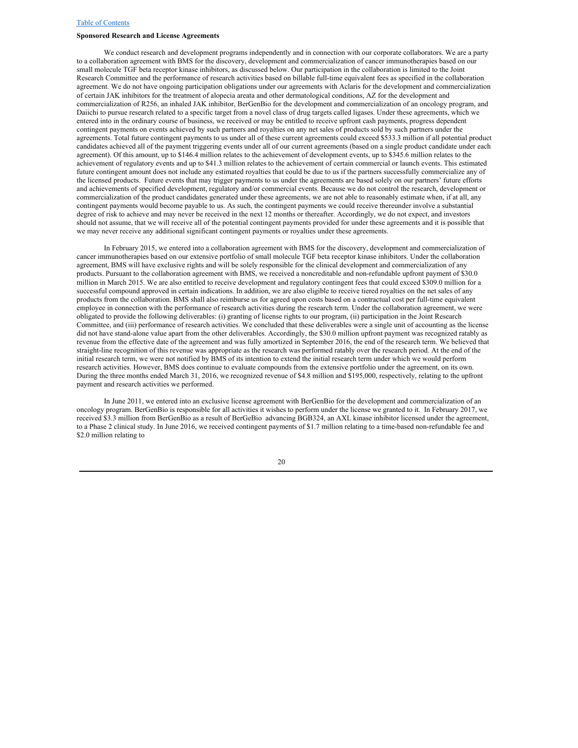# **Sponsored Research and License Agreements**

We conduct research and development programs independently and in connection with our corporate collaborators. We are a party to a collaboration agreement with BMS for the discovery, development and commercialization of cancer immunotherapies based on our small molecule TGF beta receptor kinase inhibitors, as discussed below. Our participation in the collaboration is limited to the Joint Research Committee and the performance of research activities based on billable full-time equivalent fees as specified in the collaboration agreement. We do not have ongoing participation obligations under our agreements with Aclaris for the development and commercialization of certain JAK inhibitors for the treatment of alopecia areata and other dermatological conditions, AZ for the development and commercialization of R256, an inhaled JAK inhibitor, BerGenBio for the development and commercialization of an oncology program, and Daiichi to pursue research related to a specific target from a novel class of drug targets called ligases. Under these agreements, which we entered into in the ordinary course of business, we received or may be entitled to receive upfront cash payments, progress dependent contingent payments on events achieved by such partners and royalties on any net sales of products sold by such partners under the agreements. Total future contingent payments to us under all of these current agreements could exceed \$533.3 million if all potential product candidates achieved all of the payment triggering events under all of our current agreements (based on a single product candidate under each agreement). Of this amount, up to \$146.4 million relates to the achievement of development events, up to \$345.6 million relates to the achievement of regulatory events and up to \$41.3 million relates to the achievement of certain commercial or launch events. This estimated future contingent amount does not include any estimated royalties that could be due to us if the partners successfully commercialize any of the licensed products. Future events that may trigger payments to us under the agreements are based solely on our partners' future efforts and achievements of specified development, regulatory and/or commercial events. Because we do not control the research, development or commercialization of the product candidates generated under these agreements, we are not able to reasonably estimate when, if at all, any contingent payments would become payable to us. As such, the contingent payments we could receive thereunder involve a substantial degree of risk to achieve and may never be received in the next 12 months or thereafter. Accordingly, we do not expect, and investors should not assume, that we will receive all of the potential contingent payments provided for under these agreements and it is possible that we may never receive any additional significant contingent payments or royalties under these agreements.

In February 2015, we entered into a collaboration agreement with BMS for the discovery, development and commercialization of cancer immunotherapies based on our extensive portfolio of small molecule TGF beta receptor kinase inhibitors. Under the collaboration agreement, BMS will have exclusive rights and will be solely responsible for the clinical development and commercialization of any products. Pursuant to the collaboration agreement with BMS, we received a noncreditable and non-refundable upfront payment of \$30.0 million in March 2015. We are also entitled to receive development and regulatory contingent fees that could exceed \$309.0 million for a successful compound approved in certain indications. In addition, we are also eligible to receive tiered royalties on the net sales of any products from the collaboration. BMS shall also reimburse us for agreed upon costs based on a contractual cost per full-time equivalent employee in connection with the performance of research activities during the research term. Under the collaboration agreement, we were obligated to provide the following deliverables: (i) granting of license rights to our program, (ii) participation in the Joint Research Committee, and (iii) performance of research activities. We concluded that these deliverables were a single unit of accounting as the license did not have stand-alone value apart from the other deliverables. Accordingly, the \$30.0 million upfront payment was recognized ratably as revenue from the effective date of the agreement and was fully amortized in September 2016, the end of the research term. We believed that straight-line recognition of this revenue was appropriate as the research was performed ratably over the research period. At the end of the initial research term, we were not notified by BMS of its intention to extend the initial research term under which we would perform research activities. However, BMS does continue to evaluate compounds from the extensive portfolio under the agreement, on its own. During the three months ended March 31, 2016, we recognized revenue of \$4.8 million and \$195,000, respectively, relating to the upfront payment and research activities we performed.

In June 2011, we entered into an exclusive license agreement with BerGenBio for the development and commercialization of an oncology program. BerGenBio is responsible for all activities it wishes to perform under the license we granted to it. In February 2017, we received \$3.3 million from BerGenBio as a result of BerGeBio advancing BGB324, an AXL kinase inhibitor licensed under the agreement, to a Phase 2 clinical study. In June 2016, we received contingent payments of \$1.7 million relating to a time-based non-refundable fee and \$2.0 million relating to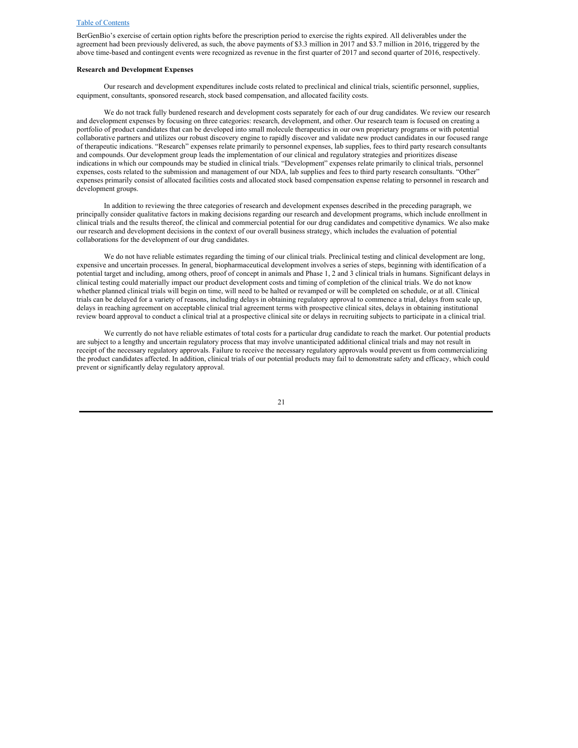BerGenBio's exercise of certain option rights before the prescription period to exercise the rights expired. All deliverables under the agreement had been previously delivered, as such, the above payments of \$3.3 million in 2017 and \$3.7 million in 2016, triggered by the above time-based and contingent events were recognized as revenue in the first quarter of 2017 and second quarter of 2016, respectively.

#### **Research and Development Expenses**

Our research and development expenditures include costs related to preclinical and clinical trials, scientific personnel, supplies, equipment, consultants, sponsored research, stock based compensation, and allocated facility costs.

We do not track fully burdened research and development costs separately for each of our drug candidates. We review our research and development expenses by focusing on three categories: research, development, and other. Our research team is focused on creating a portfolio of product candidates that can be developed into small molecule therapeutics in our own proprietary programs or with potential collaborative partners and utilizes our robust discovery engine to rapidly discover and validate new product candidates in our focused range of therapeutic indications. "Research" expenses relate primarily to personnel expenses, lab supplies, fees to third party research consultants and compounds. Our development group leads the implementation of our clinical and regulatory strategies and prioritizes disease indications in which our compounds may be studied in clinical trials. "Development" expenses relate primarily to clinical trials, personnel expenses, costs related to the submission and management of our NDA, lab supplies and fees to third party research consultants. "Other" expenses primarily consist of allocated facilities costs and allocated stock based compensation expense relating to personnel in research and development groups.

In addition to reviewing the three categories of research and development expenses described in the preceding paragraph, we principally consider qualitative factors in making decisions regarding our research and development programs, which include enrollment in clinical trials and the results thereof, the clinical and commercial potential for our drug candidates and competitive dynamics. We also make our research and development decisions in the context of our overall business strategy, which includes the evaluation of potential collaborations for the development of our drug candidates.

We do not have reliable estimates regarding the timing of our clinical trials. Preclinical testing and clinical development are long, expensive and uncertain processes. In general, biopharmaceutical development involves a series of steps, beginning with identification of a potential target and including, among others, proof of concept in animals and Phase 1, 2 and 3 clinical trials in humans. Significant delays in clinical testing could materially impact our product development costs and timing of completion of the clinical trials. We do not know whether planned clinical trials will begin on time, will need to be halted or revamped or will be completed on schedule, or at all. Clinical trials can be delayed for a variety of reasons, including delays in obtaining regulatory approval to commence a trial, delays from scale up, delays in reaching agreement on acceptable clinical trial agreement terms with prospective clinical sites, delays in obtaining institutional review board approval to conduct a clinical trial at a prospective clinical site or delays in recruiting subjects to participate in a clinical trial.

We currently do not have reliable estimates of total costs for a particular drug candidate to reach the market. Our potential products are subject to a lengthy and uncertain regulatory process that may involve unanticipated additional clinical trials and may not result in receipt of the necessary regulatory approvals. Failure to receive the necessary regulatory approvals would prevent us from commercializing the product candidates affected. In addition, clinical trials of our potential products may fail to demonstrate safety and efficacy, which could prevent or significantly delay regulatory approval.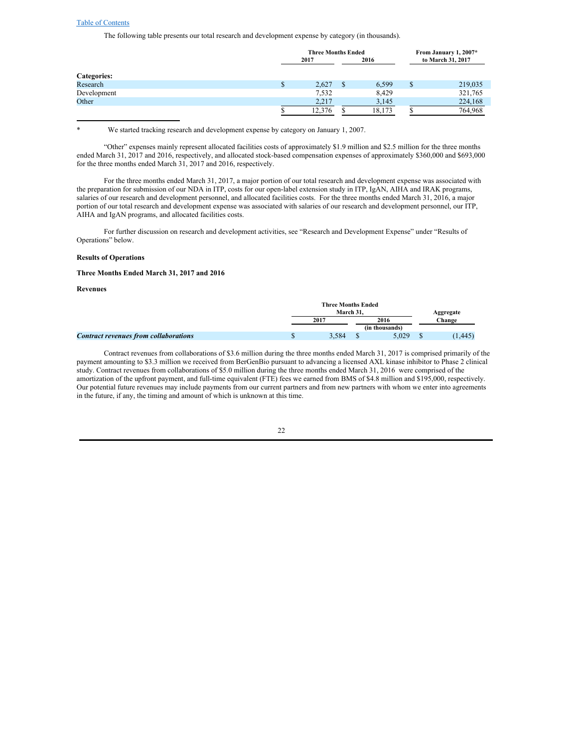The following table presents our total research and development expense by category (in thousands).

|                    |  | <b>Three Months Ended</b> |  |        | From January 1, 2007* |         |  |                   |
|--------------------|--|---------------------------|--|--------|-----------------------|---------|--|-------------------|
|                    |  | 2017                      |  | 2016   |                       |         |  | to March 31, 2017 |
| <b>Categories:</b> |  |                           |  |        |                       |         |  |                   |
| Research           |  | 2,627                     |  | 6.599  |                       | 219,035 |  |                   |
| Development        |  | 7,532                     |  | 8,429  |                       | 321,765 |  |                   |
| Other              |  | 2,217                     |  | 3,145  |                       | 224,168 |  |                   |
|                    |  | 12,376                    |  | 18,173 |                       | 764,968 |  |                   |

\* We started tracking research and development expense by category on January 1, 2007.

"Other" expenses mainly represent allocated facilities costs of approximately \$1.9 million and \$2.5 million for the three months ended March 31, 2017 and 2016, respectively, and allocated stock-based compensation expenses of approximately \$360,000 and \$693,000 for the three months ended March 31, 2017 and 2016, respectively.

For the three months ended March 31, 2017, a major portion of our total research and development expense was associated with the preparation for submission of our NDA in ITP, costs for our open-label extension study in ITP, IgAN, AIHA and IRAK programs, salaries of our research and development personnel, and allocated facilities costs. For the three months ended March 31, 2016, a major portion of our total research and development expense was associated with salaries of our research and development personnel, our ITP, AIHA and IgAN programs, and allocated facilities costs.

For further discussion on research and development activities, see "Research and Development Expense" under "Results of Operations" below.

# **Results of Operations**

#### **Three Months Ended March 31, 2017 and 2016**

**Revenues**

|                                              | <b>Three Months Ended</b> |  |                |        |           |  |
|----------------------------------------------|---------------------------|--|----------------|--------|-----------|--|
|                                              | March 31.                 |  |                |        | Aggregate |  |
|                                              | 2017<br>2016              |  |                | Change |           |  |
|                                              |                           |  | (in thousands) |        |           |  |
| <b>Contract revenues from collaborations</b> | 3.584                     |  | 5.029          |        | (1, 445)  |  |

Contract revenues from collaborations of \$3.6 million during the three months ended March 31, 2017 is comprised primarily of the payment amounting to \$3.3 million we received from BerGenBio pursuant to advancing a licensed AXL kinase inhibitor to Phase 2 clinical study. Contract revenues from collaborations of \$5.0 million during the three months ended March 31, 2016 were comprised of the amortization of the upfront payment, and full-time equivalent (FTE) fees we earned from BMS of \$4.8 million and \$195,000, respectively. Our potential future revenues may include payments from our current partners and from new partners with whom we enter into agreements in the future, if any, the timing and amount of which is unknown at this time.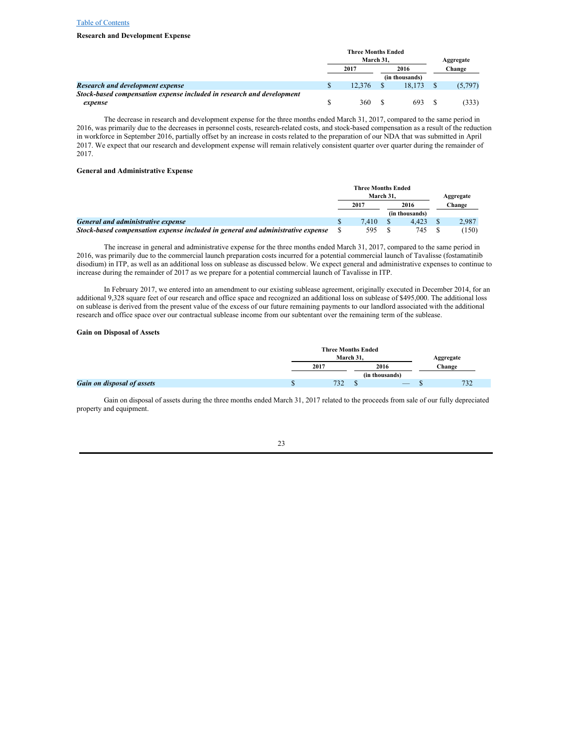# **Research and Development Expense**

|                                                                       |           | <b>Three Months Ended</b> |  |                |  |           |
|-----------------------------------------------------------------------|-----------|---------------------------|--|----------------|--|-----------|
|                                                                       | March 31. |                           |  |                |  | Aggregate |
|                                                                       |           | 2017                      |  | 2016           |  | Change    |
|                                                                       |           |                           |  | (in thousands) |  |           |
| Research and development expense                                      |           | 12.376                    |  | 18.173         |  | (5,797)   |
| Stock-based compensation expense included in research and development |           |                           |  |                |  |           |
| expense                                                               |           | 360                       |  | 693            |  | (333)     |

The decrease in research and development expense for the three months ended March 31, 2017, compared to the same period in 2016, was primarily due to the decreases in personnel costs, research-related costs, and stock‑based compensation as a result of the reduction in workforce in September 2016, partially offset by an increase in costs related to the preparation of our NDA that was submitted in April 2017. We expect that our research and development expense will remain relatively consistent quarter over quarter during the remainder of 2017.

# **General and Administrative Expense**

|                                                                                 |              | <b>Three Months Ended</b><br>March 31. |  |                |        | Aggregate |  |
|---------------------------------------------------------------------------------|--------------|----------------------------------------|--|----------------|--------|-----------|--|
|                                                                                 | 2017<br>2016 |                                        |  |                | Change |           |  |
|                                                                                 |              |                                        |  | (in thousands) |        |           |  |
| General and administrative expense                                              |              | 7.410                                  |  | 4.423          |        | 2.987     |  |
| Stock-based compensation expense included in general and administrative expense |              | 595                                    |  | 745            |        | (150)     |  |

The increase in general and administrative expense for the three months ended March 31, 2017, compared to the same period in 2016, was primarily due to the commercial launch preparation costs incurred for a potential commercial launch of Tavalisse (fostamatinib disodium) in ITP, as well as an additional loss on sublease as discussed below. We expect general and administrative expenses to continue to increase during the remainder of 2017 as we prepare for a potential commercial launch of Tavalisse in ITP.

In February 2017, we entered into an amendment to our existing sublease agreement, originally executed in December 2014, for an additional 9,328 square feet of our research and office space and recognized an additional loss on sublease of \$495,000. The additional loss on sublease is derived from the present value of the excess of our future remaining payments to our landlord associated with the additional research and office space over our contractual sublease income from our subtentant over the remaining term of the sublease.

# **Gain on Disposal of Assets**

|                                   | <b>Three Months Ended</b><br>March 31. |  |                          | Aggregate     |     |  |
|-----------------------------------|----------------------------------------|--|--------------------------|---------------|-----|--|
|                                   | 2017<br>2016                           |  |                          | <b>Change</b> |     |  |
|                                   |                                        |  | (in thousands)           |               |     |  |
| <b>Gain on disposal of assets</b> | 732                                    |  | $\qquad \qquad - \qquad$ |               | 732 |  |

Gain on disposal of assets during the three months ended March 31, 2017 related to the proceeds from sale of our fully depreciated property and equipment.

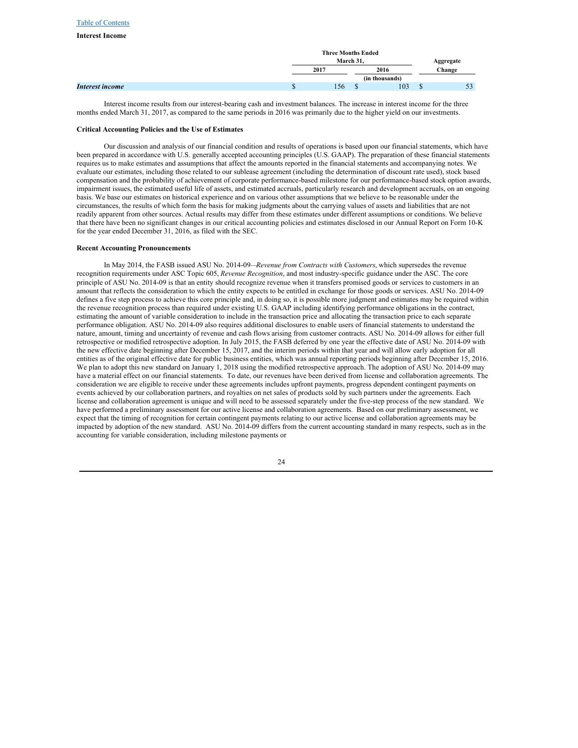# **Interest Income**

|                 |   | <b>Three Months Ended</b><br>March 31. |   |                |        | Aggregate |  |
|-----------------|---|----------------------------------------|---|----------------|--------|-----------|--|
|                 |   | 2016<br>2017                           |   |                | Change |           |  |
|                 |   |                                        |   | (in thousands) |        |           |  |
| Interest income | Ъ | 156                                    | D | 103            |        |           |  |
|                 |   |                                        |   |                |        |           |  |

Interest income results from our interest-bearing cash and investment balances. The increase in interest income for the three months ended March 31, 2017, as compared to the same periods in 2016 was primarily due to the higher yield on our investments.

# **Critical Accounting Policies and the Use of Estimates**

Our discussion and analysis of our financial condition and results of operations is based upon our financial statements, which have been prepared in accordance with U.S. generally accepted accounting principles (U.S. GAAP). The preparation of these financial statements requires us to make estimates and assumptions that affect the amounts reported in the financial statements and accompanying notes. We evaluate our estimates, including those related to our sublease agreement (including the determination of discount rate used), stock based compensation and the probability of achievement of corporate performance-based milestone for our performance-based stock option awards, impairment issues, the estimated useful life of assets, and estimated accruals, particularly research and development accruals, on an ongoing basis. We base our estimates on historical experience and on various other assumptions that we believe to be reasonable under the circumstances, the results of which form the basis for making judgments about the carrying values of assets and liabilities that are not readily apparent from other sources. Actual results may differ from these estimates under different assumptions or conditions. We believe that there have been no significant changes in our critical accounting policies and estimates disclosed in our Annual Report on Form 10-K for the year ended December 31, 2016, as filed with the SEC.

#### **Recent Accounting Pronouncements**

In May 2014, the FASB issued ASU No. 2014-09—*Revenue from Contracts with Customers*, which supersedes the revenue recognition requirements under ASC Topic 605, *Revenue Recognition*, and most industry-specific guidance under the ASC. The core principle of ASU No. 2014-09 is that an entity should recognize revenue when it transfers promised goods or services to customers in an amount that reflects the consideration to which the entity expects to be entitled in exchange for those goods or services. ASU No. 2014-09 defines a five step process to achieve this core principle and, in doing so, it is possible more judgment and estimates may be required within the revenue recognition process than required under existing U.S. GAAP including identifying performance obligations in the contract, estimating the amount of variable consideration to include in the transaction price and allocating the transaction price to each separate performance obligation. ASU No. 2014-09 also requires additional disclosures to enable users of financial statements to understand the nature, amount, timing and uncertainty of revenue and cash flows arising from customer contracts. ASU No. 2014-09 allows for either full retrospective or modified retrospective adoption. In July 2015, the FASB deferred by one year the effective date of ASU No. 2014-09 with the new effective date beginning after December 15, 2017, and the interim periods within that year and will allow early adoption for all entities as of the original effective date for public business entities, which was annual reporting periods beginning after December 15, 2016. We plan to adopt this new standard on January 1, 2018 using the modified retrospective approach. The adoption of ASU No. 2014-09 may have a material effect on our financial statements. To date, our revenues have been derived from license and collaboration agreements. The consideration we are eligible to receive under these agreements includes upfront payments, progress dependent contingent payments on events achieved by our collaboration partners, and royalties on net sales of products sold by such partners under the agreements. Each license and collaboration agreement is unique and will need to be assessed separately under the five-step process of the new standard. We have performed a preliminary assessment for our active license and collaboration agreements. Based on our preliminary assessment, we expect that the timing of recognition for certain contingent payments relating to our active license and collaboration agreements may be impacted by adoption of the new standard. ASU No. 2014-09 differs from the current accounting standard in many respects, such as in the accounting for variable consideration, including milestone payments or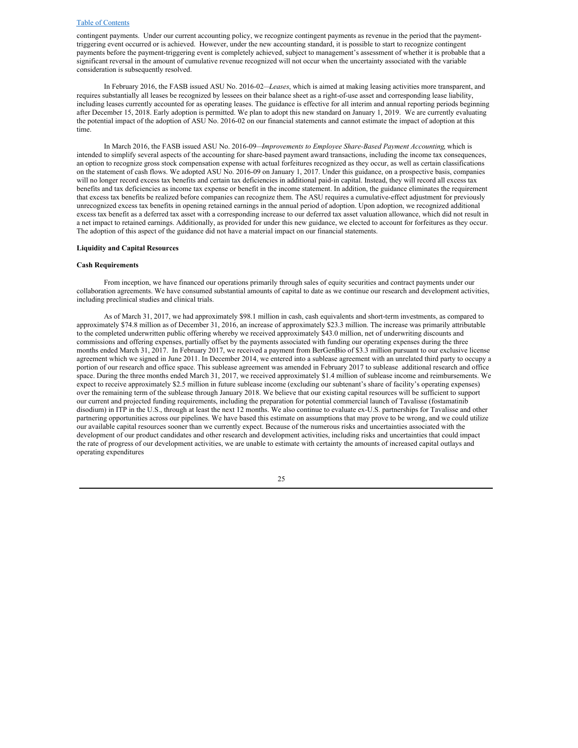contingent payments. Under our current accounting policy, we recognize contingent payments as revenue in the period that the paymenttriggering event occurred or is achieved. However, under the new accounting standard, it is possible to start to recognize contingent payments before the payment-triggering event is completely achieved, subject to management's assessment of whether it is probable that a significant reversal in the amount of cumulative revenue recognized will not occur when the uncertainty associated with the variable consideration is subsequently resolved.

In February 2016, the FASB issued ASU No. 2016-02—*Leases*, which is aimed at making leasing activities more transparent, and requires substantially all leases be recognized by lessees on their balance sheet as a right-of-use asset and corresponding lease liability, including leases currently accounted for as operating leases. The guidance is effective for all interim and annual reporting periods beginning after December 15, 2018. Early adoption is permitted. We plan to adopt this new standard on January 1, 2019. We are currently evaluating the potential impact of the adoption of ASU No. 2016-02 on our financial statements and cannot estimate the impact of adoption at this time.

In March 2016, the FASB issued ASU No. 2016-09—*Improvements to Employee Share-Based Payment Accounting*, which is intended to simplify several aspects of the accounting for share-based payment award transactions, including the income tax consequences, an option to recognize gross stock compensation expense with actual forfeitures recognized as they occur, as well as certain classifications on the statement of cash flows. We adopted ASU No. 2016-09 on January 1, 2017. Under this guidance, on a prospective basis, companies will no longer record excess tax benefits and certain tax deficiencies in additional paid-in capital. Instead, they will record all excess tax benefits and tax deficiencies as income tax expense or benefit in the income statement. In addition, the guidance eliminates the requirement that excess tax benefits be realized before companies can recognize them. The ASU requires a cumulative-effect adjustment for previously unrecognized excess tax benefits in opening retained earnings in the annual period of adoption. Upon adoption, we recognized additional excess tax benefit as a deferred tax asset with a corresponding increase to our deferred tax asset valuation allowance, which did not result in a net impact to retained earnings. Additionally, as provided for under this new guidance, we elected to account for forfeitures as they occur. The adoption of this aspect of the guidance did not have a material impact on our financial statements.

#### **Liquidity and Capital Resources**

### **Cash Requirements**

From inception, we have financed our operations primarily through sales of equity securities and contract payments under our collaboration agreements. We have consumed substantial amounts of capital to date as we continue our research and development activities, including preclinical studies and clinical trials.

As of March 31, 2017, we had approximately \$98.1 million in cash, cash equivalents and short-term investments, as compared to approximately \$74.8 million as of December 31, 2016, an increase of approximately \$23.3 million. The increase was primarily attributable to the completed underwritten public offering whereby we received approximately \$43.0 million, net of underwriting discounts and commissions and offering expenses, partially offset by the payments associated with funding our operating expenses during the three months ended March 31, 2017. In February 2017, we received a payment from BerGenBio of \$3.3 million pursuant to our exclusive license agreement which we signed in June 2011. In December 2014, we entered into a sublease agreement with an unrelated third party to occupy a portion of our research and office space. This sublease agreement was amended in February 2017 to sublease additional research and office space. During the three months ended March 31, 2017, we received approximately \$1.4 million of sublease income and reimbursements. We expect to receive approximately \$2.5 million in future sublease income (excluding our subtenant's share of facility's operating expenses) over the remaining term of the sublease through January 2018. We believe that our existing capital resources will be sufficient to support our current and projected funding requirements, including the preparation for potential commercial launch of Tavalisse (fostamatinib disodium) in ITP in the U.S., through at least the next 12 months. We also continue to evaluate ex-U.S. partnerships for Tavalisse and other partnering opportunities across our pipelines. We have based this estimate on assumptions that may prove to be wrong, and we could utilize our available capital resources sooner than we currently expect. Because of the numerous risks and uncertainties associated with the development of our product candidates and other research and development activities, including risks and uncertainties that could impact the rate of progress of our development activities, we are unable to estimate with certainty the amounts of increased capital outlays and operating expenditures

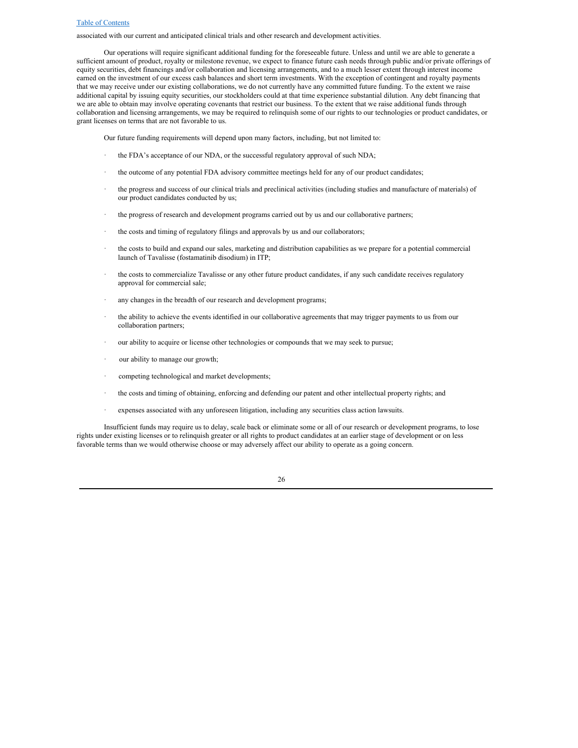associated with our current and anticipated clinical trials and other research and development activities.

Our operations will require significant additional funding for the foreseeable future. Unless and until we are able to generate a sufficient amount of product, royalty or milestone revenue, we expect to finance future cash needs through public and/or private offerings of equity securities, debt financings and/or collaboration and licensing arrangements, and to a much lesser extent through interest income earned on the investment of our excess cash balances and short term investments. With the exception of contingent and royalty payments that we may receive under our existing collaborations, we do not currently have any committed future funding. To the extent we raise additional capital by issuing equity securities, our stockholders could at that time experience substantial dilution. Any debt financing that we are able to obtain may involve operating covenants that restrict our business. To the extent that we raise additional funds through collaboration and licensing arrangements, we may be required to relinquish some of our rights to our technologies or product candidates, or grant licenses on terms that are not favorable to us.

Our future funding requirements will depend upon many factors, including, but not limited to:

- the FDA's acceptance of our NDA, or the successful regulatory approval of such NDA;
- the outcome of any potential FDA advisory committee meetings held for any of our product candidates;
- the progress and success of our clinical trials and preclinical activities (including studies and manufacture of materials) of our product candidates conducted by us;
- the progress of research and development programs carried out by us and our collaborative partners;
- the costs and timing of regulatory filings and approvals by us and our collaborators;
- the costs to build and expand our sales, marketing and distribution capabilities as we prepare for a potential commercial launch of Tavalisse (fostamatinib disodium) in ITP;
- the costs to commercialize Tavalisse or any other future product candidates, if any such candidate receives regulatory approval for commercial sale;
- any changes in the breadth of our research and development programs;
- the ability to achieve the events identified in our collaborative agreements that may trigger payments to us from our collaboration partners;
- our ability to acquire or license other technologies or compounds that we may seek to pursue;
- our ability to manage our growth;
- competing technological and market developments;
- the costs and timing of obtaining, enforcing and defending our patent and other intellectual property rights; and
- expenses associated with any unforeseen litigation, including any securities class action lawsuits.

Insufficient funds may require us to delay, scale back or eliminate some or all of our research or development programs, to lose rights under existing licenses or to relinquish greater or all rights to product candidates at an earlier stage of development or on less favorable terms than we would otherwise choose or may adversely affect our ability to operate as a going concern.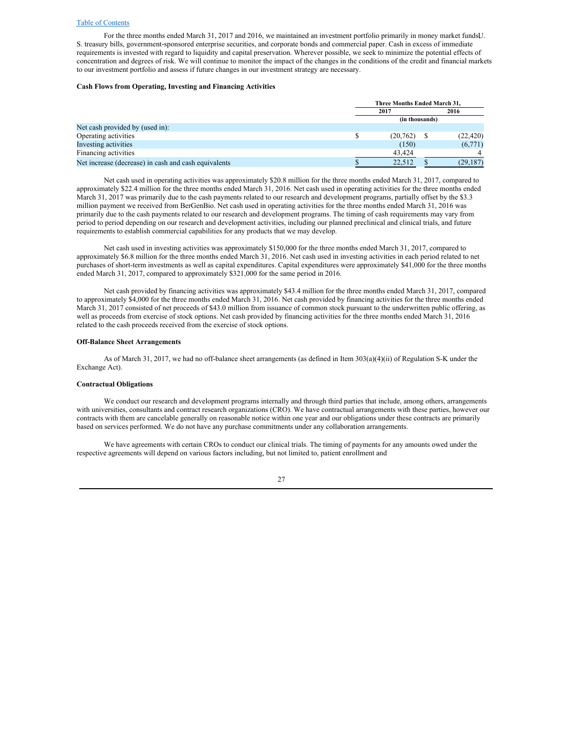For the three months ended March 31, 2017 and 2016, we maintained an investment portfolio primarily in money market fundsU. S. treasury bills, government-sponsored enterprise securities, and corporate bonds and commercial paper. Cash in excess of immediate requirements is invested with regard to liquidity and capital preservation. Wherever possible, we seek to minimize the potential effects of concentration and degrees of risk. We will continue to monitor the impact of the changes in the conditions of the credit and financial markets to our investment portfolio and assess if future changes in our investment strategy are necessary.

# **Cash Flows from Operating, Investing and Financing Activities**

|                                                      | Three Months Ended March 31. |      |           |  |  |  |
|------------------------------------------------------|------------------------------|------|-----------|--|--|--|
|                                                      | 2017                         | 2016 |           |  |  |  |
|                                                      | (in thousands)               |      |           |  |  |  |
| Net cash provided by (used in):                      |                              |      |           |  |  |  |
| Operating activities                                 | (20, 762)                    |      | (22, 420) |  |  |  |
| Investing activities                                 | (150)                        |      | (6,771)   |  |  |  |
| Financing activities                                 | 43.424                       |      |           |  |  |  |
| Net increase (decrease) in cash and cash equivalents | 22.512                       |      | (29.187)  |  |  |  |

Net cash used in operating activities was approximately \$20.8 million for the three months ended March 31, 2017, compared to approximately \$22.4 million for the three months ended March 31, 2016. Net cash used in operating activities for the three months ended March 31, 2017 was primarily due to the cash payments related to our research and development programs, partially offset by the \$3.3 million payment we received from BerGenBio. Net cash used in operating activities for the three months ended March 31, 2016 was primarily due to the cash payments related to our research and development programs. The timing of cash requirements may vary from period to period depending on our research and development activities, including our planned preclinical and clinical trials, and future requirements to establish commercial capabilities for any products that we may develop.

Net cash used in investing activities was approximately \$150,000 for the three months ended March 31, 2017, compared to approximately \$6.8 million for the three months ended March 31, 2016. Net cash used in investing activities in each period related to net purchases of short-term investments as well as capital expenditures. Capital expenditures were approximately \$41,000 for the three months ended March 31, 2017, compared to approximately \$321,000 for the same period in 2016.

Net cash provided by financing activities was approximately \$43.4 million for the three months ended March 31, 2017, compared to approximately \$4,000 for the three months ended March 31, 2016. Net cash provided by financing activities for the three months ended March 31, 2017 consisted of net proceeds of \$43.0 million from issuance of common stock pursuant to the underwritten public offering, as well as proceeds from exercise of stock options. Net cash provided by financing activities for the three months ended March 31, 2016 related to the cash proceeds received from the exercise of stock options.

# **Off-Balance Sheet Arrangements**

As of March 31, 2017, we had no off-balance sheet arrangements (as defined in Item 303(a)(4)(ii) of Regulation S-K under the Exchange Act).

# **Contractual Obligations**

We conduct our research and development programs internally and through third parties that include, among others, arrangements with universities, consultants and contract research organizations (CRO). We have contractual arrangements with these parties, however our contracts with them are cancelable generally on reasonable notice within one year and our obligations under these contracts are primarily based on services performed. We do not have any purchase commitments under any collaboration arrangements.

We have agreements with certain CROs to conduct our clinical trials. The timing of payments for any amounts owed under the respective agreements will depend on various factors including, but not limited to, patient enrollment and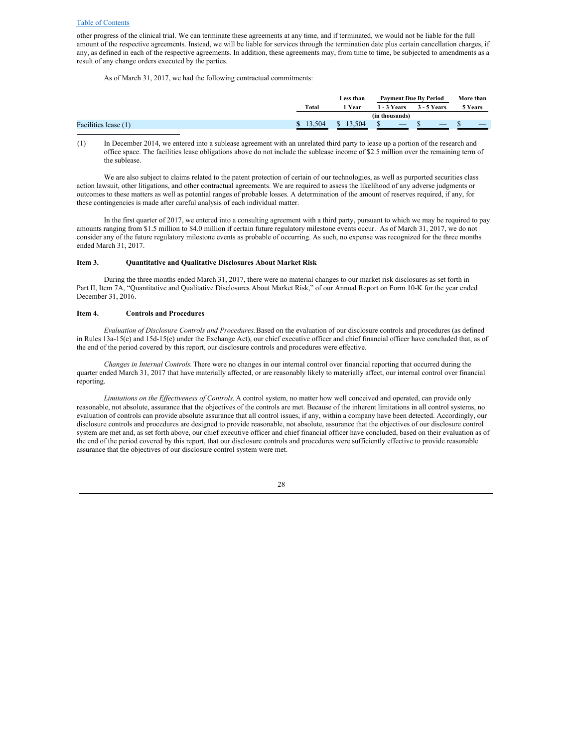other progress of the clinical trial. We can terminate these agreements at any time, and if terminated, we would not be liable for the full amount of the respective agreements. Instead, we will be liable for services through the termination date plus certain cancellation charges, if any, as defined in each of the respective agreements. In addition, these agreements may, from time to time, be subjected to amendments as a result of any change orders executed by the parties.

As of March 31, 2017, we had the following contractual commitments:

|                      |          | Less than |                          | <b>Payment Due By Period</b> | More than |
|----------------------|----------|-----------|--------------------------|------------------------------|-----------|
|                      | Total    | Year      |                          | $1 - 3$ Years $3 - 5$ Years  | 5 Years   |
|                      |          |           | (in thousands)           |                              |           |
| Facilities lease (1) | \$13.504 | \$ 13.504 | $\overline{\phantom{a}}$ |                              |           |

(1) In December 2014, we entered into a sublease agreement with an unrelated third party to lease up a portion of the research and office space. The facilities lease obligations above do not include the sublease income of \$2.5 million over the remaining term of the sublease.

We are also subject to claims related to the patent protection of certain of our technologies, as well as purported securities class action lawsuit, other litigations, and other contractual agreements. We are required to assess the likelihood of any adverse judgments or outcomes to these matters as well as potential ranges of probable losses. A determination of the amount of reserves required, if any, for these contingencies is made after careful analysis of each individual matter.

In the first quarter of 2017, we entered into a consulting agreement with a third party, pursuant to which we may be required to pay amounts ranging from \$1.5 million to \$4.0 million if certain future regulatory milestone events occur. As of March 31, 2017, we do not consider any of the future regulatory milestone events as probable of occurring. As such, no expense was recognized for the three months ended March 31, 2017.

#### <span id="page-27-0"></span>**Item 3. Quantitative and Qualitative Disclosures About Market Risk**

During the three months ended March 31, 2017, there were no material changes to our market risk disclosures as set forth in Part II, Item 7A, "Quantitative and Qualitative Disclosures About Market Risk," of our Annual Report on Form 10-K for the year ended December 31, 2016.

#### <span id="page-27-1"></span>**Item 4. Controls and Procedures**

*Evaluation of Disclosure Controls and Procedures.*Based on the evaluation of our disclosure controls and procedures (as defined in Rules 13a-15(e) and 15d-15(e) under the Exchange Act), our chief executive officer and chief financial officer have concluded that, as of the end of the period covered by this report, our disclosure controls and procedures were effective.

*Changes in Internal Controls.* There were no changes in our internal control over financial reporting that occurred during the quarter ended March 31, 2017 that have materially affected, or are reasonably likely to materially affect, our internal control over financial reporting.

*Limitations on the Ef ectiveness of Controls.* A control system, no matter how well conceived and operated, can provide only reasonable, not absolute, assurance that the objectives of the controls are met. Because of the inherent limitations in all control systems, no evaluation of controls can provide absolute assurance that all control issues, if any, within a company have been detected. Accordingly, our disclosure controls and procedures are designed to provide reasonable, not absolute, assurance that the objectives of our disclosure control system are met and, as set forth above, our chief executive officer and chief financial officer have concluded, based on their evaluation as of the end of the period covered by this report, that our disclosure controls and procedures were sufficiently effective to provide reasonable assurance that the objectives of our disclosure control system were met.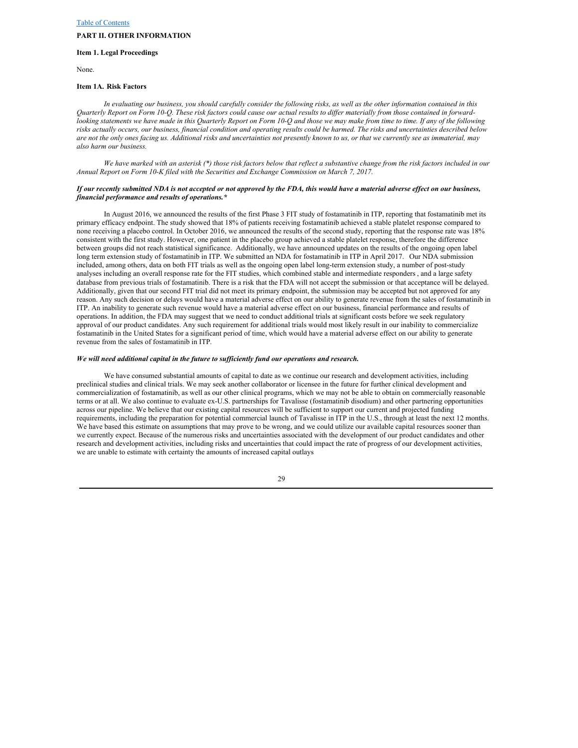# <span id="page-28-0"></span>**PART II. OTHER INFORMATION**

# <span id="page-28-1"></span>**Item 1. Legal Proceedings**

None.

# <span id="page-28-2"></span>**Item 1A. Risk Factors**

In evaluating our business, you should carefully consider the following risks, as well as the other information contained in this Quarterly Report on Form 10-Q. These risk factors could cause our actual results to differ materially from those contained in forwardlooking statements we have made in this Quarterly Report on Form 10-Q and those we may make from time to time. If any of the following risks actually occurs, our business, financial condition and operating results could be harmed. The risks and uncertainties described below are not the only ones facing us. Additional risks and uncertainties not presently known to us, or that we currently see as immaterial, may *also harm our business.*

We have marked with an asterisk  $(*)$  those risk factors below that reflect a substantive change from the risk factors included in our *Annual Report on Form 10-K filed with the Securities and Exchange Commission on March 7, 2017.*

### If our recently submitted NDA is not accepted or not approved by the FDA, this would have a material adverse effect on our business, *financial performance and results of operations.\**

In August 2016, we announced the results of the first Phase 3 FIT study of fostamatinib in ITP, reporting that fostamatinib met its primary efficacy endpoint. The study showed that 18% of patients receiving fostamatinib achieved a stable platelet response compared to none receiving a placebo control. In October 2016, we announced the results of the second study, reporting that the response rate was 18% consistent with the first study. However, one patient in the placebo group achieved a stable platelet response, therefore the difference between groups did not reach statistical significance. Additionally, we have announced updates on the results of the ongoing open label long term extension study of fostamatinib in ITP. We submitted an NDA for fostamatinib in ITP in April 2017. Our NDA submission included, among others, data on both FIT trials as well as the ongoing open label long-term extension study, a number of post-study analyses including an overall response rate for the FIT studies, which combined stable and intermediate responders , and a large safety database from previous trials of fostamatinib. There is a risk that the FDA will not accept the submission or that acceptance will be delayed. Additionally, given that our second FIT trial did not meet its primary endpoint, the submission may be accepted but not approved for any reason. Any such decision or delays would have a material adverse effect on our ability to generate revenue from the sales of fostamatinib in ITP. An inability to generate such revenue would have a material adverse effect on our business, financial performance and results of operations. In addition, the FDA may suggest that we need to conduct additional trials at significant costs before we seek regulatory approval of our product candidates. Any such requirement for additional trials would most likely result in our inability to commercialize fostamatinib in the United States for a significant period of time, which would have a material adverse effect on our ability to generate revenue from the sales of fostamatinib in ITP.

#### *We will need additional capital in the future to suf iciently fund our operations and research.*

We have consumed substantial amounts of capital to date as we continue our research and development activities, including preclinical studies and clinical trials. We may seek another collaborator or licensee in the future for further clinical development and commercialization of fostamatinib, as well as our other clinical programs, which we may not be able to obtain on commercially reasonable terms or at all. We also continue to evaluate ex-U.S. partnerships for Tavalisse (fostamatinib disodium) and other partnering opportunities across our pipeline. We believe that our existing capital resources will be sufficient to support our current and projected funding requirements, including the preparation for potential commercial launch of Tavalisse in ITP in the U.S., through at least the next 12 months. We have based this estimate on assumptions that may prove to be wrong, and we could utilize our available capital resources sooner than we currently expect. Because of the numerous risks and uncertainties associated with the development of our product candidates and other research and development activities, including risks and uncertainties that could impact the rate of progress of our development activities, we are unable to estimate with certainty the amounts of increased capital outlays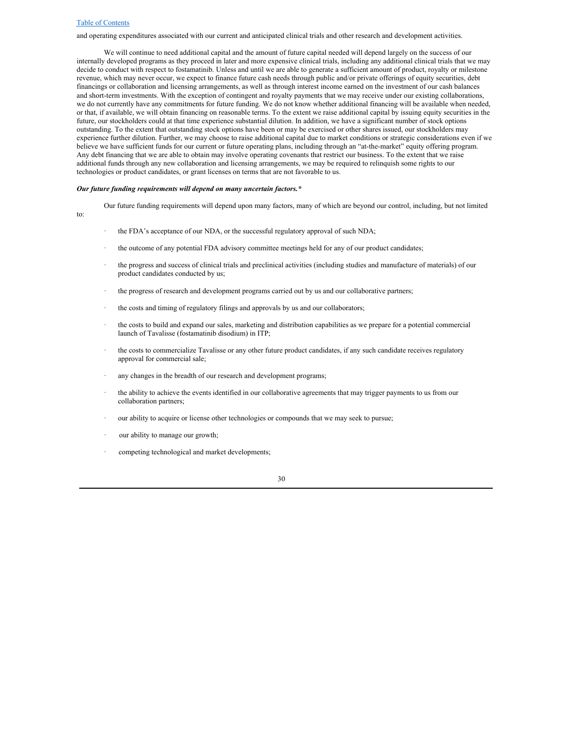to:

and operating expenditures associated with our current and anticipated clinical trials and other research and development activities.

We will continue to need additional capital and the amount of future capital needed will depend largely on the success of our internally developed programs as they proceed in later and more expensive clinical trials, including any additional clinical trials that we may decide to conduct with respect to fostamatinib. Unless and until we are able to generate a sufficient amount of product, royalty or milestone revenue, which may never occur, we expect to finance future cash needs through public and/or private offerings of equity securities, debt financings or collaboration and licensing arrangements, as well as through interest income earned on the investment of our cash balances and short-term investments. With the exception of contingent and royalty payments that we may receive under our existing collaborations, we do not currently have any commitments for future funding. We do not know whether additional financing will be available when needed, or that, if available, we will obtain financing on reasonable terms. To the extent we raise additional capital by issuing equity securities in the future, our stockholders could at that time experience substantial dilution. In addition, we have a significant number of stock options outstanding. To the extent that outstanding stock options have been or may be exercised or other shares issued, our stockholders may experience further dilution. Further, we may choose to raise additional capital due to market conditions or strategic considerations even if we believe we have sufficient funds for our current or future operating plans, including through an "at-the-market" equity offering program. Any debt financing that we are able to obtain may involve operating covenants that restrict our business. To the extent that we raise additional funds through any new collaboration and licensing arrangements, we may be required to relinquish some rights to our technologies or product candidates, or grant licenses on terms that are not favorable to us.

#### *Our future funding requirements will depend on many uncertain factors.\**

Our future funding requirements will depend upon many factors, many of which are beyond our control, including, but not limited

- the FDA's acceptance of our NDA, or the successful regulatory approval of such NDA;
- the outcome of any potential FDA advisory committee meetings held for any of our product candidates;
- the progress and success of clinical trials and preclinical activities (including studies and manufacture of materials) of our product candidates conducted by us;
- the progress of research and development programs carried out by us and our collaborative partners;
- the costs and timing of regulatory filings and approvals by us and our collaborators;
- · the costs to build and expand our sales, marketing and distribution capabilities as we prepare for a potential commercial launch of Tavalisse (fostamatinib disodium) in ITP;
- the costs to commercialize Tavalisse or any other future product candidates, if any such candidate receives regulatory approval for commercial sale;
- any changes in the breadth of our research and development programs;
- the ability to achieve the events identified in our collaborative agreements that may trigger payments to us from our collaboration partners;
- our ability to acquire or license other technologies or compounds that we may seek to pursue;
- our ability to manage our growth;
- competing technological and market developments;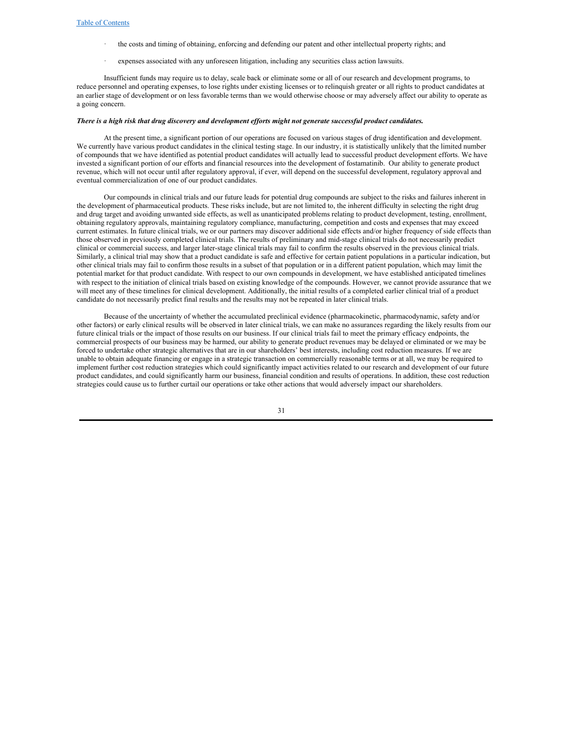- · the costs and timing of obtaining, enforcing and defending our patent and other intellectual property rights; and
- expenses associated with any unforeseen litigation, including any securities class action lawsuits.

Insufficient funds may require us to delay, scale back or eliminate some or all of our research and development programs, to reduce personnel and operating expenses, to lose rights under existing licenses or to relinquish greater or all rights to product candidates at an earlier stage of development or on less favorable terms than we would otherwise choose or may adversely affect our ability to operate as a going concern.

#### There is a high risk that drug discovery and development efforts might not generate successful product candidates.

At the present time, a significant portion of our operations are focused on various stages of drug identification and development. We currently have various product candidates in the clinical testing stage. In our industry, it is statistically unlikely that the limited number of compounds that we have identified as potential product candidates will actually lead to successful product development efforts. We have invested a significant portion of our efforts and financial resources into the development of fostamatinib. Our ability to generate product revenue, which will not occur until after regulatory approval, if ever, will depend on the successful development, regulatory approval and eventual commercialization of one of our product candidates.

Our compounds in clinical trials and our future leads for potential drug compounds are subject to the risks and failures inherent in the development of pharmaceutical products. These risks include, but are not limited to, the inherent difficulty in selecting the right drug and drug target and avoiding unwanted side effects, as well as unanticipated problems relating to product development, testing, enrollment, obtaining regulatory approvals, maintaining regulatory compliance, manufacturing, competition and costs and expenses that may exceed current estimates. In future clinical trials, we or our partners may discover additional side effects and/or higher frequency of side effects than those observed in previously completed clinical trials. The results of preliminary and mid-stage clinical trials do not necessarily predict clinical or commercial success, and larger later-stage clinical trials may fail to confirm the results observed in the previous clinical trials. Similarly, a clinical trial may show that a product candidate is safe and effective for certain patient populations in a particular indication, but other clinical trials may fail to confirm those results in a subset of that population or in a different patient population, which may limit the potential market for that product candidate. With respect to our own compounds in development, we have established anticipated timelines with respect to the initiation of clinical trials based on existing knowledge of the compounds. However, we cannot provide assurance that we will meet any of these timelines for clinical development. Additionally, the initial results of a completed earlier clinical trial of a product candidate do not necessarily predict final results and the results may not be repeated in later clinical trials.

Because of the uncertainty of whether the accumulated preclinical evidence (pharmacokinetic, pharmacodynamic, safety and/or other factors) or early clinical results will be observed in later clinical trials, we can make no assurances regarding the likely results from our future clinical trials or the impact of those results on our business. If our clinical trials fail to meet the primary efficacy endpoints, the commercial prospects of our business may be harmed, our ability to generate product revenues may be delayed or eliminated or we may be forced to undertake other strategic alternatives that are in our shareholders' best interests, including cost reduction measures. If we are unable to obtain adequate financing or engage in a strategic transaction on commercially reasonable terms or at all, we may be required to implement further cost reduction strategies which could significantly impact activities related to our research and development of our future product candidates, and could significantly harm our business, financial condition and results of operations. In addition, these cost reduction strategies could cause us to further curtail our operations or take other actions that would adversely impact our shareholders.

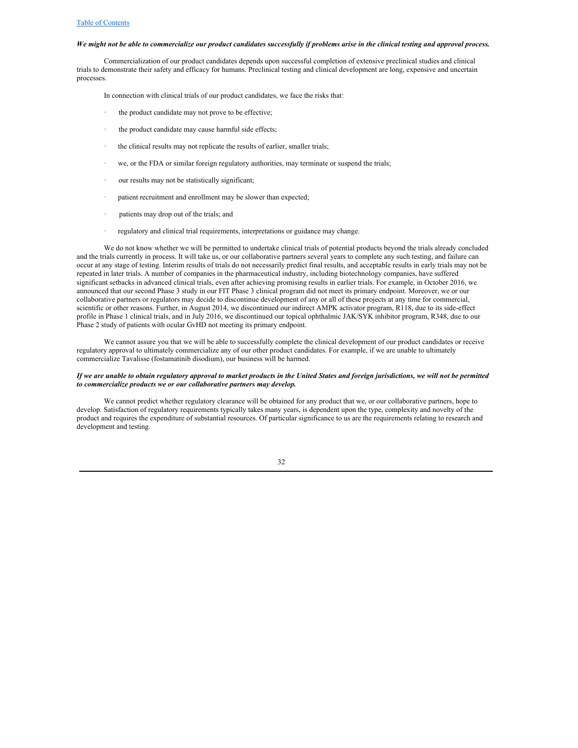#### We might not be able to commercialize our product candidates successfully if problems arise in the clinical testing and approval process.

Commercialization of our product candidates depends upon successful completion of extensive preclinical studies and clinical trials to demonstrate their safety and efficacy for humans. Preclinical testing and clinical development are long, expensive and uncertain processes.

In connection with clinical trials of our product candidates, we face the risks that:

- the product candidate may not prove to be effective;
- the product candidate may cause harmful side effects;
- the clinical results may not replicate the results of earlier, smaller trials;
- we, or the FDA or similar foreign regulatory authorities, may terminate or suspend the trials;
- our results may not be statistically significant;
- patient recruitment and enrollment may be slower than expected;
- patients may drop out of the trials; and
- · regulatory and clinical trial requirements, interpretations or guidance may change.

We do not know whether we will be permitted to undertake clinical trials of potential products beyond the trials already concluded and the trials currently in process. It will take us, or our collaborative partners several years to complete any such testing, and failure can occur at any stage of testing. Interim results of trials do not necessarily predict final results, and acceptable results in early trials may not be repeated in later trials. A number of companies in the pharmaceutical industry, including biotechnology companies, have suffered significant setbacks in advanced clinical trials, even after achieving promising results in earlier trials. For example, in October 2016, we announced that our second Phase 3 study in our FIT Phase 3 clinical program did not meet its primary endpoint. Moreover, we or our collaborative partners or regulators may decide to discontinue development of any or all of these projects at any time for commercial, scientific or other reasons. Further, in August 2014, we discontinued our indirect AMPK activator program, R118, due to its side-effect profile in Phase 1 clinical trials, and in July 2016, we discontinued our topical ophthalmic JAK/SYK inhibitor program, R348, due to our Phase 2 study of patients with ocular GvHD not meeting its primary endpoint.

We cannot assure you that we will be able to successfully complete the clinical development of our product candidates or receive regulatory approval to ultimately commercialize any of our other product candidates. For example, if we are unable to ultimately commercialize Tavalisse (fostamatinib disodium), our business will be harmed.

# If we are unable to obtain regulatory approval to market products in the United States and foreign jurisdictions, we will not be permitted *to commercialize products we or our collaborative partners may develop.*

We cannot predict whether regulatory clearance will be obtained for any product that we, or our collaborative partners, hope to develop. Satisfaction of regulatory requirements typically takes many years, is dependent upon the type, complexity and novelty of the product and requires the expenditure of substantial resources. Of particular significance to us are the requirements relating to research and development and testing.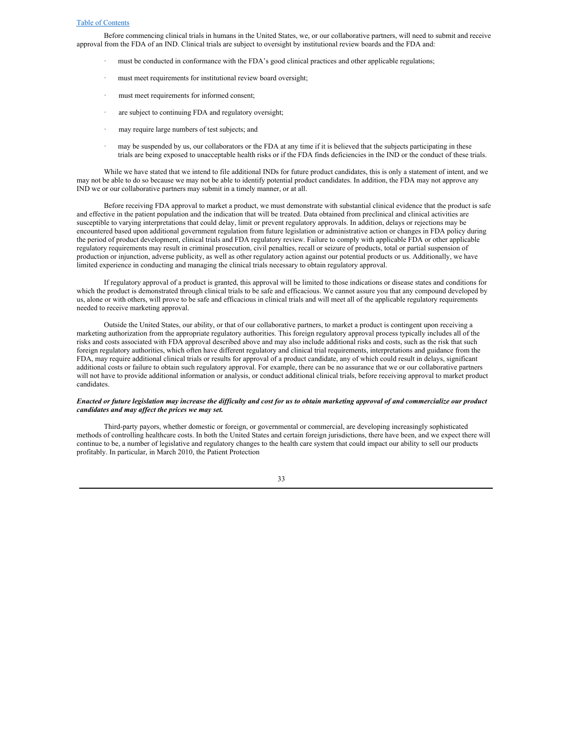Before commencing clinical trials in humans in the United States, we, or our collaborative partners, will need to submit and receive approval from the FDA of an IND. Clinical trials are subject to oversight by institutional review boards and the FDA and:

- must be conducted in conformance with the FDA's good clinical practices and other applicable regulations;
- must meet requirements for institutional review board oversight;
- must meet requirements for informed consent;
- are subject to continuing FDA and regulatory oversight;
- may require large numbers of test subjects; and
- may be suspended by us, our collaborators or the FDA at any time if it is believed that the subjects participating in these trials are being exposed to unacceptable health risks or if the FDA finds deficiencies in the IND or the conduct of these trials.

While we have stated that we intend to file additional INDs for future product candidates, this is only a statement of intent, and we may not be able to do so because we may not be able to identify potential product candidates. In addition, the FDA may not approve any IND we or our collaborative partners may submit in a timely manner, or at all.

Before receiving FDA approval to market a product, we must demonstrate with substantial clinical evidence that the product is safe and effective in the patient population and the indication that will be treated. Data obtained from preclinical and clinical activities are susceptible to varying interpretations that could delay, limit or prevent regulatory approvals. In addition, delays or rejections may be encountered based upon additional government regulation from future legislation or administrative action or changes in FDA policy during the period of product development, clinical trials and FDA regulatory review. Failure to comply with applicable FDA or other applicable regulatory requirements may result in criminal prosecution, civil penalties, recall or seizure of products, total or partial suspension of production or injunction, adverse publicity, as well as other regulatory action against our potential products or us. Additionally, we have limited experience in conducting and managing the clinical trials necessary to obtain regulatory approval.

If regulatory approval of a product is granted, this approval will be limited to those indications or disease states and conditions for which the product is demonstrated through clinical trials to be safe and efficacious. We cannot assure you that any compound developed by us, alone or with others, will prove to be safe and efficacious in clinical trials and will meet all of the applicable regulatory requirements needed to receive marketing approval.

Outside the United States, our ability, or that of our collaborative partners, to market a product is contingent upon receiving a marketing authorization from the appropriate regulatory authorities. This foreign regulatory approval process typically includes all of the risks and costs associated with FDA approval described above and may also include additional risks and costs, such as the risk that such foreign regulatory authorities, which often have different regulatory and clinical trial requirements, interpretations and guidance from the FDA, may require additional clinical trials or results for approval of a product candidate, any of which could result in delays, significant additional costs or failure to obtain such regulatory approval. For example, there can be no assurance that we or our collaborative partners will not have to provide additional information or analysis, or conduct additional clinical trials, before receiving approval to market product candidates.

# Enacted or future legislation may increase the difficulty and cost for us to obtain marketing approval of and commercialize our product *candidates and may af ect the prices we may set.*

Third-party payors, whether domestic or foreign, or governmental or commercial, are developing increasingly sophisticated methods of controlling healthcare costs. In both the United States and certain foreign jurisdictions, there have been, and we expect there will continue to be, a number of legislative and regulatory changes to the health care system that could impact our ability to sell our products profitably. In particular, in March 2010, the Patient Protection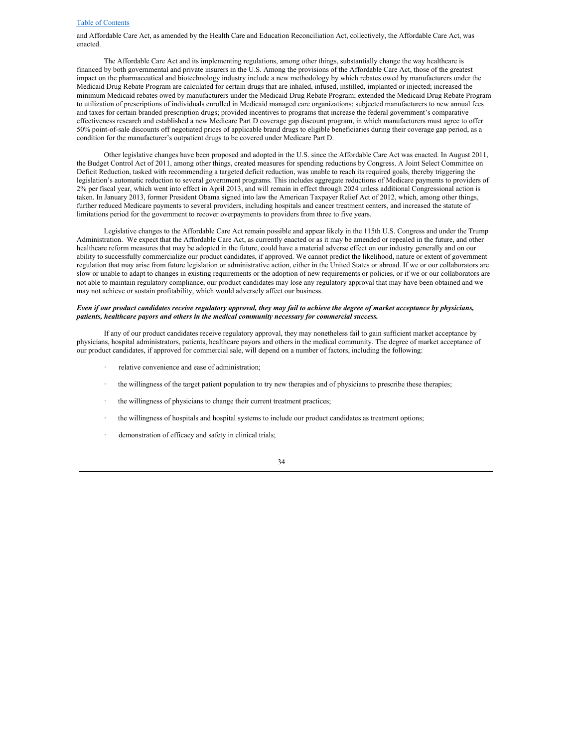and Affordable Care Act, as amended by the Health Care and Education Reconciliation Act, collectively, the Affordable Care Act, was enacted.

The Affordable Care Act and its implementing regulations, among other things, substantially change the way healthcare is financed by both governmental and private insurers in the U.S. Among the provisions of the Affordable Care Act, those of the greatest impact on the pharmaceutical and biotechnology industry include a new methodology by which rebates owed by manufacturers under the Medicaid Drug Rebate Program are calculated for certain drugs that are inhaled, infused, instilled, implanted or injected; increased the minimum Medicaid rebates owed by manufacturers under the Medicaid Drug Rebate Program; extended the Medicaid Drug Rebate Program to utilization of prescriptions of individuals enrolled in Medicaid managed care organizations; subjected manufacturers to new annual fees and taxes for certain branded prescription drugs; provided incentives to programs that increase the federal government's comparative effectiveness research and established a new Medicare Part D coverage gap discount program, in which manufacturers must agree to offer 50% point-of-sale discounts off negotiated prices of applicable brand drugs to eligible beneficiaries during their coverage gap period, as a condition for the manufacturer's outpatient drugs to be covered under Medicare Part D.

Other legislative changes have been proposed and adopted in the U.S. since the Affordable Care Act was enacted. In August 2011, the Budget Control Act of 2011, among other things, created measures for spending reductions by Congress. A Joint Select Committee on Deficit Reduction, tasked with recommending a targeted deficit reduction, was unable to reach its required goals, thereby triggering the legislation's automatic reduction to several government programs. This includes aggregate reductions of Medicare payments to providers of 2% per fiscal year, which went into effect in April 2013, and will remain in effect through 2024 unless additional Congressional action is taken. In January 2013, former President Obama signed into law the American Taxpayer Relief Act of 2012, which, among other things, further reduced Medicare payments to several providers, including hospitals and cancer treatment centers, and increased the statute of limitations period for the government to recover overpayments to providers from three to five years.

Legislative changes to the Affordable Care Act remain possible and appear likely in the 115th U.S. Congress and under the Trump Administration. We expect that the Affordable Care Act, as currently enacted or as it may be amended or repealed in the future, and other healthcare reform measures that may be adopted in the future, could have a material adverse effect on our industry generally and on our ability to successfully commercialize our product candidates, if approved. We cannot predict the likelihood, nature or extent of government regulation that may arise from future legislation or administrative action, either in the United States or abroad. If we or our collaborators are slow or unable to adapt to changes in existing requirements or the adoption of new requirements or policies, or if we or our collaborators are not able to maintain regulatory compliance, our product candidates may lose any regulatory approval that may have been obtained and we may not achieve or sustain profitability, which would adversely affect our business.

# Even if our product candidates receive regulatory approval, they may fail to achieve the degree of market acceptance by physicians, *patients, healthcare payors and others in the medical community necessary for commercial success.*

If any of our product candidates receive regulatory approval, they may nonetheless fail to gain sufficient market acceptance by physicians, hospital administrators, patients, healthcare payors and others in the medical community. The degree of market acceptance of our product candidates, if approved for commercial sale, will depend on a number of factors, including the following:

- relative convenience and ease of administration;
- the willingness of the target patient population to try new therapies and of physicians to prescribe these therapies;
- the willingness of physicians to change their current treatment practices;
- the willingness of hospitals and hospital systems to include our product candidates as treatment options;
- demonstration of efficacy and safety in clinical trials;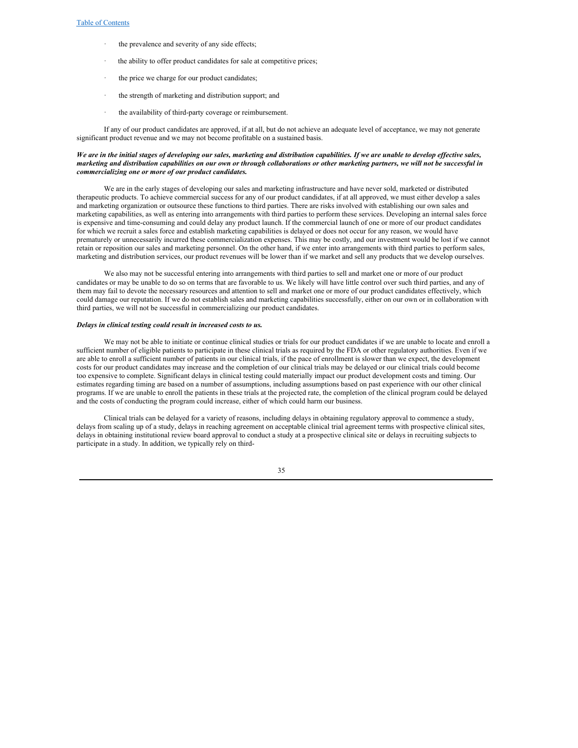- the prevalence and severity of any side effects;
- the ability to offer product candidates for sale at competitive prices;
- the price we charge for our product candidates;
- the strength of marketing and distribution support; and
- the availability of third-party coverage or reimbursement.

If any of our product candidates are approved, if at all, but do not achieve an adequate level of acceptance, we may not generate significant product revenue and we may not become profitable on a sustained basis.

# We are in the initial stages of developing our sales, marketing and distribution capabilities. If we are unable to develop effective sales, marketing and distribution capabilities on our own or through collaborations or other marketing partners, we will not be successful in *commercializing one or more of our product candidates.*

We are in the early stages of developing our sales and marketing infrastructure and have never sold, marketed or distributed therapeutic products. To achieve commercial success for any of our product candidates, if at all approved, we must either develop a sales and marketing organization or outsource these functions to third parties. There are risks involved with establishing our own sales and marketing capabilities, as well as entering into arrangements with third parties to perform these services. Developing an internal sales force is expensive and time-consuming and could delay any product launch. If the commercial launch of one or more of our product candidates for which we recruit a sales force and establish marketing capabilities is delayed or does not occur for any reason, we would have prematurely or unnecessarily incurred these commercialization expenses. This may be costly, and our investment would be lost if we cannot retain or reposition our sales and marketing personnel. On the other hand, if we enter into arrangements with third parties to perform sales, marketing and distribution services, our product revenues will be lower than if we market and sell any products that we develop ourselves.

We also may not be successful entering into arrangements with third parties to sell and market one or more of our product candidates or may be unable to do so on terms that are favorable to us. We likely will have little control over such third parties, and any of them may fail to devote the necessary resources and attention to sell and market one or more of our product candidates effectively, which could damage our reputation. If we do not establish sales and marketing capabilities successfully, either on our own or in collaboration with third parties, we will not be successful in commercializing our product candidates.

# *Delays in clinical testing could result in increased costs to us.*

We may not be able to initiate or continue clinical studies or trials for our product candidates if we are unable to locate and enroll a sufficient number of eligible patients to participate in these clinical trials as required by the FDA or other regulatory authorities. Even if we are able to enroll a sufficient number of patients in our clinical trials, if the pace of enrollment is slower than we expect, the development costs for our product candidates may increase and the completion of our clinical trials may be delayed or our clinical trials could become too expensive to complete. Significant delays in clinical testing could materially impact our product development costs and timing. Our estimates regarding timing are based on a number of assumptions, including assumptions based on past experience with our other clinical programs. If we are unable to enroll the patients in these trials at the projected rate, the completion of the clinical program could be delayed and the costs of conducting the program could increase, either of which could harm our business.

Clinical trials can be delayed for a variety of reasons, including delays in obtaining regulatory approval to commence a study, delays from scaling up of a study, delays in reaching agreement on acceptable clinical trial agreement terms with prospective clinical sites, delays in obtaining institutional review board approval to conduct a study at a prospective clinical site or delays in recruiting subjects to participate in a study. In addition, we typically rely on third-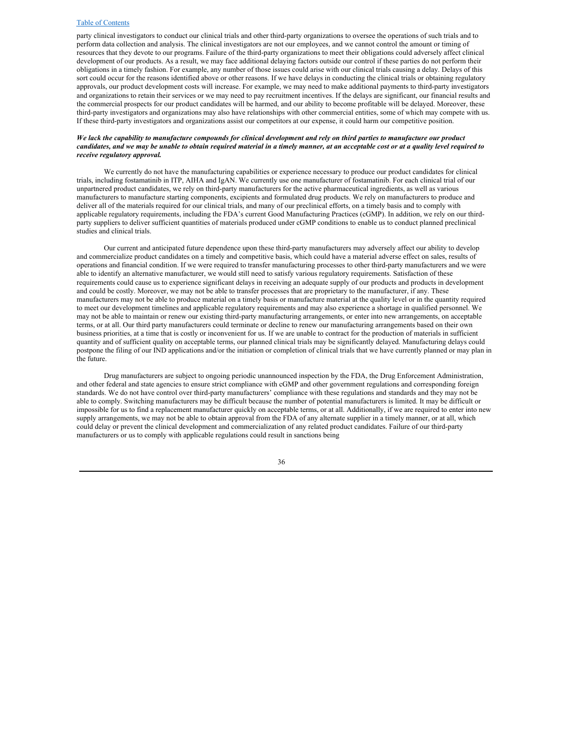party clinical investigators to conduct our clinical trials and other third-party organizations to oversee the operations of such trials and to perform data collection and analysis. The clinical investigators are not our employees, and we cannot control the amount or timing of resources that they devote to our programs. Failure of the third-party organizations to meet their obligations could adversely affect clinical development of our products. As a result, we may face additional delaying factors outside our control if these parties do not perform their obligations in a timely fashion. For example, any number of those issues could arise with our clinical trials causing a delay. Delays of this sort could occur for the reasons identified above or other reasons. If we have delays in conducting the clinical trials or obtaining regulatory approvals, our product development costs will increase. For example, we may need to make additional payments to third-party investigators and organizations to retain their services or we may need to pay recruitment incentives. If the delays are significant, our financial results and the commercial prospects for our product candidates will be harmed, and our ability to become profitable will be delayed. Moreover, these third-party investigators and organizations may also have relationships with other commercial entities, some of which may compete with us. If these third-party investigators and organizations assist our competitors at our expense, it could harm our competitive position.

# We lack the capability to manufacture compounds for clinical development and rely on third parties to manufacture our product candidates, and we may be unable to obtain required material in a timely manner, at an acceptable cost or at a quality level required to *receive regulatory approval.*

We currently do not have the manufacturing capabilities or experience necessary to produce our product candidates for clinical trials, including fostamatinib in ITP, AIHA and IgAN. We currently use one manufacturer of fostamatinib. For each clinical trial of our unpartnered product candidates, we rely on third-party manufacturers for the active pharmaceutical ingredients, as well as various manufacturers to manufacture starting components, excipients and formulated drug products. We rely on manufacturers to produce and deliver all of the materials required for our clinical trials, and many of our preclinical efforts, on a timely basis and to comply with applicable regulatory requirements, including the FDA's current Good Manufacturing Practices (cGMP). In addition, we rely on our thirdparty suppliers to deliver sufficient quantities of materials produced under cGMP conditions to enable us to conduct planned preclinical studies and clinical trials.

Our current and anticipated future dependence upon these third-party manufacturers may adversely affect our ability to develop and commercialize product candidates on a timely and competitive basis, which could have a material adverse effect on sales, results of operations and financial condition. If we were required to transfer manufacturing processes to other third-party manufacturers and we were able to identify an alternative manufacturer, we would still need to satisfy various regulatory requirements. Satisfaction of these requirements could cause us to experience significant delays in receiving an adequate supply of our products and products in development and could be costly. Moreover, we may not be able to transfer processes that are proprietary to the manufacturer, if any. These manufacturers may not be able to produce material on a timely basis or manufacture material at the quality level or in the quantity required to meet our development timelines and applicable regulatory requirements and may also experience a shortage in qualified personnel. We may not be able to maintain or renew our existing third-party manufacturing arrangements, or enter into new arrangements, on acceptable terms, or at all. Our third party manufacturers could terminate or decline to renew our manufacturing arrangements based on their own business priorities, at a time that is costly or inconvenient for us. If we are unable to contract for the production of materials in sufficient quantity and of sufficient quality on acceptable terms, our planned clinical trials may be significantly delayed. Manufacturing delays could postpone the filing of our IND applications and/or the initiation or completion of clinical trials that we have currently planned or may plan in the future.

Drug manufacturers are subject to ongoing periodic unannounced inspection by the FDA, the Drug Enforcement Administration, and other federal and state agencies to ensure strict compliance with cGMP and other government regulations and corresponding foreign standards. We do not have control over third-party manufacturers' compliance with these regulations and standards and they may not be able to comply. Switching manufacturers may be difficult because the number of potential manufacturers is limited. It may be difficult or impossible for us to find a replacement manufacturer quickly on acceptable terms, or at all. Additionally, if we are required to enter into new supply arrangements, we may not be able to obtain approval from the FDA of any alternate supplier in a timely manner, or at all, which could delay or prevent the clinical development and commercialization of any related product candidates. Failure of our third-party manufacturers or us to comply with applicable regulations could result in sanctions being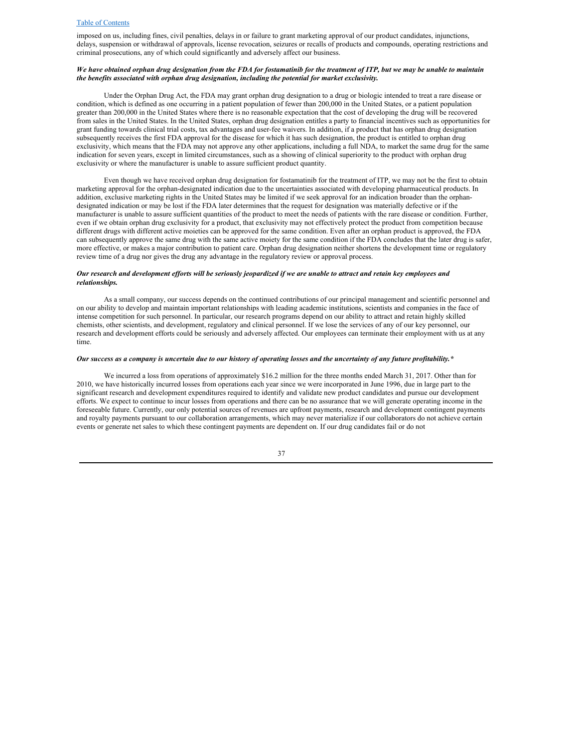imposed on us, including fines, civil penalties, delays in or failure to grant marketing approval of our product candidates, injunctions, delays, suspension or withdrawal of approvals, license revocation, seizures or recalls of products and compounds, operating restrictions and criminal prosecutions, any of which could significantly and adversely affect our business.

# We have obtained orphan drug designation from the FDA for fostamatinib for the treatment of ITP, but we may be unable to maintain *the benefits associated with orphan drug designation, including the potential for market exclusivity.*

Under the Orphan Drug Act, the FDA may grant orphan drug designation to a drug or biologic intended to treat a rare disease or condition, which is defined as one occurring in a patient population of fewer than 200,000 in the United States, or a patient population greater than 200,000 in the United States where there is no reasonable expectation that the cost of developing the drug will be recovered from sales in the United States. In the United States, orphan drug designation entitles a party to financial incentives such as opportunities for grant funding towards clinical trial costs, tax advantages and user-fee waivers. In addition, if a product that has orphan drug designation subsequently receives the first FDA approval for the disease for which it has such designation, the product is entitled to orphan drug exclusivity, which means that the FDA may not approve any other applications, including a full NDA, to market the same drug for the same indication for seven years, except in limited circumstances, such as a showing of clinical superiority to the product with orphan drug exclusivity or where the manufacturer is unable to assure sufficient product quantity.

Even though we have received orphan drug designation for fostamatinib for the treatment of ITP, we may not be the first to obtain marketing approval for the orphan-designated indication due to the uncertainties associated with developing pharmaceutical products. In addition, exclusive marketing rights in the United States may be limited if we seek approval for an indication broader than the orphandesignated indication or may be lost if the FDA later determines that the request for designation was materially defective or if the manufacturer is unable to assure sufficient quantities of the product to meet the needs of patients with the rare disease or condition. Further, even if we obtain orphan drug exclusivity for a product, that exclusivity may not effectively protect the product from competition because different drugs with different active moieties can be approved for the same condition. Even after an orphan product is approved, the FDA can subsequently approve the same drug with the same active moiety for the same condition if the FDA concludes that the later drug is safer, more effective, or makes a major contribution to patient care. Orphan drug designation neither shortens the development time or regulatory review time of a drug nor gives the drug any advantage in the regulatory review or approval process.

# Our research and development efforts will be seriously jeopardized if we are unable to attract and retain key employees and *relationships.*

As a small company, our success depends on the continued contributions of our principal management and scientific personnel and on our ability to develop and maintain important relationships with leading academic institutions, scientists and companies in the face of intense competition for such personnel. In particular, our research programs depend on our ability to attract and retain highly skilled chemists, other scientists, and development, regulatory and clinical personnel. If we lose the services of any of our key personnel, our research and development efforts could be seriously and adversely affected. Our employees can terminate their employment with us at any time.

#### Our success as a company is uncertain due to our history of operating losses and the uncertainty of any future profitability.\*

We incurred a loss from operations of approximately \$16.2 million for the three months ended March 31, 2017. Other than for 2010, we have historically incurred losses from operations each year since we were incorporated in June 1996, due in large part to the significant research and development expenditures required to identify and validate new product candidates and pursue our development efforts. We expect to continue to incur losses from operations and there can be no assurance that we will generate operating income in the foreseeable future. Currently, our only potential sources of revenues are upfront payments, research and development contingent payments and royalty payments pursuant to our collaboration arrangements, which may never materialize if our collaborators do not achieve certain events or generate net sales to which these contingent payments are dependent on. If our drug candidates fail or do not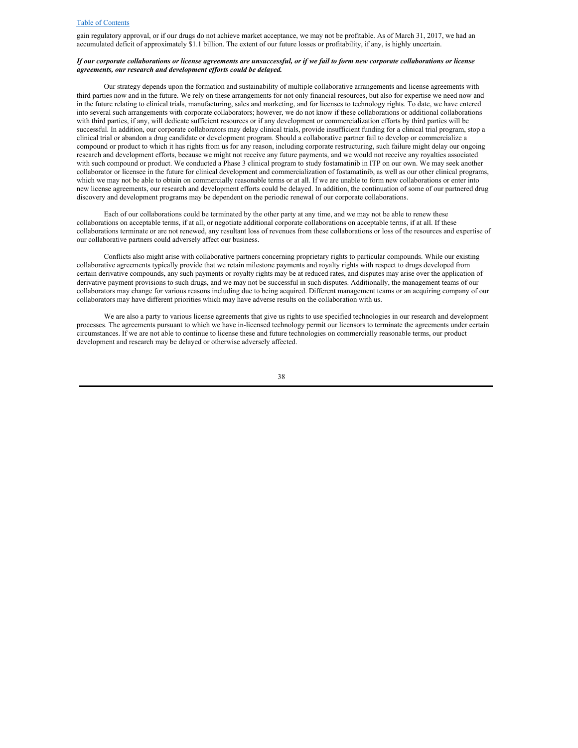gain regulatory approval, or if our drugs do not achieve market acceptance, we may not be profitable. As of March 31, 2017, we had an accumulated deficit of approximately \$1.1 billion. The extent of our future losses or profitability, if any, is highly uncertain.

### If our corporate collaborations or license agreements are unsuccessful, or if we fail to form new corporate collaborations or license *agreements, our research and development ef orts could be delayed.*

Our strategy depends upon the formation and sustainability of multiple collaborative arrangements and license agreements with third parties now and in the future. We rely on these arrangements for not only financial resources, but also for expertise we need now and in the future relating to clinical trials, manufacturing, sales and marketing, and for licenses to technology rights. To date, we have entered into several such arrangements with corporate collaborators; however, we do not know if these collaborations or additional collaborations with third parties, if any, will dedicate sufficient resources or if any development or commercialization efforts by third parties will be successful. In addition, our corporate collaborators may delay clinical trials, provide insufficient funding for a clinical trial program, stop a clinical trial or abandon a drug candidate or development program. Should a collaborative partner fail to develop or commercialize a compound or product to which it has rights from us for any reason, including corporate restructuring, such failure might delay our ongoing research and development efforts, because we might not receive any future payments, and we would not receive any royalties associated with such compound or product. We conducted a Phase 3 clinical program to study fostamatinib in ITP on our own. We may seek another collaborator or licensee in the future for clinical development and commercialization of fostamatinib, as well as our other clinical programs, which we may not be able to obtain on commercially reasonable terms or at all. If we are unable to form new collaborations or enter into new license agreements, our research and development efforts could be delayed. In addition, the continuation of some of our partnered drug discovery and development programs may be dependent on the periodic renewal of our corporate collaborations.

Each of our collaborations could be terminated by the other party at any time, and we may not be able to renew these collaborations on acceptable terms, if at all, or negotiate additional corporate collaborations on acceptable terms, if at all. If these collaborations terminate or are not renewed, any resultant loss of revenues from these collaborations or loss of the resources and expertise of our collaborative partners could adversely affect our business.

Conflicts also might arise with collaborative partners concerning proprietary rights to particular compounds. While our existing collaborative agreements typically provide that we retain milestone payments and royalty rights with respect to drugs developed from certain derivative compounds, any such payments or royalty rights may be at reduced rates, and disputes may arise over the application of derivative payment provisions to such drugs, and we may not be successful in such disputes. Additionally, the management teams of our collaborators may change for various reasons including due to being acquired. Different management teams or an acquiring company of our collaborators may have different priorities which may have adverse results on the collaboration with us.

We are also a party to various license agreements that give us rights to use specified technologies in our research and development processes. The agreements pursuant to which we have in-licensed technology permit our licensors to terminate the agreements under certain circumstances. If we are not able to continue to license these and future technologies on commercially reasonable terms, our product development and research may be delayed or otherwise adversely affected.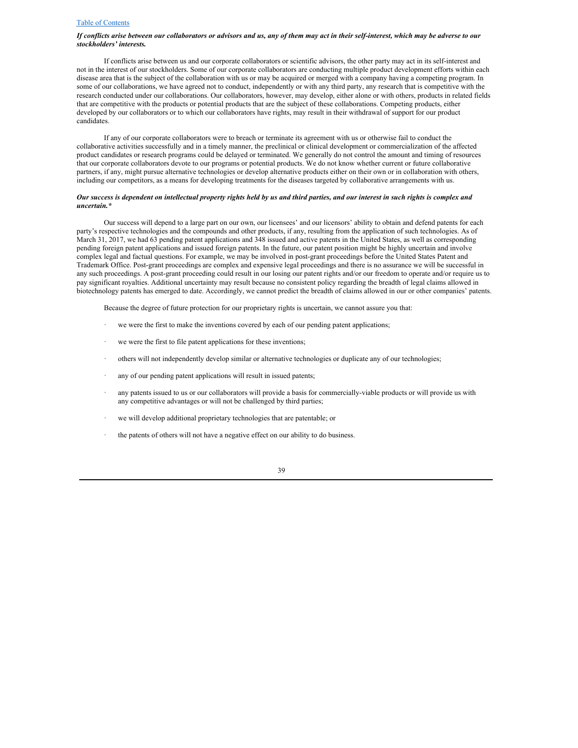#### If conflicts arise between our collaborators or advisors and us, any of them may act in their self-interest, which may be adverse to our *stockholders' interests.*

If conflicts arise between us and our corporate collaborators or scientific advisors, the other party may act in its self-interest and not in the interest of our stockholders. Some of our corporate collaborators are conducting multiple product development efforts within each disease area that is the subject of the collaboration with us or may be acquired or merged with a company having a competing program. In some of our collaborations, we have agreed not to conduct, independently or with any third party, any research that is competitive with the research conducted under our collaborations. Our collaborators, however, may develop, either alone or with others, products in related fields that are competitive with the products or potential products that are the subject of these collaborations. Competing products, either developed by our collaborators or to which our collaborators have rights, may result in their withdrawal of support for our product candidates.

If any of our corporate collaborators were to breach or terminate its agreement with us or otherwise fail to conduct the collaborative activities successfully and in a timely manner, the preclinical or clinical development or commercialization of the affected product candidates or research programs could be delayed or terminated. We generally do not control the amount and timing of resources that our corporate collaborators devote to our programs or potential products. We do not know whether current or future collaborative partners, if any, might pursue alternative technologies or develop alternative products either on their own or in collaboration with others, including our competitors, as a means for developing treatments for the diseases targeted by collaborative arrangements with us.

# Our success is dependent on intellectual property rights held by us and third parties, and our interest in such rights is complex and *uncertain.\**

Our success will depend to a large part on our own, our licensees' and our licensors' ability to obtain and defend patents for each party's respective technologies and the compounds and other products, if any, resulting from the application of such technologies. As of March 31, 2017, we had 63 pending patent applications and 348 issued and active patents in the United States, as well as corresponding pending foreign patent applications and issued foreign patents. In the future, our patent position might be highly uncertain and involve complex legal and factual questions. For example, we may be involved in post-grant proceedings before the United States Patent and Trademark Office. Post-grant proceedings are complex and expensive legal proceedings and there is no assurance we will be successful in any such proceedings. A post-grant proceeding could result in our losing our patent rights and/or our freedom to operate and/or require us to pay significant royalties. Additional uncertainty may result because no consistent policy regarding the breadth of legal claims allowed in biotechnology patents has emerged to date. Accordingly, we cannot predict the breadth of claims allowed in our or other companies' patents.

Because the degree of future protection for our proprietary rights is uncertain, we cannot assure you that:

- we were the first to make the inventions covered by each of our pending patent applications;
- we were the first to file patent applications for these inventions;
- others will not independently develop similar or alternative technologies or duplicate any of our technologies;
- any of our pending patent applications will result in issued patents;
- any patents issued to us or our collaborators will provide a basis for commercially-viable products or will provide us with any competitive advantages or will not be challenged by third parties;
- we will develop additional proprietary technologies that are patentable; or
- the patents of others will not have a negative effect on our ability to do business.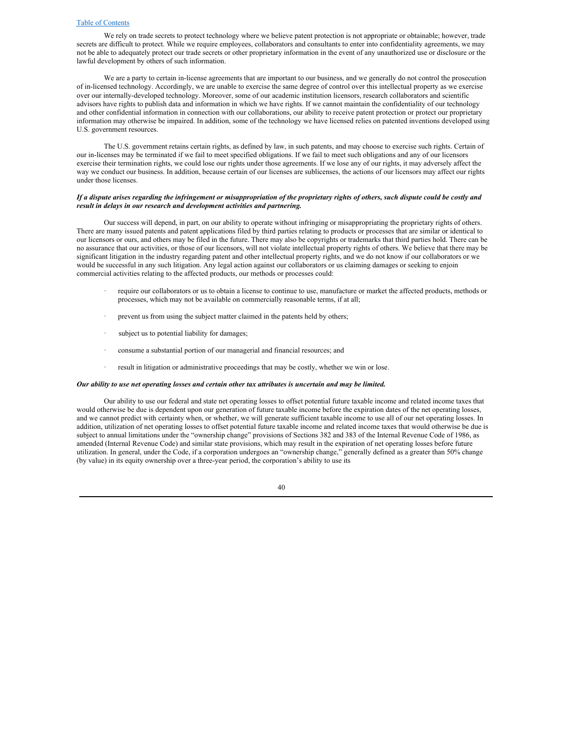We rely on trade secrets to protect technology where we believe patent protection is not appropriate or obtainable; however, trade secrets are difficult to protect. While we require employees, collaborators and consultants to enter into confidentiality agreements, we may not be able to adequately protect our trade secrets or other proprietary information in the event of any unauthorized use or disclosure or the lawful development by others of such information.

We are a party to certain in-license agreements that are important to our business, and we generally do not control the prosecution of in-licensed technology. Accordingly, we are unable to exercise the same degree of control over this intellectual property as we exercise over our internally-developed technology. Moreover, some of our academic institution licensors, research collaborators and scientific advisors have rights to publish data and information in which we have rights. If we cannot maintain the confidentiality of our technology and other confidential information in connection with our collaborations, our ability to receive patent protection or protect our proprietary information may otherwise be impaired. In addition, some of the technology we have licensed relies on patented inventions developed using U.S. government resources.

The U.S. government retains certain rights, as defined by law, in such patents, and may choose to exercise such rights. Certain of our in-licenses may be terminated if we fail to meet specified obligations. If we fail to meet such obligations and any of our licensors exercise their termination rights, we could lose our rights under those agreements. If we lose any of our rights, it may adversely affect the way we conduct our business. In addition, because certain of our licenses are sublicenses, the actions of our licensors may affect our rights under those licenses.

# If a dispute arises regarding the infringement or misappropriation of the proprietary rights of others, such dispute could be costly and *result in delays in our research and development activities and partnering.*

Our success will depend, in part, on our ability to operate without infringing or misappropriating the proprietary rights of others. There are many issued patents and patent applications filed by third parties relating to products or processes that are similar or identical to our licensors or ours, and others may be filed in the future. There may also be copyrights or trademarks that third parties hold. There can be no assurance that our activities, or those of our licensors, will not violate intellectual property rights of others. We believe that there may be significant litigation in the industry regarding patent and other intellectual property rights, and we do not know if our collaborators or we would be successful in any such litigation. Any legal action against our collaborators or us claiming damages or seeking to enjoin commercial activities relating to the affected products, our methods or processes could:

- · require our collaborators or us to obtain a license to continue to use, manufacture or market the affected products, methods or processes, which may not be available on commercially reasonable terms, if at all;
- prevent us from using the subject matter claimed in the patents held by others;
- subject us to potential liability for damages;
- consume a substantial portion of our managerial and financial resources; and
- result in litigation or administrative proceedings that may be costly, whether we win or lose.

# Our ability to use net operating losses and certain other tax attributes is uncertain and may be limited.

Our ability to use our federal and state net operating losses to offset potential future taxable income and related income taxes that would otherwise be due is dependent upon our generation of future taxable income before the expiration dates of the net operating losses, and we cannot predict with certainty when, or whether, we will generate sufficient taxable income to use all of our net operating losses. In addition, utilization of net operating losses to offset potential future taxable income and related income taxes that would otherwise be due is subject to annual limitations under the "ownership change" provisions of Sections 382 and 383 of the Internal Revenue Code of 1986, as amended (Internal Revenue Code) and similar state provisions, which may result in the expiration of net operating losses before future utilization. In general, under the Code, if a corporation undergoes an "ownership change," generally defined as a greater than 50% change (by value) in its equity ownership over a three-year period, the corporation's ability to use its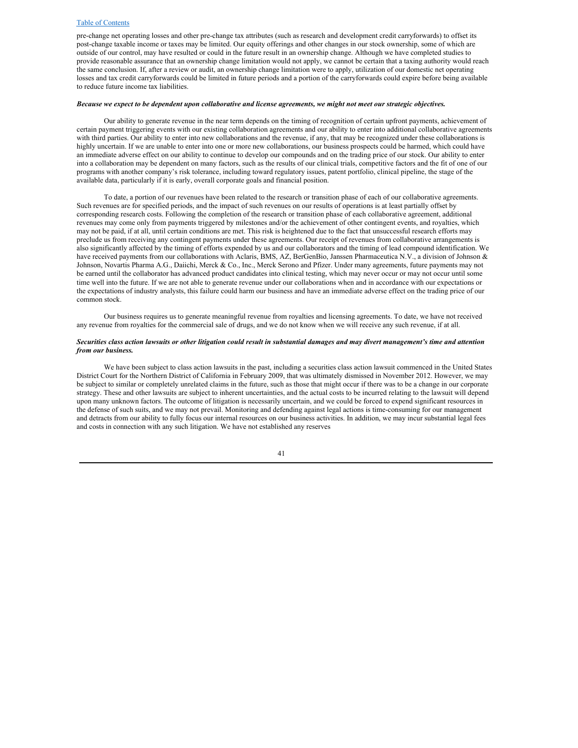pre-change net operating losses and other pre-change tax attributes (such as research and development credit carryforwards) to offset its post-change taxable income or taxes may be limited. Our equity offerings and other changes in our stock ownership, some of which are outside of our control, may have resulted or could in the future result in an ownership change. Although we have completed studies to provide reasonable assurance that an ownership change limitation would not apply, we cannot be certain that a taxing authority would reach the same conclusion. If, after a review or audit, an ownership change limitation were to apply, utilization of our domestic net operating losses and tax credit carryforwards could be limited in future periods and a portion of the carryforwards could expire before being available to reduce future income tax liabilities.

#### Because we expect to be dependent upon collaborative and license agreements, we might not meet our strategic objectives.

Our ability to generate revenue in the near term depends on the timing of recognition of certain upfront payments, achievement of certain payment triggering events with our existing collaboration agreements and our ability to enter into additional collaborative agreements with third parties. Our ability to enter into new collaborations and the revenue, if any, that may be recognized under these collaborations is highly uncertain. If we are unable to enter into one or more new collaborations, our business prospects could be harmed, which could have an immediate adverse effect on our ability to continue to develop our compounds and on the trading price of our stock. Our ability to enter into a collaboration may be dependent on many factors, such as the results of our clinical trials, competitive factors and the fit of one of our programs with another company's risk tolerance, including toward regulatory issues, patent portfolio, clinical pipeline, the stage of the available data, particularly if it is early, overall corporate goals and financial position.

To date, a portion of our revenues have been related to the research or transition phase of each of our collaborative agreements. Such revenues are for specified periods, and the impact of such revenues on our results of operations is at least partially offset by corresponding research costs. Following the completion of the research or transition phase of each collaborative agreement, additional revenues may come only from payments triggered by milestones and/or the achievement of other contingent events, and royalties, which may not be paid, if at all, until certain conditions are met. This risk is heightened due to the fact that unsuccessful research efforts may preclude us from receiving any contingent payments under these agreements. Our receipt of revenues from collaborative arrangements is also significantly affected by the timing of efforts expended by us and our collaborators and the timing of lead compound identification. We have received payments from our collaborations with Aclaris, BMS, AZ, BerGenBio, Janssen Pharmaceutica N.V., a division of Johnson & Johnson, Novartis Pharma A.G., Daiichi, Merck & Co., Inc., Merck Serono and Pfizer. Under many agreements, future payments may not be earned until the collaborator has advanced product candidates into clinical testing, which may never occur or may not occur until some time well into the future. If we are not able to generate revenue under our collaborations when and in accordance with our expectations or the expectations of industry analysts, this failure could harm our business and have an immediate adverse effect on the trading price of our common stock.

Our business requires us to generate meaningful revenue from royalties and licensing agreements. To date, we have not received any revenue from royalties for the commercial sale of drugs, and we do not know when we will receive any such revenue, if at all.

# Securities class action lawsuits or other litigation could result in substantial damages and may divert management's time and attention *from our business.*

We have been subject to class action lawsuits in the past, including a securities class action lawsuit commenced in the United States District Court for the Northern District of California in February 2009, that was ultimately dismissed in November 2012. However, we may be subject to similar or completely unrelated claims in the future, such as those that might occur if there was to be a change in our corporate strategy. These and other lawsuits are subject to inherent uncertainties, and the actual costs to be incurred relating to the lawsuit will depend upon many unknown factors. The outcome of litigation is necessarily uncertain, and we could be forced to expend significant resources in the defense of such suits, and we may not prevail. Monitoring and defending against legal actions is time-consuming for our management and detracts from our ability to fully focus our internal resources on our business activities. In addition, we may incur substantial legal fees and costs in connection with any such litigation. We have not established any reserves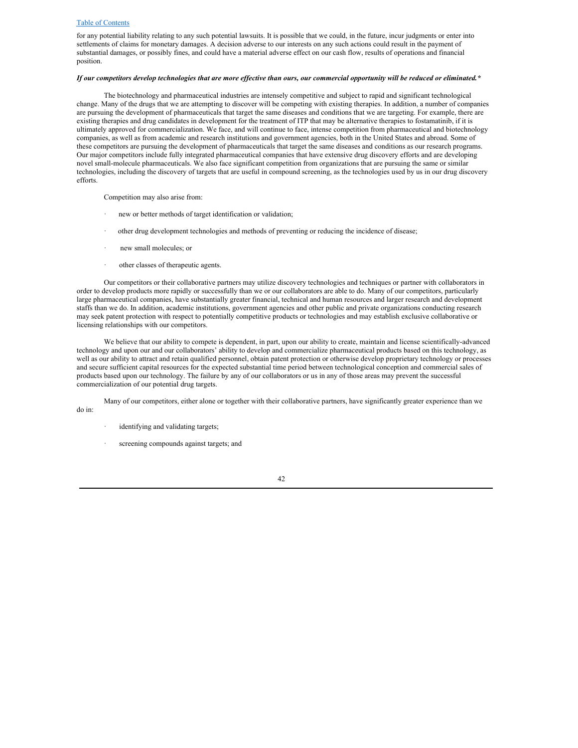for any potential liability relating to any such potential lawsuits. It is possible that we could, in the future, incur judgments or enter into settlements of claims for monetary damages. A decision adverse to our interests on any such actions could result in the payment of substantial damages, or possibly fines, and could have a material adverse effect on our cash flow, results of operations and financial position.

### If our competitors develop technologies that are more effective than ours, our commercial opportunity will be reduced or eliminated.\*

The biotechnology and pharmaceutical industries are intensely competitive and subject to rapid and significant technological change. Many of the drugs that we are attempting to discover will be competing with existing therapies. In addition, a number of companies are pursuing the development of pharmaceuticals that target the same diseases and conditions that we are targeting. For example, there are existing therapies and drug candidates in development for the treatment of ITP that may be alternative therapies to fostamatinib, if it is ultimately approved for commercialization. We face, and will continue to face, intense competition from pharmaceutical and biotechnology companies, as well as from academic and research institutions and government agencies, both in the United States and abroad. Some of these competitors are pursuing the development of pharmaceuticals that target the same diseases and conditions as our research programs. Our major competitors include fully integrated pharmaceutical companies that have extensive drug discovery efforts and are developing novel small-molecule pharmaceuticals. We also face significant competition from organizations that are pursuing the same or similar technologies, including the discovery of targets that are useful in compound screening, as the technologies used by us in our drug discovery efforts.

Competition may also arise from:

- new or better methods of target identification or validation;
- other drug development technologies and methods of preventing or reducing the incidence of disease;
- new small molecules; or
- · other classes of therapeutic agents.

Our competitors or their collaborative partners may utilize discovery technologies and techniques or partner with collaborators in order to develop products more rapidly or successfully than we or our collaborators are able to do. Many of our competitors, particularly large pharmaceutical companies, have substantially greater financial, technical and human resources and larger research and development staffs than we do. In addition, academic institutions, government agencies and other public and private organizations conducting research may seek patent protection with respect to potentially competitive products or technologies and may establish exclusive collaborative or licensing relationships with our competitors.

We believe that our ability to compete is dependent, in part, upon our ability to create, maintain and license scientifically-advanced technology and upon our and our collaborators' ability to develop and commercialize pharmaceutical products based on this technology, as well as our ability to attract and retain qualified personnel, obtain patent protection or otherwise develop proprietary technology or processes and secure sufficient capital resources for the expected substantial time period between technological conception and commercial sales of products based upon our technology. The failure by any of our collaborators or us in any of those areas may prevent the successful commercialization of our potential drug targets.

Many of our competitors, either alone or together with their collaborative partners, have significantly greater experience than we do in:

- identifying and validating targets;
- screening compounds against targets; and
- 42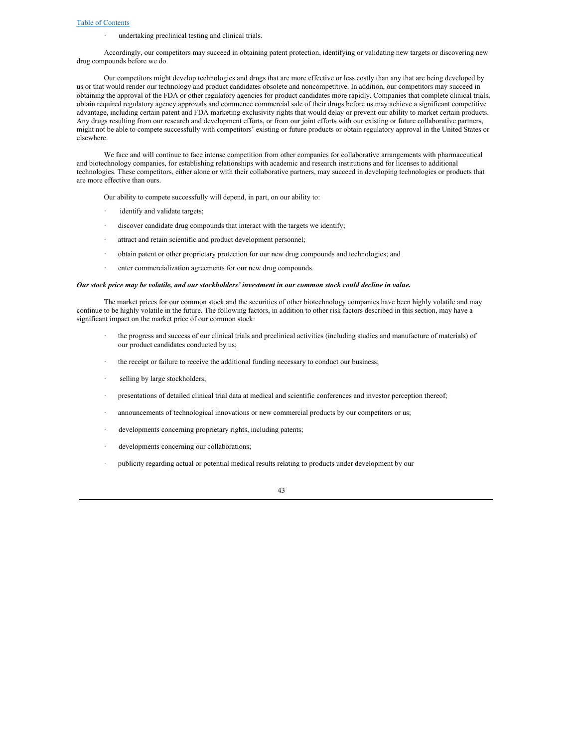undertaking preclinical testing and clinical trials.

Accordingly, our competitors may succeed in obtaining patent protection, identifying or validating new targets or discovering new drug compounds before we do.

Our competitors might develop technologies and drugs that are more effective or less costly than any that are being developed by us or that would render our technology and product candidates obsolete and noncompetitive. In addition, our competitors may succeed in obtaining the approval of the FDA or other regulatory agencies for product candidates more rapidly. Companies that complete clinical trials, obtain required regulatory agency approvals and commence commercial sale of their drugs before us may achieve a significant competitive advantage, including certain patent and FDA marketing exclusivity rights that would delay or prevent our ability to market certain products. Any drugs resulting from our research and development efforts, or from our joint efforts with our existing or future collaborative partners, might not be able to compete successfully with competitors' existing or future products or obtain regulatory approval in the United States or elsewhere.

We face and will continue to face intense competition from other companies for collaborative arrangements with pharmaceutical and biotechnology companies, for establishing relationships with academic and research institutions and for licenses to additional technologies. These competitors, either alone or with their collaborative partners, may succeed in developing technologies or products that are more effective than ours.

Our ability to compete successfully will depend, in part, on our ability to:

- identify and validate targets;
- discover candidate drug compounds that interact with the targets we identify;
- attract and retain scientific and product development personnel;
- · obtain patent or other proprietary protection for our new drug compounds and technologies; and
- enter commercialization agreements for our new drug compounds.

# Our stock price may be volatile, and our stockholders' investment in our common stock could decline in value.

The market prices for our common stock and the securities of other biotechnology companies have been highly volatile and may continue to be highly volatile in the future. The following factors, in addition to other risk factors described in this section, may have a significant impact on the market price of our common stock:

- the progress and success of our clinical trials and preclinical activities (including studies and manufacture of materials) of our product candidates conducted by us;
- the receipt or failure to receive the additional funding necessary to conduct our business;
- selling by large stockholders;
- presentations of detailed clinical trial data at medical and scientific conferences and investor perception thereof;
- announcements of technological innovations or new commercial products by our competitors or us;
- developments concerning proprietary rights, including patents;
- developments concerning our collaborations;
- publicity regarding actual or potential medical results relating to products under development by our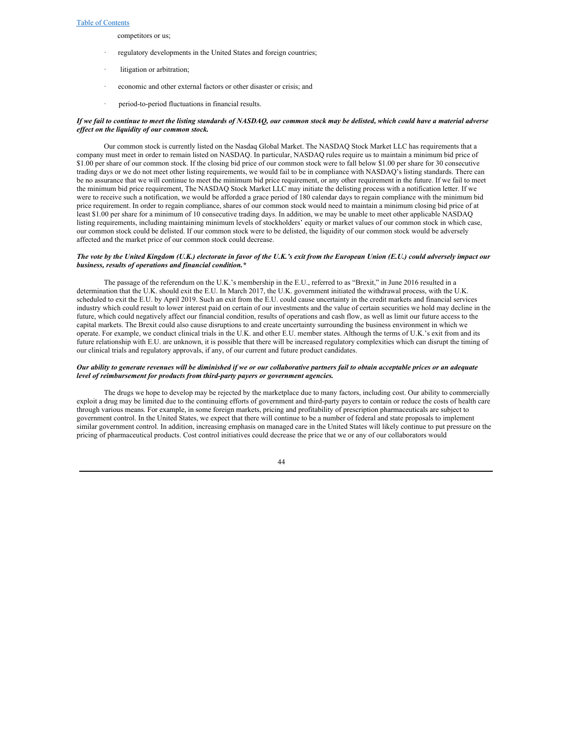competitors or us;

- regulatory developments in the United States and foreign countries;
- litigation or arbitration;
- economic and other external factors or other disaster or crisis; and
- period-to-period fluctuations in financial results.

# If we fail to continue to meet the listing standards of NASDAQ, our common stock may be delisted, which could have a material adverse *ef ect on the liquidity of our common stock.*

Our common stock is currently listed on the Nasdaq Global Market. The NASDAQ Stock Market LLC has requirements that a company must meet in order to remain listed on NASDAQ. In particular, NASDAQ rules require us to maintain a minimum bid price of \$1.00 per share of our common stock. If the closing bid price of our common stock were to fall below \$1.00 per share for 30 consecutive trading days or we do not meet other listing requirements, we would fail to be in compliance with NASDAQ's listing standards. There can be no assurance that we will continue to meet the minimum bid price requirement, or any other requirement in the future. If we fail to meet the minimum bid price requirement, The NASDAQ Stock Market LLC may initiate the delisting process with a notification letter. If we were to receive such a notification, we would be afforded a grace period of 180 calendar days to regain compliance with the minimum bid price requirement. In order to regain compliance, shares of our common stock would need to maintain a minimum closing bid price of at least \$1.00 per share for a minimum of 10 consecutive trading days. In addition, we may be unable to meet other applicable NASDAQ listing requirements, including maintaining minimum levels of stockholders' equity or market values of our common stock in which case, our common stock could be delisted. If our common stock were to be delisted, the liquidity of our common stock would be adversely affected and the market price of our common stock could decrease.

### The vote by the United Kingdom (U.K.) electorate in favor of the U.K.'s exit from the European Union (E.U.) could adversely impact our *business, results of operations and financial condition.\**

The passage of the referendum on the U.K.'s membership in the E.U., referred to as "Brexit," in June 2016 resulted in a determination that the U.K. should exit the E.U. In March 2017, the U.K. government initiated the withdrawal process, with the U.K. scheduled to exit the E.U. by April 2019. Such an exit from the E.U. could cause uncertainty in the credit markets and financial services industry which could result to lower interest paid on certain of our investments and the value of certain securities we hold may decline in the future, which could negatively affect our financial condition, results of operations and cash flow, as well as limit our future access to the capital markets. The Brexit could also cause disruptions to and create uncertainty surrounding the business environment in which we operate. For example, we conduct clinical trials in the U.K. and other E.U. member states. Although the terms of U.K.'s exit from and its future relationship with E.U. are unknown, it is possible that there will be increased regulatory complexities which can disrupt the timing of our clinical trials and regulatory approvals, if any, of our current and future product candidates.

# Our ability to generate revenues will be diminished if we or our collaborative partners fail to obtain acceptable prices or an adequate *level of reimbursement for products from third-party payers or government agencies.*

The drugs we hope to develop may be rejected by the marketplace due to many factors, including cost. Our ability to commercially exploit a drug may be limited due to the continuing efforts of government and third-party payers to contain or reduce the costs of health care through various means. For example, in some foreign markets, pricing and profitability of prescription pharmaceuticals are subject to government control. In the United States, we expect that there will continue to be a number of federal and state proposals to implement similar government control. In addition, increasing emphasis on managed care in the United States will likely continue to put pressure on the pricing of pharmaceutical products. Cost control initiatives could decrease the price that we or any of our collaborators would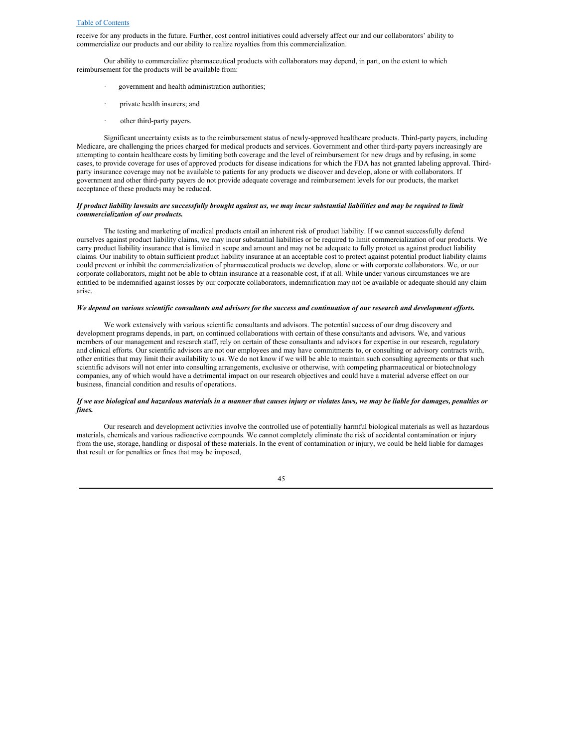receive for any products in the future. Further, cost control initiatives could adversely affect our and our collaborators' ability to commercialize our products and our ability to realize royalties from this commercialization.

Our ability to commercialize pharmaceutical products with collaborators may depend, in part, on the extent to which reimbursement for the products will be available from:

- government and health administration authorities;
- private health insurers; and
- other third-party payers.

Significant uncertainty exists as to the reimbursement status of newly-approved healthcare products. Third-party payers, including Medicare, are challenging the prices charged for medical products and services. Government and other third-party payers increasingly are attempting to contain healthcare costs by limiting both coverage and the level of reimbursement for new drugs and by refusing, in some cases, to provide coverage for uses of approved products for disease indications for which the FDA has not granted labeling approval. Thirdparty insurance coverage may not be available to patients for any products we discover and develop, alone or with collaborators. If government and other third-party payers do not provide adequate coverage and reimbursement levels for our products, the market acceptance of these products may be reduced.

### If product liability lawsuits are successfully brought against us, we may incur substantial liabilities and may be required to limit *commercialization of our products.*

The testing and marketing of medical products entail an inherent risk of product liability. If we cannot successfully defend ourselves against product liability claims, we may incur substantial liabilities or be required to limit commercialization of our products. We carry product liability insurance that is limited in scope and amount and may not be adequate to fully protect us against product liability claims. Our inability to obtain sufficient product liability insurance at an acceptable cost to protect against potential product liability claims could prevent or inhibit the commercialization of pharmaceutical products we develop, alone or with corporate collaborators. We, or our corporate collaborators, might not be able to obtain insurance at a reasonable cost, if at all. While under various circumstances we are entitled to be indemnified against losses by our corporate collaborators, indemnification may not be available or adequate should any claim arise.

#### We depend on various scientific consultants and advisors for the success and continuation of our research and development efforts.

We work extensively with various scientific consultants and advisors. The potential success of our drug discovery and development programs depends, in part, on continued collaborations with certain of these consultants and advisors. We, and various members of our management and research staff, rely on certain of these consultants and advisors for expertise in our research, regulatory and clinical efforts. Our scientific advisors are not our employees and may have commitments to, or consulting or advisory contracts with, other entities that may limit their availability to us. We do not know if we will be able to maintain such consulting agreements or that such scientific advisors will not enter into consulting arrangements, exclusive or otherwise, with competing pharmaceutical or biotechnology companies, any of which would have a detrimental impact on our research objectives and could have a material adverse effect on our business, financial condition and results of operations.

# If we use biological and hazardous materials in a manner that causes injury or violates laws, we may be liable for damages, penalties or *fines.*

Our research and development activities involve the controlled use of potentially harmful biological materials as well as hazardous materials, chemicals and various radioactive compounds. We cannot completely eliminate the risk of accidental contamination or injury from the use, storage, handling or disposal of these materials. In the event of contamination or injury, we could be held liable for damages that result or for penalties or fines that may be imposed,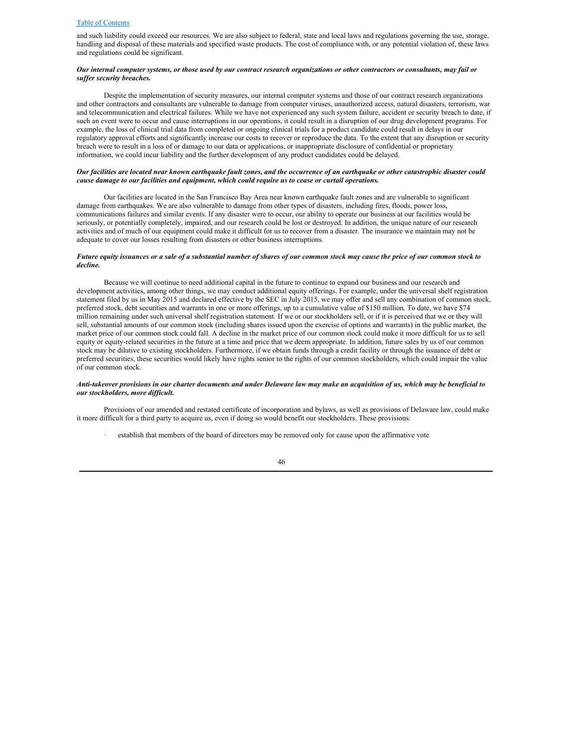and such liability could exceed our resources. We are also subject to federal, state and local laws and regulations governing the use, storage, handling and disposal of these materials and specified waste products. The cost of compliance with, or any potential violation of, these laws and regulations could be significant.

### Our internal computer systems, or those used by our contract research organizations or other contractors or consultants, may fail or *suf er security breaches.*

Despite the implementation of security measures, our internal computer systems and those of our contract research organizations and other contractors and consultants are vulnerable to damage from computer viruses, unauthorized access, natural disasters, terrorism, war and telecommunication and electrical failures. While we have not experienced any such system failure, accident or security breach to date, if such an event were to occur and cause interruptions in our operations, it could result in a disruption of our drug development programs. For example, the loss of clinical trial data from completed or ongoing clinical trials for a product candidate could result in delays in our regulatory approval efforts and significantly increase our costs to recover or reproduce the data. To the extent that any disruption or security breach were to result in a loss of or damage to our data or applications, or inappropriate disclosure of confidential or proprietary information, we could incur liability and the further development of any product candidates could be delayed.

### Our facilities are located near known earthquake fault zones, and the occurrence of an earthquake or other catastrophic disaster could *cause damage to our facilities and equipment, which could require us to cease or curtail operations.*

Our facilities are located in the San Francisco Bay Area near known earthquake fault zones and are vulnerable to significant damage from earthquakes. We are also vulnerable to damage from other types of disasters, including fires, floods, power loss, communications failures and similar events. If any disaster were to occur, our ability to operate our business at our facilities would be seriously, or potentially completely, impaired, and our research could be lost or destroyed. In addition, the unique nature of our research activities and of much of our equipment could make it difficult for us to recover from a disaster. The insurance we maintain may not be adequate to cover our losses resulting from disasters or other business interruptions.

### Future equity issuances or a sale of a substantial number of shares of our common stock may cause the price of our common stock to *decline.*

Because we will continue to need additional capital in the future to continue to expand our business and our research and development activities, among other things, we may conduct additional equity offerings. For example, under the universal shelf registration statement filed by us in May 2015 and declared effective by the SEC in July 2015, we may offer and sell any combination of common stock, preferred stock, debt securities and warrants in one or more offerings, up to a cumulative value of \$150 million. To date, we have \$74 million remaining under such universal shelf registration statement. If we or our stockholders sell, or if it is perceived that we or they will sell, substantial amounts of our common stock (including shares issued upon the exercise of options and warrants) in the public market, the market price of our common stock could fall. A decline in the market price of our common stock could make it more difficult for us to sell equity or equity-related securities in the future at a time and price that we deem appropriate. In addition, future sales by us of our common stock may be dilutive to existing stockholders. Furthermore, if we obtain funds through a credit facility or through the issuance of debt or preferred securities, these securities would likely have rights senior to the rights of our common stockholders, which could impair the value of our common stock.

# Anti-takeover provisions in our charter documents and under Delaware law may make an acquisition of us, which may be beneficial to *our stockholders, more dif icult.*

Provisions of our amended and restated certificate of incorporation and bylaws, as well as provisions of Delaware law, could make it more difficult for a third party to acquire us, even if doing so would benefit our stockholders. These provisions:

establish that members of the board of directors may be removed only for cause upon the affirmative vote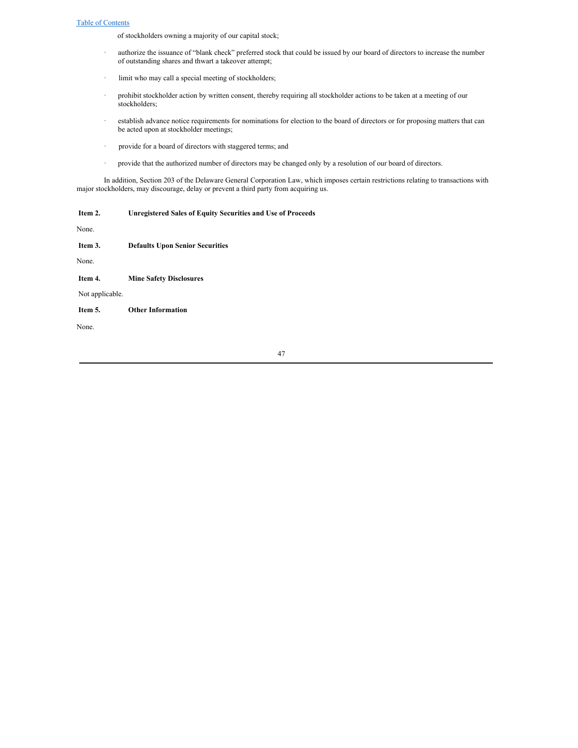of stockholders owning a majority of our capital stock;

- · authorize the issuance of "blank check" preferred stock that could be issued by our board of directors to increase the number of outstanding shares and thwart a takeover attempt;
- · limit who may call a special meeting of stockholders;
- · prohibit stockholder action by written consent, thereby requiring all stockholder actions to be taken at a meeting of our stockholders;
- · establish advance notice requirements for nominations for election to the board of directors or for proposing matters that can be acted upon at stockholder meetings;
- · provide for a board of directors with staggered terms; and
- · provide that the authorized number of directors may be changed only by a resolution of our board of directors.

In addition, Section 203 of the Delaware General Corporation Law, which imposes certain restrictions relating to transactions with major stockholders, may discourage, delay or prevent a third party from acquiring us.

<span id="page-46-3"></span><span id="page-46-2"></span><span id="page-46-1"></span><span id="page-46-0"></span>

| Item 2.         | <b>Unregistered Sales of Equity Securities and Use of Proceeds</b> |
|-----------------|--------------------------------------------------------------------|
| None.           |                                                                    |
| Item 3.         | <b>Defaults Upon Senior Securities</b>                             |
| None.           |                                                                    |
| Item 4.         | <b>Mine Safety Disclosures</b>                                     |
| Not applicable. |                                                                    |
| Item 5.         | <b>Other Information</b>                                           |
| None.           |                                                                    |
|                 |                                                                    |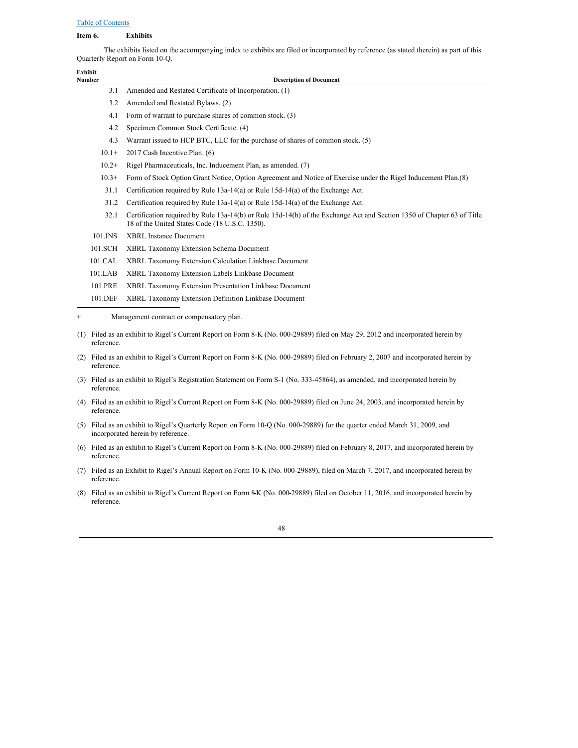reference.

reference.

reference.

reference.

reference.

incorporated herein by reference.

# <span id="page-47-0"></span>**Item 6. Exhibits**

The exhibits listed on the accompanying index to exhibits are filed or incorporated by reference (as stated therein) as part of this Quarterly Report on Form 10-Q.

| <b>Exhibit</b><br><b>Number</b> | <b>Description of Document</b>                                                                                                                                              |
|---------------------------------|-----------------------------------------------------------------------------------------------------------------------------------------------------------------------------|
| 3.1                             | Amended and Restated Certificate of Incorporation. (1)                                                                                                                      |
| 3.2                             | Amended and Restated Bylaws. (2)                                                                                                                                            |
| 4.1                             | Form of warrant to purchase shares of common stock. (3)                                                                                                                     |
| 4.2                             | Specimen Common Stock Certificate. (4)                                                                                                                                      |
| 4.3                             | Warrant issued to HCP BTC, LLC for the purchase of shares of common stock. (5)                                                                                              |
| $10.1+$                         | 2017 Cash Incentive Plan. (6)                                                                                                                                               |
| $10.2+$                         | Rigel Pharmaceuticals, Inc. Inducement Plan, as amended. (7)                                                                                                                |
| $10.3+$                         | Form of Stock Option Grant Notice, Option Agreement and Notice of Exercise under the Rigel Inducement Plan. (8)                                                             |
| 31.1                            | Certification required by Rule $13a-14(a)$ or Rule $15d-14(a)$ of the Exchange Act.                                                                                         |
| 31.2                            | Certification required by Rule $13a-14(a)$ or Rule $15d-14(a)$ of the Exchange Act.                                                                                         |
| 32.1                            | Certification required by Rule 13a-14(b) or Rule 15d-14(b) of the Exchange Act and Section 1350 of Chapter 63 of Title<br>18 of the United States Code (18 U.S.C. 1350).    |
| 101.INS                         | <b>XBRL Instance Document</b>                                                                                                                                               |
| 101.SCH                         | XBRL Taxonomy Extension Schema Document                                                                                                                                     |
| 101.CAL                         | XBRL Taxonomy Extension Calculation Linkbase Document                                                                                                                       |
| 101.LAB                         | XBRL Taxonomy Extension Labels Linkbase Document                                                                                                                            |
| 101.PRE                         | XBRL Taxonomy Extension Presentation Linkbase Document                                                                                                                      |
| 101.DEF                         | XBRL Taxonomy Extension Definition Linkbase Document                                                                                                                        |
| $^{+}$                          | Management contract or compensatory plan.<br>(1) Filed as an exhibit to Rigel's Current Report on Form 8-K (No. 000-29889) filed on May 29, 2012 and incorporated herein by |

(7) Filed as an Exhibit to Rigel's Annual Report on Form 10-K (No. 000-29889), filed on March 7, 2017, and incorporated herein by reference.

(6) Filed as an exhibit to Rigel's Current Report on Form 8-K (No. 000-29889) filed on February 8, 2017, and incorporated herein by

(2) Filed as an exhibit to Rigel's Current Report on Form 8-K (No. 000-29889) filed on February 2, 2007 and incorporated herein by

(3) Filed as an exhibit to Rigel's Registration Statement on Form S-1 (No. 333-45864), as amended, and incorporated herein by

(4) Filed as an exhibit to Rigel's Current Report on Form 8-K (No. 000-29889) filed on June 24, 2003, and incorporated herein by

(5) Filed as an exhibit to Rigel's Quarterly Report on Form 10-Q (No. 000-29889) for the quarter ended March 31, 2009, and

(8) Filed as an exhibit to Rigel's Current Report on Form 8‑K (No. 000‑29889) filed on October 11, 2016, and incorporated herein by reference.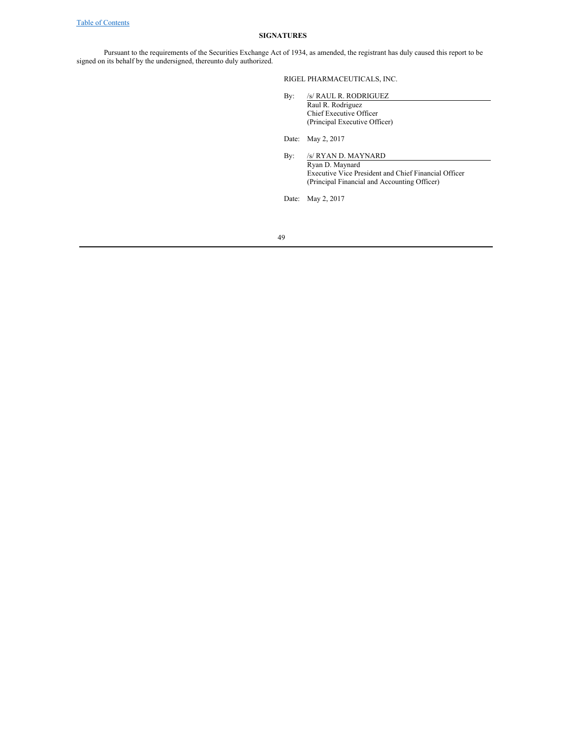# <span id="page-48-0"></span>**SIGNATURES**

Pursuant to the requirements of the Securities Exchange Act of 1934, as amended, the registrant has duly caused this report to be signed on its behalf by the undersigned, thereunto duly authorized.

RIGEL PHARMACEUTICALS, INC.

| By:   | /s/ RAUL R. RODRIGUEZ                                |
|-------|------------------------------------------------------|
|       | Raul R. Rodriguez                                    |
|       | Chief Executive Officer                              |
|       | (Principal Executive Officer)                        |
| Date: | May 2, 2017                                          |
| By:   | /s/ RYAN D. MAYNARD                                  |
|       | Ryan D. Maynard                                      |
|       | Executive Vice President and Chief Financial Officer |
|       | (Principal Financial and Accounting Officer)         |
|       |                                                      |

Date: May 2, 2017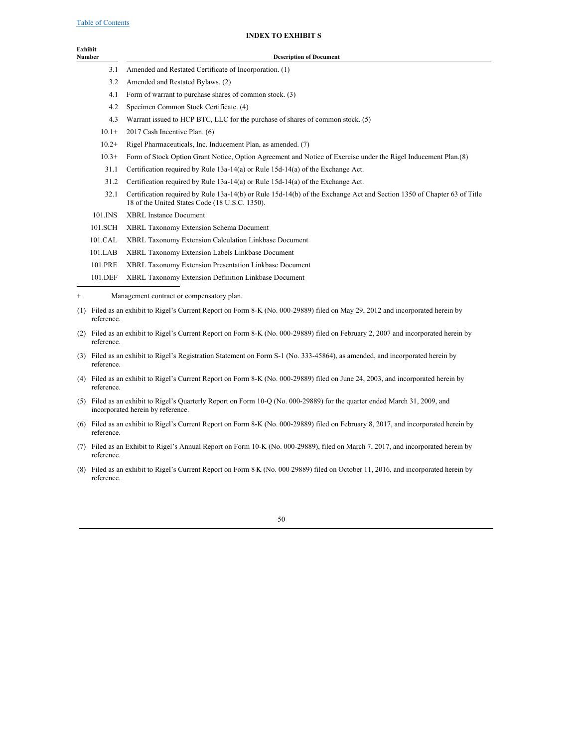# **INDEX TO EXHIBIT S**

| Exhibit<br>Number |                                                                | <b>Description of Document</b>                                                                                                                                           |
|-------------------|----------------------------------------------------------------|--------------------------------------------------------------------------------------------------------------------------------------------------------------------------|
|                   | 3.1                                                            | Amended and Restated Certificate of Incorporation. (1)                                                                                                                   |
|                   | 3.2                                                            | Amended and Restated Bylaws. (2)                                                                                                                                         |
|                   | 4.1<br>Form of warrant to purchase shares of common stock. (3) |                                                                                                                                                                          |
|                   | 4.2                                                            | Specimen Common Stock Certificate. (4)                                                                                                                                   |
|                   | 4.3                                                            | Warrant issued to HCP BTC, LLC for the purchase of shares of common stock. (5)                                                                                           |
|                   | $10.1+$                                                        | 2017 Cash Incentive Plan. (6)                                                                                                                                            |
|                   | $10.2+$                                                        | Rigel Pharmaceuticals, Inc. Inducement Plan, as amended. (7)                                                                                                             |
|                   | $10.3+$                                                        | Form of Stock Option Grant Notice, Option Agreement and Notice of Exercise under the Rigel Inducement Plan. (8)                                                          |
|                   | 31.1                                                           | Certification required by Rule $13a-14(a)$ or Rule $15d-14(a)$ of the Exchange Act.                                                                                      |
|                   | 31.2                                                           | Certification required by Rule $13a-14(a)$ or Rule $15d-14(a)$ of the Exchange Act.                                                                                      |
|                   | 32.1                                                           | Certification required by Rule 13a-14(b) or Rule 15d-14(b) of the Exchange Act and Section 1350 of Chapter 63 of Title<br>18 of the United States Code (18 U.S.C. 1350). |
|                   | 101.INS                                                        | <b>XBRL Instance Document</b>                                                                                                                                            |
|                   | 101.SCH                                                        | XBRL Taxonomy Extension Schema Document                                                                                                                                  |
|                   | 101.CAL                                                        | XBRL Taxonomy Extension Calculation Linkbase Document                                                                                                                    |
|                   | 101.LAB                                                        | XBRL Taxonomy Extension Labels Linkbase Document                                                                                                                         |
|                   | 101.PRE                                                        | XBRL Taxonomy Extension Presentation Linkbase Document                                                                                                                   |
|                   | 101.DEF                                                        | XBRL Taxonomy Extension Definition Linkbase Document                                                                                                                     |
| $^{+}$            |                                                                | Management contract or compensatory plan.                                                                                                                                |
|                   | reference.                                                     | (1) Filed as an exhibit to Rigel's Current Report on Form 8-K (No. 000-29889) filed on May 29, 2012 and incorporated herein by                                           |
| (2)               | reference.                                                     | Filed as an exhibit to Rigel's Current Report on Form 8-K (No. 000-29889) filed on February 2, 2007 and incorporated herein by                                           |

- (3) Filed as an exhibit to Rigel's Registration Statement on Form S-1 (No. 333-45864), as amended, and incorporated herein by reference.
- (4) Filed as an exhibit to Rigel's Current Report on Form 8-K (No. 000-29889) filed on June 24, 2003, and incorporated herein by reference.
- (5) Filed as an exhibit to Rigel's Quarterly Report on Form 10-Q (No. 000-29889) for the quarter ended March 31, 2009, and incorporated herein by reference.
- (6) Filed as an exhibit to Rigel's Current Report on Form 8-K (No. 000-29889) filed on February 8, 2017, and incorporated herein by reference.
- (7) Filed as an Exhibit to Rigel's Annual Report on Form 10-K (No. 000-29889), filed on March 7, 2017, and incorporated herein by reference.
- (8) Filed as an exhibit to Rigel's Current Report on Form 8‑K (No. 000‑29889) filed on October 11, 2016, and incorporated herein by reference.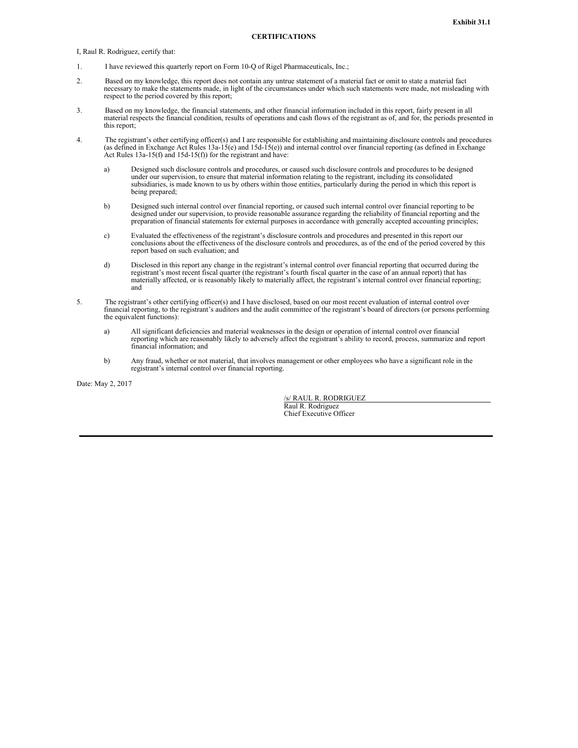# **CERTIFICATIONS**

I, Raul R. Rodriguez, certify that:

- 1. I have reviewed this quarterly report on Form 10-Q of Rigel Pharmaceuticals, Inc.;
- 2. Based on my knowledge, this report does not contain any untrue statement of a material fact or omit to state a material fact necessary to make the statements made, in light of the circumstances under which such statements were made, not misleading with respect to the period covered by this report;
- 3. Based on my knowledge, the financial statements, and other financial information included in this report, fairly present in all material respects the financial condition, results of operations and cash flows of the regi this report;
- 4. The registrant's other certifying officer(s) and I are responsible for establishing and maintaining disclosure controls and procedures (as defined in Exchange Act Rules 13a-15(e) and 15d-15(e)) and internal control over financial reporting (as defined in Exchange Act Rules 13a-15(f) and 15d-15(f)) for the registrant and have:
	- a) Designed such disclosure controls and procedures, or caused such disclosure controls and procedures to be designed under our supervision, to ensure that material information relating to the registrant, including its consolidated subsidiaries, is made known to us by others within those entities, particularly during the period in which this report is being prepared;
	- b) Designed such internal control over financial reporting, or caused such internal control over financial reporting to be designed under our supervision, to provide reasonable assurance regarding the reliability of financial reporting and the preparation of financial statements for external purposes in accordance with generally accepted accounting principles;
	- c) Evaluated the effectiveness of the registrant's disclosure controls and procedures and presented in this report our conclusions about the effectiveness of the disclosure controls and procedures, as of the end of the period covered by this report based on such evaluation; and
	- d) Disclosed in this report any change in the registrant's internal control over financial reporting that occurred during the registrant's most recent fiscal quarter (the registrant's fourth fiscal quarter in the case of a materially affected, or is reasonably likely to materially affect, the registrant's internal control over financial reporting; and
- 5. The registrant's other certifying officer(s) and I have disclosed, based on our most recent evaluation of internal control over financial reporting, to the registrant's auditors and the audit committee of the registrant's board of directors (or persons performing the equivalent functions):
	- a) All significant deficiencies and material weaknesses in the design or operation of internal control over financial reporting which are reasonably likely to adversely affect the registrant's ability to record, process, summarize and report financial information; and
	- b) Any fraud, whether or not material, that involves management or other employees who have a significant role in the registrant's internal control over financial reporting.

Date: May 2, 2017

/s/ RAUL R. RODRIGUEZ Raul R. Rodriguez Chief Executive Officer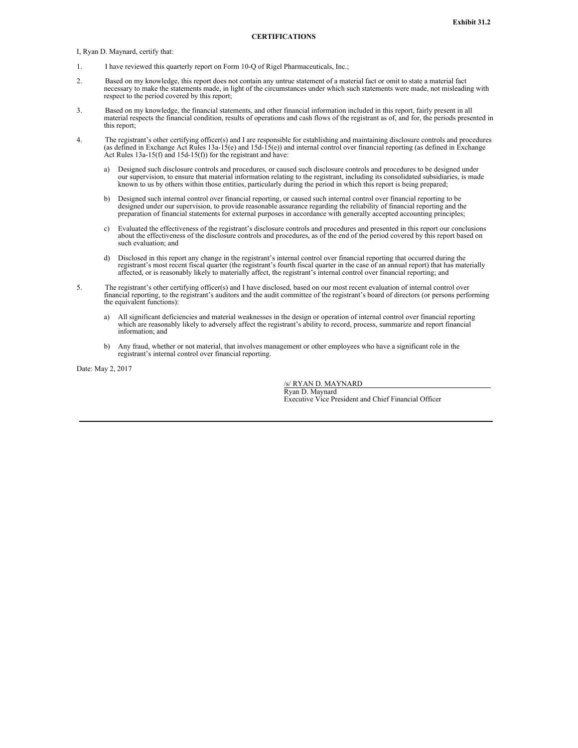# **CERTIFICATIONS**

I, Ryan D. Maynard, certify that:

- 1. I have reviewed this quarterly report on Form 10-Q of Rigel Pharmaceuticals, Inc.;
- 2. Based on my knowledge, this report does not contain any untrue statement of a material fact or omit to state a material fact necessary to make the statements made, in light of the circumstances under which such statements were made, not misleading with respect to the period covered by this report;
- 3. Based on my knowledge, the financial statements, and other financial information included in this report, fairly present in all material respects the financial condition, results of operations and cash flows of the regi this report;
- 4. The registrant's other certifying officer(s) and I are responsible for establishing and maintaining disclosure controls and procedures (as defined in Exchange Act Rules 13a-15(e) and 15d-15(e)) and internal control over financial reporting (as defined in Exchange Act Rules 13a-15(f) and 15d-15(f)) for the registrant and have:
	- a) Designed such disclosure controls and procedures, or caused such disclosure controls and procedures to be designed under our supervision, to ensure that material information relating to the registrant, including its consolidated subsidiaries, is made known to us by others within those entities, particularly during the period in which this report is being prepared;
	- b) Designed such internal control over financial reporting, or caused such internal control over financial reporting to be designed under our supervision, to provide reasonable assurance regarding the reliability of financial reporting and the preparation of financial statements for external purposes in accordance with generally accepted accounting principles;
	- c) Evaluated the effectiveness of the registrant's disclosure controls and procedures and presented in this report our conclusions about the effectiveness of the disclosure controls and procedures, as of the end of the period covered by this report based on such evaluation; and
	- d) Disclosed in this report any change in the registrant's internal control over financial reporting that occurred during the registrant's most recent fiscal quarter (the registrant's fourth fiscal quarter in the case of an annual report) that has materially affected, or is reasonably likely to materially affect, the registrant's internal control
- 5. The registrant's other certifying officer(s) and I have disclosed, based on our most recent evaluation of internal control over financial reporting, to the registrant's auditors and the audit committee of the registrant's board of directors (or persons performing the equivalent functions):
	- a) All significant deficiencies and material weaknesses in the design or operation of internal control over financial reporting which are reasonably likely to adversely affect the registrant's ability to record, process, summarize and report financial information; and
	- b) Any fraud, whether or not material, that involves management or other employees who have a significant role in the registrant's internal control over financial reporting.

Date: May 2, 2017

/s/ RYAN D. MAYNARD Ryan D. Maynard Executive Vice President and Chief Financial Officer